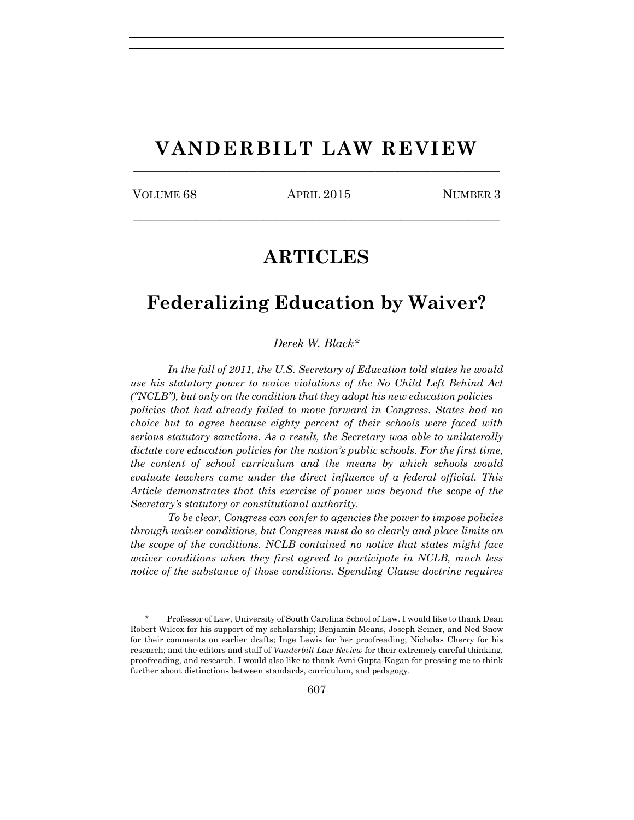## **VANDERBILT LAW REVIEW**  $\frac{1}{2}$  ,  $\frac{1}{2}$  ,  $\frac{1}{2}$  ,  $\frac{1}{2}$  ,  $\frac{1}{2}$  ,  $\frac{1}{2}$  ,  $\frac{1}{2}$  ,  $\frac{1}{2}$  ,  $\frac{1}{2}$  ,  $\frac{1}{2}$  ,  $\frac{1}{2}$  ,  $\frac{1}{2}$  ,  $\frac{1}{2}$  ,  $\frac{1}{2}$  ,  $\frac{1}{2}$  ,  $\frac{1}{2}$  ,  $\frac{1}{2}$  ,  $\frac{1}{2}$  ,  $\frac{1$

VOLUME 68 APRIL 2015 NUMBER 3

 $\frac{1}{2}$  ,  $\frac{1}{2}$  ,  $\frac{1}{2}$  ,  $\frac{1}{2}$  ,  $\frac{1}{2}$  ,  $\frac{1}{2}$  ,  $\frac{1}{2}$  ,  $\frac{1}{2}$  ,  $\frac{1}{2}$  ,  $\frac{1}{2}$  ,  $\frac{1}{2}$  ,  $\frac{1}{2}$  ,  $\frac{1}{2}$  ,  $\frac{1}{2}$  ,  $\frac{1}{2}$  ,  $\frac{1}{2}$  ,  $\frac{1}{2}$  ,  $\frac{1}{2}$  ,  $\frac{1$ 

# **ARTICLES**

## **Federalizing Education by Waiver?**

*Derek W. Black\**

*In the fall of 2011, the U.S. Secretary of Education told states he would use his statutory power to waive violations of the No Child Left Behind Act ("NCLB"), but only on the condition that they adopt his new education policies policies that had already failed to move forward in Congress. States had no choice but to agree because eighty percent of their schools were faced with serious statutory sanctions. As a result, the Secretary was able to unilaterally dictate core education policies for the nation's public schools. For the first time, the content of school curriculum and the means by which schools would evaluate teachers came under the direct influence of a federal official. This Article demonstrates that this exercise of power was beyond the scope of the Secretary's statutory or constitutional authority.*

*To be clear, Congress can confer to agencies the power to impose policies through waiver conditions, but Congress must do so clearly and place limits on the scope of the conditions. NCLB contained no notice that states might face waiver conditions when they first agreed to participate in NCLB, much less notice of the substance of those conditions. Spending Clause doctrine requires* 

Professor of Law, University of South Carolina School of Law. I would like to thank Dean Robert Wilcox for his support of my scholarship; Benjamin Means, Joseph Seiner, and Ned Snow for their comments on earlier drafts; Inge Lewis for her proofreading; Nicholas Cherry for his research; and the editors and staff of *Vanderbilt Law Review* for their extremely careful thinking, proofreading, and research. I would also like to thank Avni Gupta-Kagan for pressing me to think further about distinctions between standards, curriculum, and pedagogy.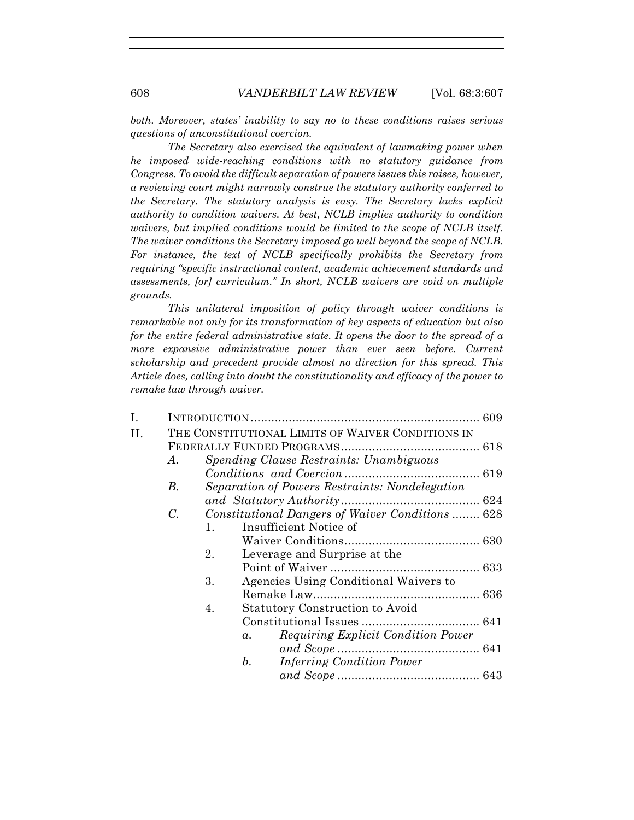*both. Moreover, states' inability to say no to these conditions raises serious questions of unconstitutional coercion.*

*The Secretary also exercised the equivalent of lawmaking power when he imposed wide-reaching conditions with no statutory guidance from Congress. To avoid the difficult separation of powers issues this raises, however, a reviewing court might narrowly construe the statutory authority conferred to the Secretary. The statutory analysis is easy. The Secretary lacks explicit authority to condition waivers. At best, NCLB implies authority to condition waivers, but implied conditions would be limited to the scope of NCLB itself. The waiver conditions the Secretary imposed go well beyond the scope of NCLB. For instance, the text of NCLB specifically prohibits the Secretary from requiring "specific instructional content, academic achievement standards and assessments, [or] curriculum." In short, NCLB waivers are void on multiple grounds.*

*This unilateral imposition of policy through waiver conditions is remarkable not only for its transformation of key aspects of education but also for the entire federal administrative state. It opens the door to the spread of a more expansive administrative power than ever seen before. Current scholarship and precedent provide almost no direction for this spread. This Article does, calling into doubt the constitutionality and efficacy of the power to remake law through waiver.*

| Ι. |                                                   |                                                  |             |                                       |  |  |  |
|----|---------------------------------------------------|--------------------------------------------------|-------------|---------------------------------------|--|--|--|
| Η. | THE CONSTITUTIONAL LIMITS OF WAIVER CONDITIONS IN |                                                  |             |                                       |  |  |  |
|    |                                                   |                                                  |             |                                       |  |  |  |
|    | A.                                                | Spending Clause Restraints: Unambiguous          |             |                                       |  |  |  |
|    |                                                   |                                                  |             |                                       |  |  |  |
|    | В.                                                | Separation of Powers Restraints: Nondelegation   |             |                                       |  |  |  |
|    |                                                   |                                                  |             |                                       |  |  |  |
|    | $C_{\cdot}$                                       | Constitutional Dangers of Waiver Conditions  628 |             |                                       |  |  |  |
|    |                                                   | 1.                                               |             | Insufficient Notice of                |  |  |  |
|    |                                                   |                                                  |             |                                       |  |  |  |
|    |                                                   | 2.                                               |             | Leverage and Surprise at the          |  |  |  |
|    |                                                   |                                                  |             |                                       |  |  |  |
|    |                                                   | 3.                                               |             | Agencies Using Conditional Waivers to |  |  |  |
|    |                                                   |                                                  |             |                                       |  |  |  |
|    |                                                   | 4.                                               |             | Statutory Construction to Avoid       |  |  |  |
|    |                                                   |                                                  |             |                                       |  |  |  |
|    |                                                   |                                                  | $a_{\cdot}$ | Requiring Explicit Condition Power    |  |  |  |
|    |                                                   |                                                  |             |                                       |  |  |  |
|    |                                                   |                                                  | b.          | <i>Inferring Condition Power</i>      |  |  |  |
|    |                                                   |                                                  |             |                                       |  |  |  |
|    |                                                   |                                                  |             |                                       |  |  |  |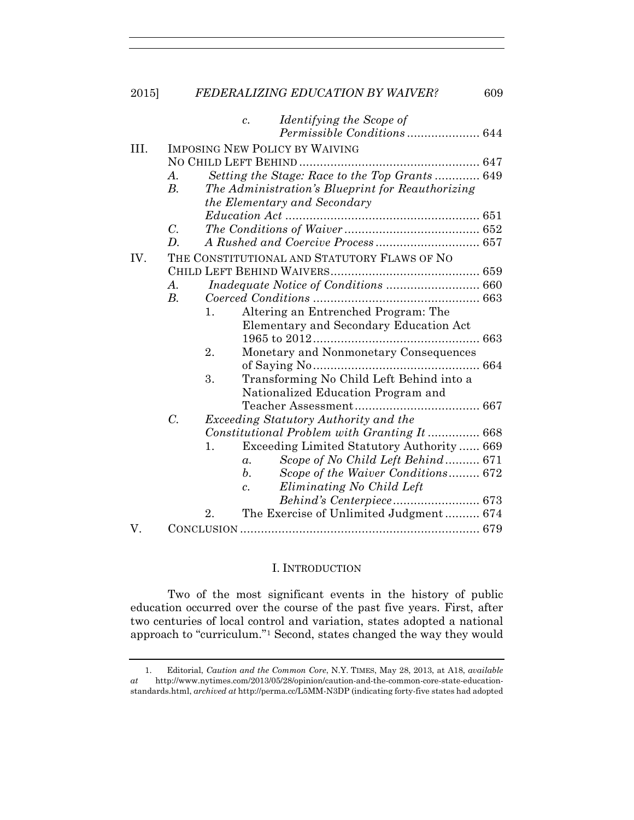|      |                                              |                                                                                  | Identifying the Scope of<br>$\mathcal{C}$ .     |  |  |  |  |  |
|------|----------------------------------------------|----------------------------------------------------------------------------------|-------------------------------------------------|--|--|--|--|--|
|      |                                              |                                                                                  |                                                 |  |  |  |  |  |
| III. | <b>IMPOSING NEW POLICY BY WAIVING</b>        |                                                                                  |                                                 |  |  |  |  |  |
|      |                                              |                                                                                  |                                                 |  |  |  |  |  |
|      | $\boldsymbol{A}$ .                           | Setting the Stage: Race to the Top Grants  649                                   |                                                 |  |  |  |  |  |
|      | $B$ .                                        | The Administration's Blueprint for Reauthorizing<br>the Elementary and Secondary |                                                 |  |  |  |  |  |
|      |                                              |                                                                                  |                                                 |  |  |  |  |  |
|      |                                              |                                                                                  |                                                 |  |  |  |  |  |
|      | $C_{\cdot}$                                  |                                                                                  |                                                 |  |  |  |  |  |
|      | D.                                           |                                                                                  |                                                 |  |  |  |  |  |
| IV.  | THE CONSTITUTIONAL AND STATUTORY FLAWS OF NO |                                                                                  |                                                 |  |  |  |  |  |
|      |                                              |                                                                                  |                                                 |  |  |  |  |  |
|      | A.                                           |                                                                                  |                                                 |  |  |  |  |  |
|      | B.                                           |                                                                                  |                                                 |  |  |  |  |  |
|      |                                              | 1.                                                                               | Altering an Entrenched Program: The             |  |  |  |  |  |
|      |                                              |                                                                                  | Elementary and Secondary Education Act          |  |  |  |  |  |
|      |                                              |                                                                                  |                                                 |  |  |  |  |  |
|      |                                              | 2.                                                                               | Monetary and Nonmonetary Consequences           |  |  |  |  |  |
|      |                                              |                                                                                  |                                                 |  |  |  |  |  |
|      |                                              | 3.                                                                               | Transforming No Child Left Behind into a        |  |  |  |  |  |
|      |                                              |                                                                                  | Nationalized Education Program and              |  |  |  |  |  |
|      |                                              |                                                                                  |                                                 |  |  |  |  |  |
|      | $C$ .                                        |                                                                                  | Exceeding Statutory Authority and the           |  |  |  |  |  |
|      |                                              |                                                                                  | Constitutional Problem with Granting It 668     |  |  |  |  |  |
|      |                                              | $\mathbf{1}$ .                                                                   | Exceeding Limited Statutory Authority 669       |  |  |  |  |  |
|      |                                              |                                                                                  | Scope of No Child Left Behind 671<br>$\alpha$ . |  |  |  |  |  |
|      |                                              |                                                                                  | b.<br>Scope of the Waiver Conditions 672        |  |  |  |  |  |
|      |                                              |                                                                                  | Eliminating No Child Left<br>$\mathfrak{c}$ .   |  |  |  |  |  |
|      |                                              |                                                                                  | Behind's Centerpiece 673                        |  |  |  |  |  |
|      |                                              | 2.                                                                               | The Exercise of Unlimited Judgment 674          |  |  |  |  |  |
| V.   |                                              |                                                                                  |                                                 |  |  |  |  |  |

## I. INTRODUCTION

Two of the most significant events in the history of public education occurred over the course of the past five years. First, after two centuries of local control and variation, states adopted a national approach to "curriculum."1 Second, states changed the way they would

 <sup>1.</sup> Editorial, *Caution and the Common Core*, N.Y. TIMES, May 28, 2013, at A18, *available at* http://www.nytimes.com/2013/05/28/opinion/caution-and-the-common-core-state-educationstandards.html, *archived at* http://perma.cc/L5MM-N3DP (indicating forty-five states had adopted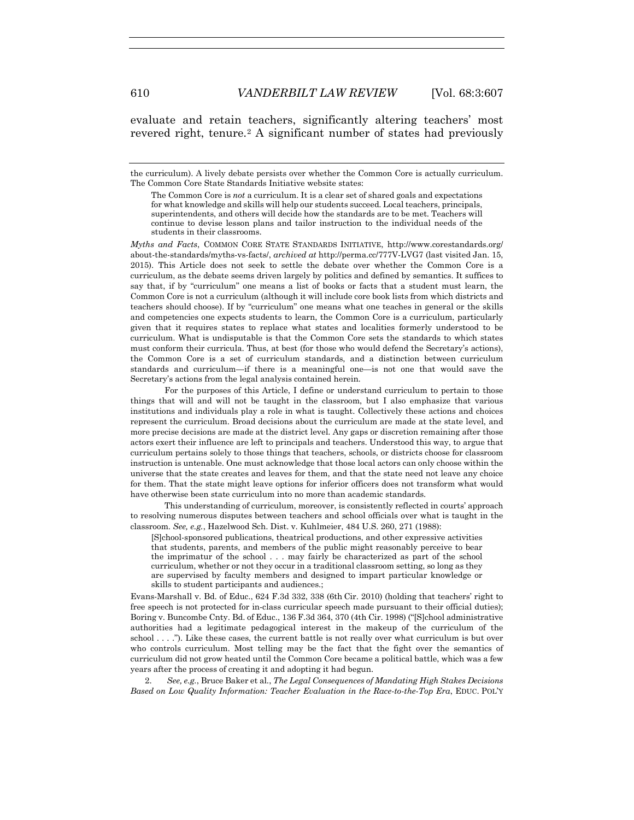evaluate and retain teachers, significantly altering teachers' most revered right, tenure.<sup>2</sup> A significant number of states had previously

*Myths and Facts*, COMMON CORE STATE STANDARDS INITIATIVE, http://www.corestandards.org/ about-the-standards/myths-vs-facts/, *archived at* http://perma.cc/777V-LVG7 (last visited Jan. 15, 2015). This Article does not seek to settle the debate over whether the Common Core is a curriculum, as the debate seems driven largely by politics and defined by semantics. It suffices to say that, if by "curriculum" one means a list of books or facts that a student must learn, the Common Core is not a curriculum (although it will include core book lists from which districts and teachers should choose). If by "curriculum" one means what one teaches in general or the skills and competencies one expects students to learn, the Common Core is a curriculum, particularly given that it requires states to replace what states and localities formerly understood to be curriculum. What is undisputable is that the Common Core sets the standards to which states must conform their curricula. Thus, at best (for those who would defend the Secretary's actions), the Common Core is a set of curriculum standards, and a distinction between curriculum standards and curriculum—if there is a meaningful one—is not one that would save the Secretary's actions from the legal analysis contained herein.

 For the purposes of this Article, I define or understand curriculum to pertain to those things that will and will not be taught in the classroom, but I also emphasize that various institutions and individuals play a role in what is taught. Collectively these actions and choices represent the curriculum. Broad decisions about the curriculum are made at the state level, and more precise decisions are made at the district level. Any gaps or discretion remaining after those actors exert their influence are left to principals and teachers. Understood this way, to argue that curriculum pertains solely to those things that teachers, schools, or districts choose for classroom instruction is untenable. One must acknowledge that those local actors can only choose within the universe that the state creates and leaves for them, and that the state need not leave any choice for them. That the state might leave options for inferior officers does not transform what would have otherwise been state curriculum into no more than academic standards.

 This understanding of curriculum, moreover, is consistently reflected in courts' approach to resolving numerous disputes between teachers and school officials over what is taught in the classroom. *See, e.g.*, Hazelwood Sch. Dist. v. Kuhlmeier, 484 U.S. 260, 271 (1988):

[S]chool-sponsored publications, theatrical productions, and other expressive activities that students, parents, and members of the public might reasonably perceive to bear the imprimatur of the school . . . may fairly be characterized as part of the school curriculum, whether or not they occur in a traditional classroom setting, so long as they are supervised by faculty members and designed to impart particular knowledge or skills to student participants and audiences.;

Evans-Marshall v. Bd. of Educ., 624 F.3d 332, 338 (6th Cir. 2010) (holding that teachers' right to free speech is not protected for in-class curricular speech made pursuant to their official duties); Boring v. Buncombe Cnty. Bd. of Educ., 136 F.3d 364, 370 (4th Cir. 1998) ("[S]chool administrative authorities had a legitimate pedagogical interest in the makeup of the curriculum of the school . . . ."). Like these cases, the current battle is not really over what curriculum is but over who controls curriculum. Most telling may be the fact that the fight over the semantics of curriculum did not grow heated until the Common Core became a political battle, which was a few years after the process of creating it and adopting it had begun.

 2. *See, e.g.*, Bruce Baker et al., *The Legal Consequences of Mandating High Stakes Decisions Based on Low Quality Information: Teacher Evaluation in the Race-to-the-Top Era*, EDUC. POL'Y

the curriculum). A lively debate persists over whether the Common Core is actually curriculum. The Common Core State Standards Initiative website states:

The Common Core is *not* a curriculum. It is a clear set of shared goals and expectations for what knowledge and skills will help our students succeed. Local teachers, principals, superintendents, and others will decide how the standards are to be met. Teachers will continue to devise lesson plans and tailor instruction to the individual needs of the students in their classrooms.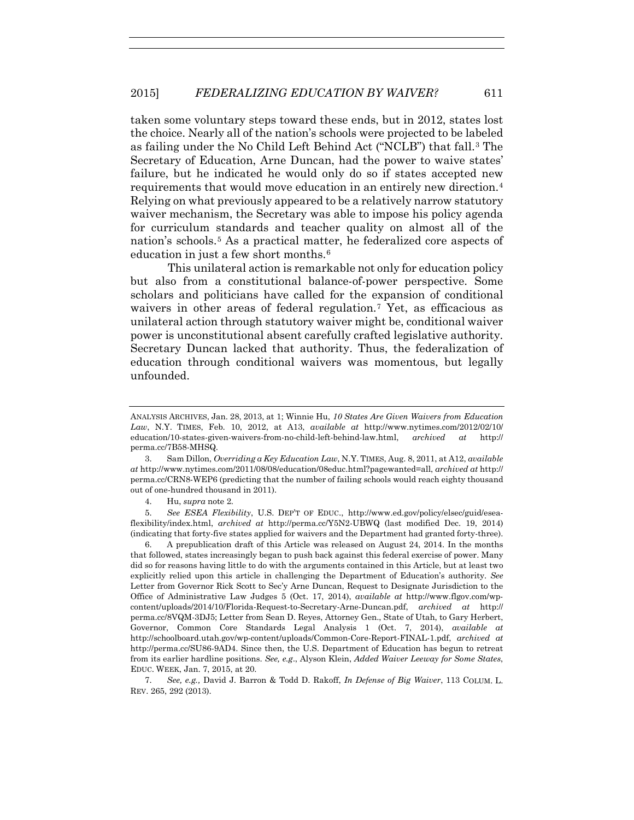taken some voluntary steps toward these ends, but in 2012, states lost the choice. Nearly all of the nation's schools were projected to be labeled as failing under the No Child Left Behind Act ("NCLB") that fall.3 The Secretary of Education, Arne Duncan, had the power to waive states' failure, but he indicated he would only do so if states accepted new requirements that would move education in an entirely new direction.4 Relying on what previously appeared to be a relatively narrow statutory waiver mechanism, the Secretary was able to impose his policy agenda for curriculum standards and teacher quality on almost all of the nation's schools.5 As a practical matter, he federalized core aspects of education in just a few short months.6

This unilateral action is remarkable not only for education policy but also from a constitutional balance-of-power perspective. Some scholars and politicians have called for the expansion of conditional waivers in other areas of federal regulation.<sup>7</sup> Yet, as efficacious as unilateral action through statutory waiver might be, conditional waiver power is unconstitutional absent carefully crafted legislative authority. Secretary Duncan lacked that authority. Thus, the federalization of education through conditional waivers was momentous, but legally unfounded.

 7. *See, e.g.,* David J. Barron & Todd D. Rakoff, *In Defense of Big Waiver*, 113 COLUM. L. REV. 265, 292 (2013).

ANALYSIS ARCHIVES, Jan. 28, 2013, at 1; Winnie Hu, *10 States Are Given Waivers from Education Law*, N.Y. TIMES, Feb. 10, 2012, at A13, *available at* http://www.nytimes.com/2012/02/10/ education/10-states-given-waivers-from-no-child-left-behind-law.html, *archived at* http:// perma.cc/7B58-MHSQ.

 <sup>3.</sup> Sam Dillon, *Overriding a Key Education Law*, N.Y. TIMES, Aug. 8, 2011, at A12, *available at* http://www.nytimes.com/2011/08/08/education/08educ.html?pagewanted=all, *archived at* http:// perma.cc/CRN8-WEP6 (predicting that the number of failing schools would reach eighty thousand out of one-hundred thousand in 2011).

 <sup>4.</sup> Hu, *supra* note 2.

 <sup>5.</sup> *See ESEA Flexibility*, U.S. DEP'T OF EDUC., http://www.ed.gov/policy/elsec/guid/eseaflexibility/index.html, *archived at* http://perma.cc/Y5N2-UBWQ (last modified Dec. 19, 2014) (indicating that forty-five states applied for waivers and the Department had granted forty-three).

 <sup>6.</sup> A prepublication draft of this Article was released on August 24, 2014. In the months that followed, states increasingly began to push back against this federal exercise of power. Many did so for reasons having little to do with the arguments contained in this Article, but at least two explicitly relied upon this article in challenging the Department of Education's authority. *See*  Letter from Governor Rick Scott to Sec'y Arne Duncan, Request to Designate Jurisdiction to the Office of Administrative Law Judges 5 (Oct. 17, 2014), *available at* http://www.flgov.com/wpcontent/uploads/2014/10/Florida-Request-to-Secretary-Arne-Duncan.pdf, *archived at* http:// perma.cc/8VQM-3DJ5; Letter from Sean D. Reyes, Attorney Gen., State of Utah, to Gary Herbert, Governor, Common Core Standards Legal Analysis 1 (Oct. 7, 2014), *available at* http://schoolboard.utah.gov/wp-content/uploads/Common-Core-Report-FINAL-1.pdf, *archived at*  http://perma.cc/SU86-9AD4. Since then, the U.S. Department of Education has begun to retreat from its earlier hardline positions. *See, e.g*., Alyson Klein, *Added Waiver Leeway for Some States*, EDUC. WEEK, Jan. 7, 2015, at 20.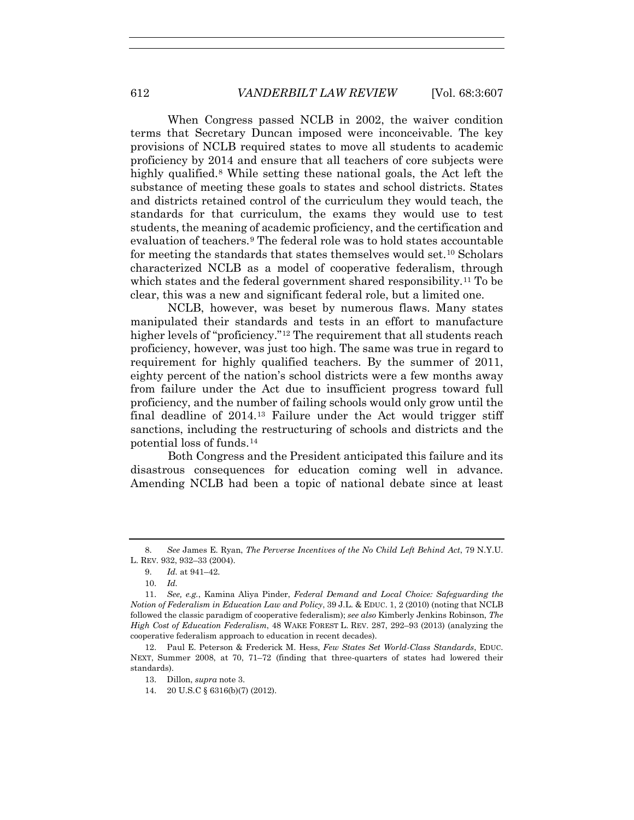When Congress passed NCLB in 2002, the waiver condition terms that Secretary Duncan imposed were inconceivable. The key provisions of NCLB required states to move all students to academic proficiency by 2014 and ensure that all teachers of core subjects were highly qualified.<sup>8</sup> While setting these national goals, the Act left the substance of meeting these goals to states and school districts. States and districts retained control of the curriculum they would teach, the standards for that curriculum, the exams they would use to test students, the meaning of academic proficiency, and the certification and evaluation of teachers.9 The federal role was to hold states accountable for meeting the standards that states themselves would set.10 Scholars characterized NCLB as a model of cooperative federalism, through which states and the federal government shared responsibility.<sup>11</sup> To be clear, this was a new and significant federal role, but a limited one.

NCLB, however, was beset by numerous flaws. Many states manipulated their standards and tests in an effort to manufacture higher levels of "proficiency."12 The requirement that all students reach proficiency, however, was just too high. The same was true in regard to requirement for highly qualified teachers. By the summer of 2011, eighty percent of the nation's school districts were a few months away from failure under the Act due to insufficient progress toward full proficiency, and the number of failing schools would only grow until the final deadline of  $2014<sup>13</sup>$  Failure under the Act would trigger stiff sanctions, including the restructuring of schools and districts and the potential loss of funds.14

Both Congress and the President anticipated this failure and its disastrous consequences for education coming well in advance. Amending NCLB had been a topic of national debate since at least

10. *Id.*

 <sup>8.</sup> *See* James E. Ryan, *The Perverse Incentives of the No Child Left Behind Act*, 79 N.Y.U. L. REV. 932, 932–33 (2004).

 <sup>9.</sup> *Id.* at 941–42.

<sup>11.</sup> *See, e.g.*, Kamina Aliya Pinder, *Federal Demand and Local Choice: Safeguarding the Notion of Federalism in Education Law and Policy*, 39 J.L. & EDUC. 1, 2 (2010) (noting that NCLB followed the classic paradigm of cooperative federalism); *see also* Kimberly Jenkins Robinson, *The High Cost of Education Federalism*, 48 WAKE FOREST L. REV. 287, 292–93 (2013) (analyzing the cooperative federalism approach to education in recent decades).

<sup>12.</sup> Paul E. Peterson & Frederick M. Hess, *Few States Set World-Class Standards*, EDUC. NEXT, Summer 2008, at 70, 71–72 (finding that three-quarters of states had lowered their standards).

<sup>13.</sup> Dillon, *supra* note 3.

<sup>14. 20</sup> U.S.C § 6316(b)(7) (2012).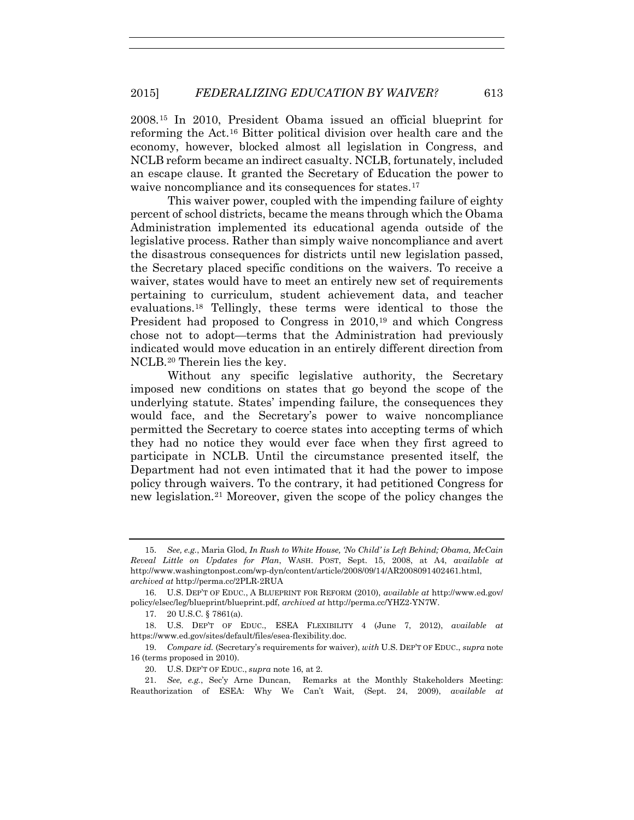## 2015] *FEDERALIZING EDUCATION BY WAIVER?* 613

2008.15 In 2010, President Obama issued an official blueprint for reforming the Act.16 Bitter political division over health care and the economy, however, blocked almost all legislation in Congress, and NCLB reform became an indirect casualty. NCLB, fortunately, included an escape clause. It granted the Secretary of Education the power to waive noncompliance and its consequences for states.<sup>17</sup>

This waiver power, coupled with the impending failure of eighty percent of school districts, became the means through which the Obama Administration implemented its educational agenda outside of the legislative process. Rather than simply waive noncompliance and avert the disastrous consequences for districts until new legislation passed, the Secretary placed specific conditions on the waivers. To receive a waiver, states would have to meet an entirely new set of requirements pertaining to curriculum, student achievement data, and teacher evaluations.18 Tellingly, these terms were identical to those the President had proposed to Congress in 2010,<sup>19</sup> and which Congress chose not to adopt—terms that the Administration had previously indicated would move education in an entirely different direction from NCLB.20 Therein lies the key.

Without any specific legislative authority, the Secretary imposed new conditions on states that go beyond the scope of the underlying statute. States' impending failure, the consequences they would face, and the Secretary's power to waive noncompliance permitted the Secretary to coerce states into accepting terms of which they had no notice they would ever face when they first agreed to participate in NCLB. Until the circumstance presented itself, the Department had not even intimated that it had the power to impose policy through waivers. To the contrary, it had petitioned Congress for new legislation.21 Moreover, given the scope of the policy changes the

17. 20 U.S.C. § 7861(a).

<sup>15.</sup> *See, e.g.*, Maria Glod, *In Rush to White House, 'No Child' is Left Behind; Obama, McCain Reveal Little on Updates for Plan*, WASH. POST, Sept. 15, 2008, at A4, *available at* http://www.washingtonpost.com/wp-dyn/content/article/2008/09/14/AR2008091402461.html, *archived at* http://perma.cc/2PLR-2RUA

<sup>16.</sup> U.S. DEP'T OF EDUC., A BLUEPRINT FOR REFORM (2010), *available at* http://www.ed.gov/ policy/elsec/leg/blueprint/blueprint.pdf, *archived at* http://perma.cc/YHZ2-YN7W.

 <sup>18.</sup> U.S. DEP'T OF EDUC., ESEA FLEXIBILITY 4 (June 7, 2012), *available at* https://www.ed.gov/sites/default/files/esea-flexibility.doc.

<sup>19.</sup> *Compare id.* (Secretary's requirements for waiver), *with* U.S. DEP'T OF EDUC., *supra* note 16 (terms proposed in 2010).

<sup>20.</sup> U.S. DEP'T OF EDUC., *supra* note 16, at 2.

<sup>21.</sup> *See, e.g.*, Sec'y Arne Duncan, Remarks at the Monthly Stakeholders Meeting: Reauthorization of ESEA: Why We Can't Wait*,* (Sept. 24, 2009), *available at*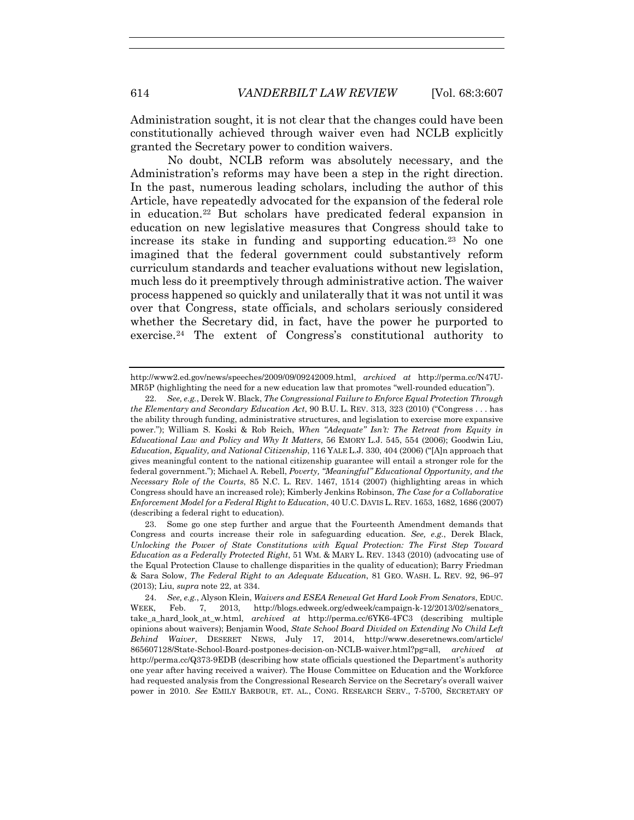Administration sought, it is not clear that the changes could have been constitutionally achieved through waiver even had NCLB explicitly granted the Secretary power to condition waivers.

No doubt, NCLB reform was absolutely necessary, and the Administration's reforms may have been a step in the right direction. In the past, numerous leading scholars, including the author of this Article, have repeatedly advocated for the expansion of the federal role in education.22 But scholars have predicated federal expansion in education on new legislative measures that Congress should take to increase its stake in funding and supporting education.23 No one imagined that the federal government could substantively reform curriculum standards and teacher evaluations without new legislation, much less do it preemptively through administrative action. The waiver process happened so quickly and unilaterally that it was not until it was over that Congress, state officials, and scholars seriously considered whether the Secretary did, in fact, have the power he purported to exercise.24 The extent of Congress's constitutional authority to

http://www2.ed.gov/news/speeches/2009/09/09242009.html, *archived at* http://perma.cc/N47U-MR5P (highlighting the need for a new education law that promotes "well-rounded education").

<sup>22.</sup> *See, e.g.*, Derek W. Black, *The Congressional Failure to Enforce Equal Protection Through the Elementary and Secondary Education Act*, 90 B.U. L. REV. 313, 323 (2010) ("Congress . . . has the ability through funding, administrative structures, and legislation to exercise more expansive power."); William S. Koski & Rob Reich, *When "Adequate" Isn't: The Retreat from Equity in Educational Law and Policy and Why It Matters*, 56 EMORY L.J. 545, 554 (2006); Goodwin Liu, *Education, Equality, and National Citizenship*, 116 YALE L.J. 330, 404 (2006) ("[A]n approach that gives meaningful content to the national citizenship guarantee will entail a stronger role for the federal government."); Michael A. Rebell, *Poverty, "Meaningful" Educational Opportunity, and the Necessary Role of the Courts*, 85 N.C. L. REV. 1467, 1514 (2007) (highlighting areas in which Congress should have an increased role); Kimberly Jenkins Robinson, *The Case for a Collaborative Enforcement Model for a Federal Right to Education*, 40 U.C. DAVIS L. REV. 1653, 1682, 1686 (2007) (describing a federal right to education).

<sup>23.</sup> Some go one step further and argue that the Fourteenth Amendment demands that Congress and courts increase their role in safeguarding education. *See, e.g.*, Derek Black, *Unlocking the Power of State Constitutions with Equal Protection: The First Step Toward Education as a Federally Protected Right*, 51 WM. & MARY L. REV. 1343 (2010) (advocating use of the Equal Protection Clause to challenge disparities in the quality of education); Barry Friedman & Sara Solow, *The Federal Right to an Adequate Education*, 81 GEO. WASH. L. REV. 92, 96–97 (2013); Liu, *supra* note 22, at 334.

<sup>24.</sup> *See, e.g.*, Alyson Klein, *Waivers and ESEA Renewal Get Hard Look From Senators*, EDUC. WEEK, Feb. 7, 2013, http://blogs.edweek.org/edweek/campaign-k-12/2013/02/senators\_ take\_a\_hard\_look\_at\_w.html, *archived at* http://perma.cc/6YK6-4FC3 (describing multiple opinions about waivers); Benjamin Wood, *State School Board Divided on Extending No Child Left Behind Waiver*, DESERET NEWS, July 17, 2014, http://www.deseretnews.com/article/ 865607128/State-School-Board-postpones-decision-on-NCLB-waiver.html?pg=all, *archived at* http://perma.cc/Q373-9EDB (describing how state officials questioned the Department's authority one year after having received a waiver). The House Committee on Education and the Workforce had requested analysis from the Congressional Research Service on the Secretary's overall waiver power in 2010. *See* EMILY BARBOUR, ET. AL., CONG. RESEARCH SERV., 7-5700, SECRETARY OF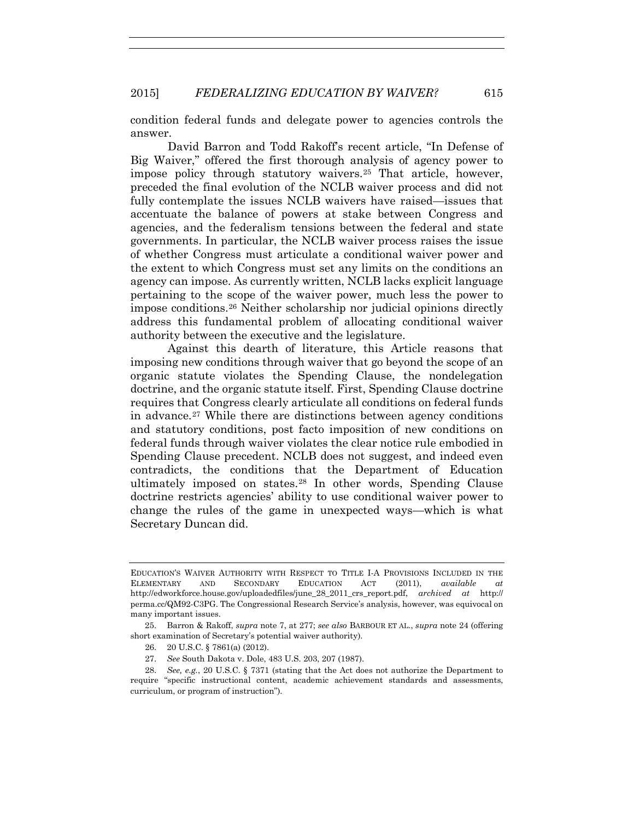condition federal funds and delegate power to agencies controls the answer.

David Barron and Todd Rakoff's recent article, "In Defense of Big Waiver," offered the first thorough analysis of agency power to impose policy through statutory waivers.25 That article, however, preceded the final evolution of the NCLB waiver process and did not fully contemplate the issues NCLB waivers have raised—issues that accentuate the balance of powers at stake between Congress and agencies, and the federalism tensions between the federal and state governments. In particular, the NCLB waiver process raises the issue of whether Congress must articulate a conditional waiver power and the extent to which Congress must set any limits on the conditions an agency can impose. As currently written, NCLB lacks explicit language pertaining to the scope of the waiver power, much less the power to impose conditions.26 Neither scholarship nor judicial opinions directly address this fundamental problem of allocating conditional waiver authority between the executive and the legislature.

Against this dearth of literature, this Article reasons that imposing new conditions through waiver that go beyond the scope of an organic statute violates the Spending Clause, the nondelegation doctrine, and the organic statute itself. First, Spending Clause doctrine requires that Congress clearly articulate all conditions on federal funds in advance.27 While there are distinctions between agency conditions and statutory conditions, post facto imposition of new conditions on federal funds through waiver violates the clear notice rule embodied in Spending Clause precedent. NCLB does not suggest, and indeed even contradicts, the conditions that the Department of Education ultimately imposed on states.28 In other words, Spending Clause doctrine restricts agencies' ability to use conditional waiver power to change the rules of the game in unexpected ways—which is what Secretary Duncan did.

- 26. 20 U.S.C. § 7861(a) (2012).
- 27. *See* South Dakota v. Dole, 483 U.S. 203, 207 (1987).

EDUCATION'S WAIVER AUTHORITY WITH RESPECT TO TITLE I-A PROVISIONS INCLUDED IN THE ELEMENTARY AND SECONDARY EDUCATION ACT (2011), *available at* http://edworkforce.house.gov/uploadedfiles/june\_28\_2011\_crs\_report.pdf, *archived at* http:// perma.cc/QM92-C3PG. The Congressional Research Service's analysis, however, was equivocal on many important issues.

<sup>25.</sup> Barron & Rakoff, *supra* note 7, at 277; *see also* BARBOUR ET AL., *supra* note 24 (offering short examination of Secretary's potential waiver authority).

<sup>28.</sup> *See, e.g.*, 20 U.S.C. § 7371 (stating that the Act does not authorize the Department to require "specific instructional content, academic achievement standards and assessments, curriculum, or program of instruction").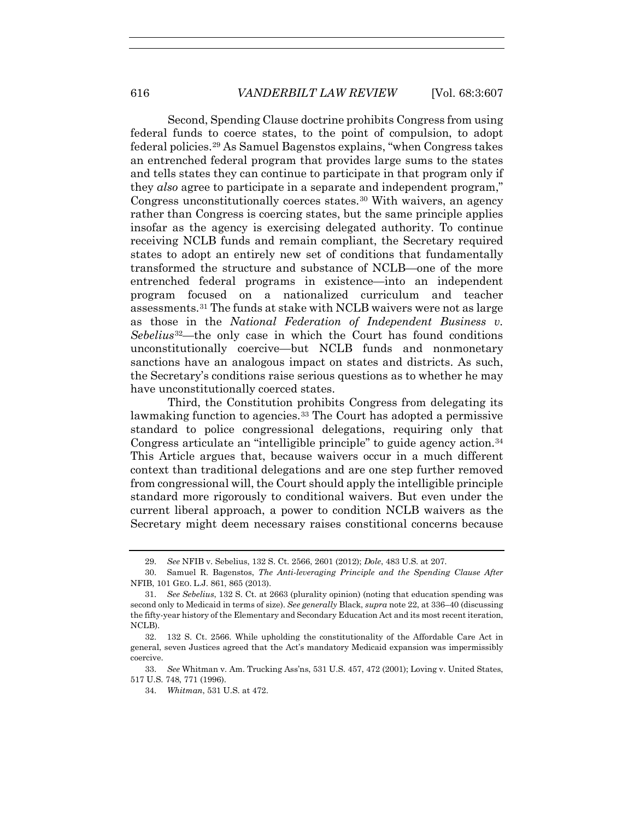Second, Spending Clause doctrine prohibits Congress from using federal funds to coerce states, to the point of compulsion, to adopt federal policies.29 As Samuel Bagenstos explains, "when Congress takes an entrenched federal program that provides large sums to the states and tells states they can continue to participate in that program only if they *also* agree to participate in a separate and independent program," Congress unconstitutionally coerces states.30 With waivers, an agency rather than Congress is coercing states, but the same principle applies insofar as the agency is exercising delegated authority. To continue receiving NCLB funds and remain compliant, the Secretary required states to adopt an entirely new set of conditions that fundamentally transformed the structure and substance of NCLB—one of the more entrenched federal programs in existence—into an independent program focused on a nationalized curriculum and teacher assessments.31 The funds at stake with NCLB waivers were not as large as those in the *National Federation of Independent Business v. Sebelius*32—the only case in which the Court has found conditions unconstitutionally coercive—but NCLB funds and nonmonetary sanctions have an analogous impact on states and districts. As such, the Secretary's conditions raise serious questions as to whether he may have unconstitutionally coerced states.

Third, the Constitution prohibits Congress from delegating its lawmaking function to agencies.<sup>33</sup> The Court has adopted a permissive standard to police congressional delegations, requiring only that Congress articulate an "intelligible principle" to guide agency action.<sup>34</sup> This Article argues that, because waivers occur in a much different context than traditional delegations and are one step further removed from congressional will, the Court should apply the intelligible principle standard more rigorously to conditional waivers. But even under the current liberal approach, a power to condition NCLB waivers as the Secretary might deem necessary raises constitional concerns because

<sup>29.</sup> *See* NFIB v. Sebelius, 132 S. Ct. 2566, 2601 (2012); *Dole*, 483 U.S. at 207.

<sup>30.</sup> Samuel R. Bagenstos, *The Anti-leveraging Principle and the Spending Clause After*  NFIB, 101 GEO. L.J. 861, 865 (2013).

<sup>31.</sup> *See Sebelius*, 132 S. Ct. at 2663 (plurality opinion) (noting that education spending was second only to Medicaid in terms of size). *See generally* Black, *supra* note 22, at 336–40 (discussing the fifty-year history of the Elementary and Secondary Education Act and its most recent iteration, NCLB).

<sup>32. 132</sup> S. Ct. 2566. While upholding the constitutionality of the Affordable Care Act in general, seven Justices agreed that the Act's mandatory Medicaid expansion was impermissibly coercive.

<sup>33.</sup> *See* Whitman v. Am. Trucking Ass'ns, 531 U.S. 457, 472 (2001); Loving v. United States, 517 U.S. 748, 771 (1996).

<sup>34.</sup> *Whitman*, 531 U.S. at 472.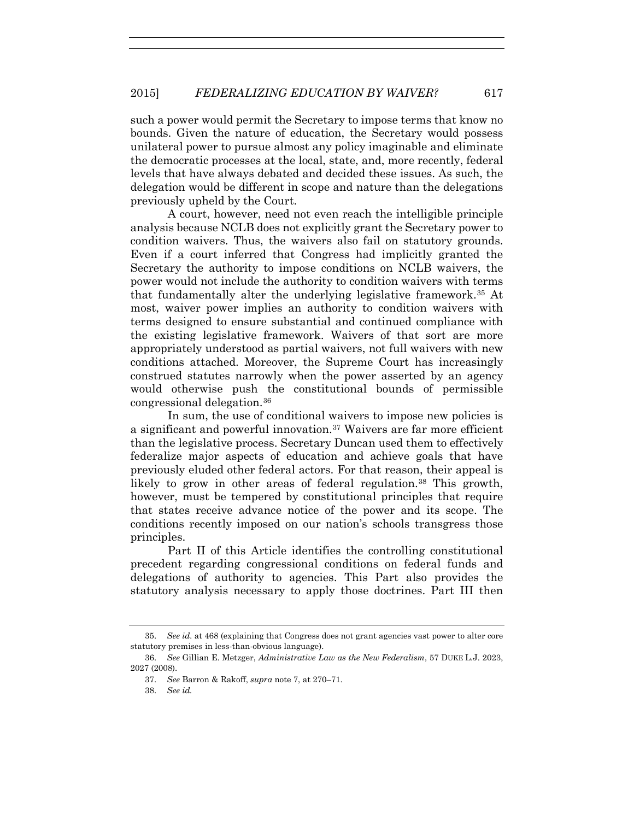such a power would permit the Secretary to impose terms that know no bounds. Given the nature of education, the Secretary would possess unilateral power to pursue almost any policy imaginable and eliminate the democratic processes at the local, state, and, more recently, federal levels that have always debated and decided these issues. As such, the delegation would be different in scope and nature than the delegations previously upheld by the Court.

A court, however, need not even reach the intelligible principle analysis because NCLB does not explicitly grant the Secretary power to condition waivers. Thus, the waivers also fail on statutory grounds. Even if a court inferred that Congress had implicitly granted the Secretary the authority to impose conditions on NCLB waivers, the power would not include the authority to condition waivers with terms that fundamentally alter the underlying legislative framework.35 At most, waiver power implies an authority to condition waivers with terms designed to ensure substantial and continued compliance with the existing legislative framework. Waivers of that sort are more appropriately understood as partial waivers, not full waivers with new conditions attached. Moreover, the Supreme Court has increasingly construed statutes narrowly when the power asserted by an agency would otherwise push the constitutional bounds of permissible congressional delegation.36

In sum, the use of conditional waivers to impose new policies is a significant and powerful innovation.37 Waivers are far more efficient than the legislative process. Secretary Duncan used them to effectively federalize major aspects of education and achieve goals that have previously eluded other federal actors. For that reason, their appeal is likely to grow in other areas of federal regulation.<sup>38</sup> This growth, however, must be tempered by constitutional principles that require that states receive advance notice of the power and its scope. The conditions recently imposed on our nation's schools transgress those principles.

Part II of this Article identifies the controlling constitutional precedent regarding congressional conditions on federal funds and delegations of authority to agencies. This Part also provides the statutory analysis necessary to apply those doctrines. Part III then

<sup>35.</sup> *See id.* at 468 (explaining that Congress does not grant agencies vast power to alter core statutory premises in less-than-obvious language).

<sup>36.</sup> *See* Gillian E. Metzger, *Administrative Law as the New Federalism*, 57 DUKE L.J. 2023, 2027 (2008).

<sup>37.</sup> *See* Barron & Rakoff, *supra* note 7, at 270–71.

<sup>38.</sup> *See id.*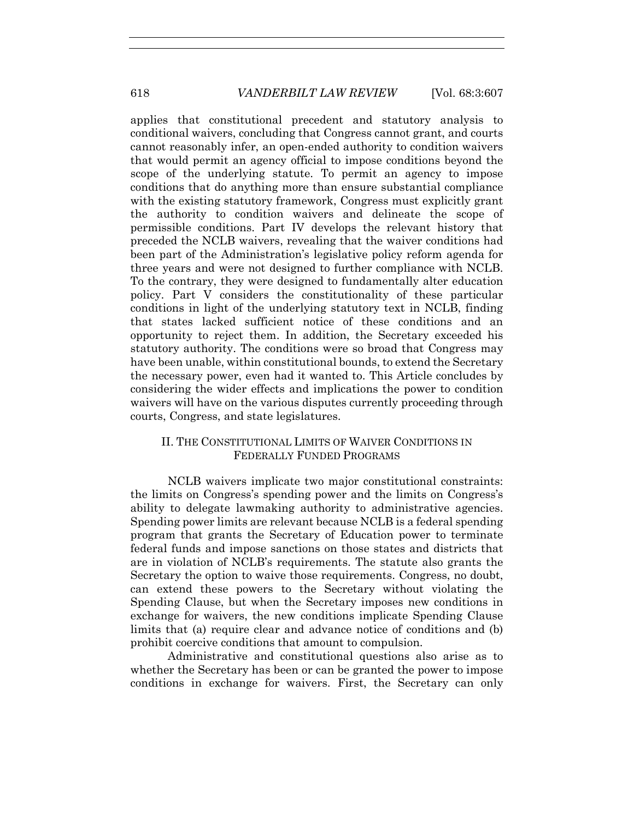applies that constitutional precedent and statutory analysis to conditional waivers, concluding that Congress cannot grant, and courts cannot reasonably infer, an open-ended authority to condition waivers that would permit an agency official to impose conditions beyond the scope of the underlying statute. To permit an agency to impose conditions that do anything more than ensure substantial compliance with the existing statutory framework, Congress must explicitly grant the authority to condition waivers and delineate the scope of permissible conditions. Part IV develops the relevant history that preceded the NCLB waivers, revealing that the waiver conditions had been part of the Administration's legislative policy reform agenda for three years and were not designed to further compliance with NCLB. To the contrary, they were designed to fundamentally alter education policy. Part V considers the constitutionality of these particular conditions in light of the underlying statutory text in NCLB, finding that states lacked sufficient notice of these conditions and an opportunity to reject them. In addition, the Secretary exceeded his statutory authority. The conditions were so broad that Congress may have been unable, within constitutional bounds, to extend the Secretary the necessary power, even had it wanted to. This Article concludes by considering the wider effects and implications the power to condition waivers will have on the various disputes currently proceeding through courts, Congress, and state legislatures.

## II. THE CONSTITUTIONAL LIMITS OF WAIVER CONDITIONS IN FEDERALLY FUNDED PROGRAMS

NCLB waivers implicate two major constitutional constraints: the limits on Congress's spending power and the limits on Congress's ability to delegate lawmaking authority to administrative agencies. Spending power limits are relevant because NCLB is a federal spending program that grants the Secretary of Education power to terminate federal funds and impose sanctions on those states and districts that are in violation of NCLB's requirements. The statute also grants the Secretary the option to waive those requirements. Congress, no doubt, can extend these powers to the Secretary without violating the Spending Clause, but when the Secretary imposes new conditions in exchange for waivers, the new conditions implicate Spending Clause limits that (a) require clear and advance notice of conditions and (b) prohibit coercive conditions that amount to compulsion.

Administrative and constitutional questions also arise as to whether the Secretary has been or can be granted the power to impose conditions in exchange for waivers. First, the Secretary can only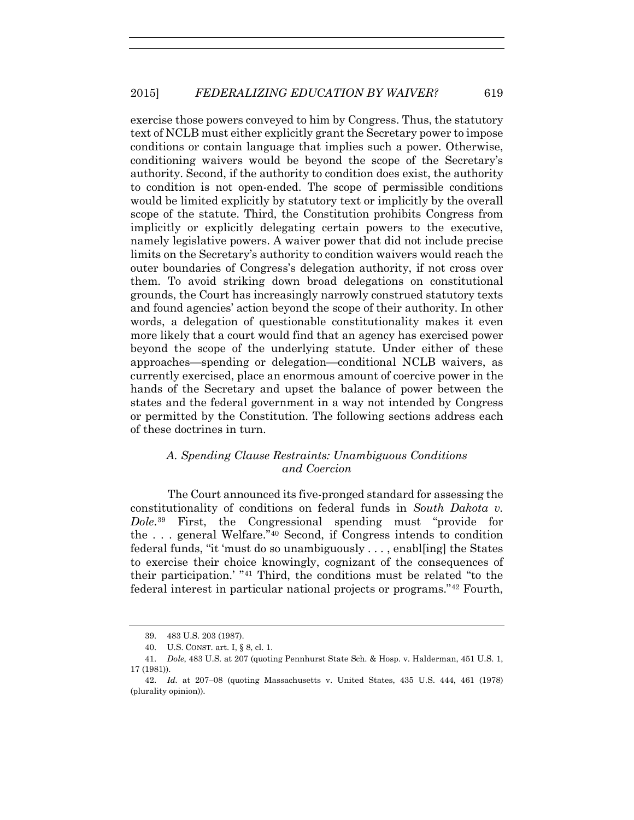exercise those powers conveyed to him by Congress. Thus, the statutory text of NCLB must either explicitly grant the Secretary power to impose conditions or contain language that implies such a power. Otherwise, conditioning waivers would be beyond the scope of the Secretary's authority. Second, if the authority to condition does exist, the authority to condition is not open-ended. The scope of permissible conditions would be limited explicitly by statutory text or implicitly by the overall scope of the statute. Third, the Constitution prohibits Congress from implicitly or explicitly delegating certain powers to the executive, namely legislative powers. A waiver power that did not include precise limits on the Secretary's authority to condition waivers would reach the outer boundaries of Congress's delegation authority, if not cross over them. To avoid striking down broad delegations on constitutional grounds, the Court has increasingly narrowly construed statutory texts and found agencies' action beyond the scope of their authority. In other words, a delegation of questionable constitutionality makes it even more likely that a court would find that an agency has exercised power beyond the scope of the underlying statute. Under either of these approaches—spending or delegation—conditional NCLB waivers, as currently exercised, place an enormous amount of coercive power in the hands of the Secretary and upset the balance of power between the states and the federal government in a way not intended by Congress or permitted by the Constitution. The following sections address each of these doctrines in turn.

## *A. Spending Clause Restraints: Unambiguous Conditions and Coercion*

The Court announced its five-pronged standard for assessing the constitutionality of conditions on federal funds in *South Dakota v. Dole*.39 First, the Congressional spending must "provide for the . . . general Welfare."40 Second, if Congress intends to condition federal funds, "it 'must do so unambiguously . . . , enabl[ing] the States to exercise their choice knowingly, cognizant of the consequences of their participation.' "41 Third, the conditions must be related "to the federal interest in particular national projects or programs."42 Fourth,

<sup>39. 483</sup> U.S. 203 (1987).

<sup>40.</sup> U.S. CONST. art. I, § 8, cl. 1.

<sup>41.</sup> *Dole*, 483 U.S. at 207 (quoting Pennhurst State Sch. & Hosp. v. Halderman, 451 U.S. 1, 17 (1981)).

<sup>42.</sup> *Id.* at 207–08 (quoting Massachusetts v. United States, 435 U.S. 444, 461 (1978) (plurality opinion)).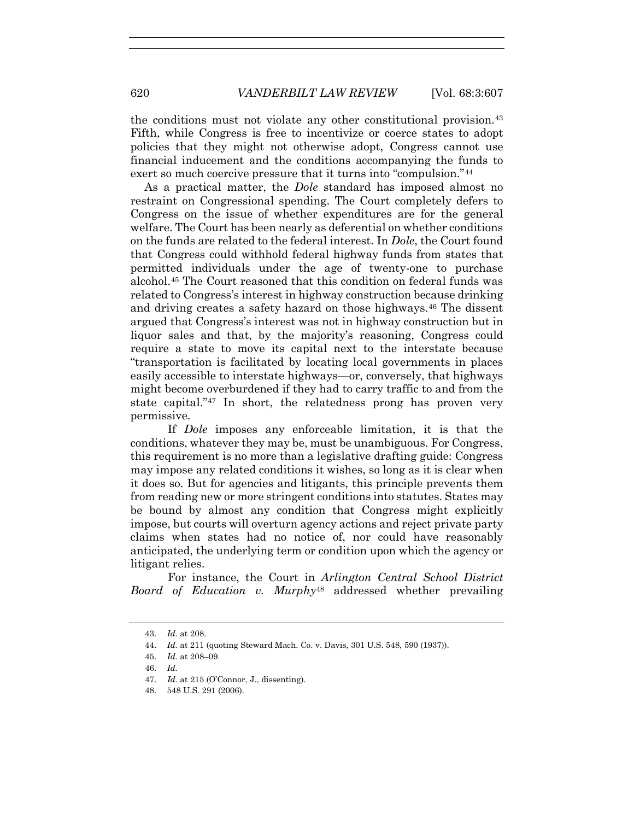the conditions must not violate any other constitutional provision.<sup>43</sup> Fifth, while Congress is free to incentivize or coerce states to adopt policies that they might not otherwise adopt, Congress cannot use financial inducement and the conditions accompanying the funds to exert so much coercive pressure that it turns into "compulsion."<sup>44</sup>

As a practical matter, the *Dole* standard has imposed almost no restraint on Congressional spending. The Court completely defers to Congress on the issue of whether expenditures are for the general welfare. The Court has been nearly as deferential on whether conditions on the funds are related to the federal interest. In *Dole*, the Court found that Congress could withhold federal highway funds from states that permitted individuals under the age of twenty-one to purchase alcohol.45 The Court reasoned that this condition on federal funds was related to Congress's interest in highway construction because drinking and driving creates a safety hazard on those highways.<sup>46</sup> The dissent argued that Congress's interest was not in highway construction but in liquor sales and that, by the majority's reasoning, Congress could require a state to move its capital next to the interstate because "transportation is facilitated by locating local governments in places easily accessible to interstate highways—or, conversely, that highways might become overburdened if they had to carry traffic to and from the state capital."47 In short, the relatedness prong has proven very permissive.

If *Dole* imposes any enforceable limitation, it is that the conditions, whatever they may be, must be unambiguous. For Congress, this requirement is no more than a legislative drafting guide: Congress may impose any related conditions it wishes, so long as it is clear when it does so. But for agencies and litigants, this principle prevents them from reading new or more stringent conditions into statutes. States may be bound by almost any condition that Congress might explicitly impose, but courts will overturn agency actions and reject private party claims when states had no notice of, nor could have reasonably anticipated, the underlying term or condition upon which the agency or litigant relies.

For instance, the Court in *Arlington Central School District Board of Education v. Murphy*<sup>48</sup> addressed whether prevailing

<sup>43.</sup> *Id.* at 208.

<sup>44.</sup> *Id.* at 211 (quoting Steward Mach. Co. v. Davis, 301 U.S. 548, 590 (1937)).

<sup>45.</sup> *Id.* at 208–09.

<sup>46.</sup> *Id.*

<sup>47.</sup> *Id.* at 215 (O'Connor, J., dissenting).

<sup>48. 548</sup> U.S. 291 (2006).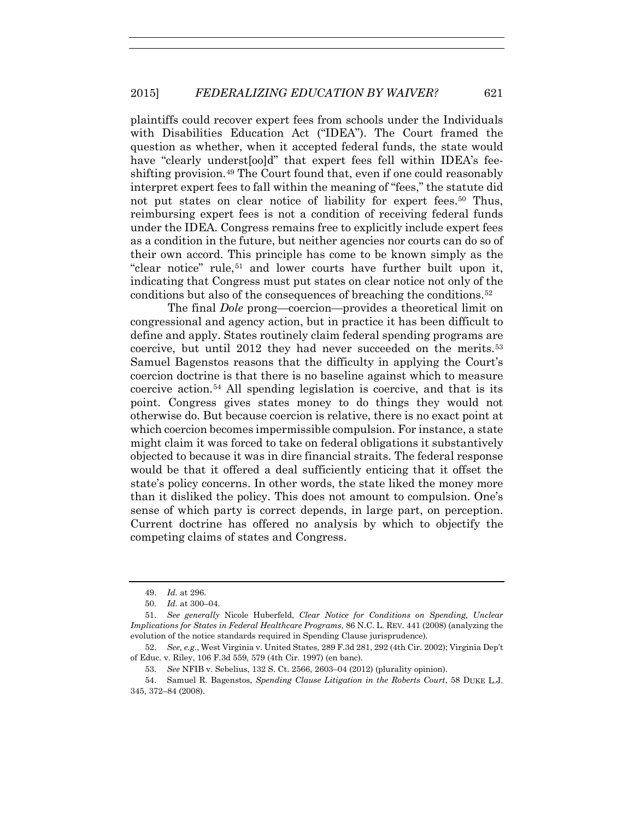plaintiffs could recover expert fees from schools under the Individuals with Disabilities Education Act ("IDEA"). The Court framed the question as whether, when it accepted federal funds, the state would have "clearly underst[oo]d" that expert fees fell within IDEA's feeshifting provision.49 The Court found that, even if one could reasonably interpret expert fees to fall within the meaning of "fees," the statute did not put states on clear notice of liability for expert fees.50 Thus, reimbursing expert fees is not a condition of receiving federal funds under the IDEA. Congress remains free to explicitly include expert fees as a condition in the future, but neither agencies nor courts can do so of their own accord. This principle has come to be known simply as the "clear notice" rule,<sup>51</sup> and lower courts have further built upon it, indicating that Congress must put states on clear notice not only of the conditions but also of the consequences of breaching the conditions.52

The final *Dole* prong—coercion—provides a theoretical limit on congressional and agency action, but in practice it has been difficult to define and apply. States routinely claim federal spending programs are coercive, but until 2012 they had never succeeded on the merits.53 Samuel Bagenstos reasons that the difficulty in applying the Court's coercion doctrine is that there is no baseline against which to measure coercive action.54 All spending legislation is coercive, and that is its point. Congress gives states money to do things they would not otherwise do. But because coercion is relative, there is no exact point at which coercion becomes impermissible compulsion. For instance, a state might claim it was forced to take on federal obligations it substantively objected to because it was in dire financial straits. The federal response would be that it offered a deal sufficiently enticing that it offset the state's policy concerns. In other words, the state liked the money more than it disliked the policy. This does not amount to compulsion. One's sense of which party is correct depends, in large part, on perception. Current doctrine has offered no analysis by which to objectify the competing claims of states and Congress.

<sup>49.</sup> *Id.* at 296.

<sup>50.</sup> *Id.* at 300–04.

<sup>51.</sup> *See generally* Nicole Huberfeld, *Clear Notice for Conditions on Spending, Unclear Implications for States in Federal Healthcare Programs*, 86 N.C. L. REV. 441 (2008) (analyzing the evolution of the notice standards required in Spending Clause jurisprudence).

<sup>52.</sup> *See, e.g.*, West Virginia v. United States, 289 F.3d 281, 292 (4th Cir. 2002); Virginia Dep't of Educ. v. Riley, 106 F.3d 559, 579 (4th Cir. 1997) (en banc).

<sup>53.</sup> *See* NFIB v. Sebelius, 132 S. Ct. 2566, 2603–04 (2012) (plurality opinion).

<sup>54.</sup> Samuel R. Bagenstos, *Spending Clause Litigation in the Roberts Court*, 58 DUKE L.J. 345, 372–84 (2008).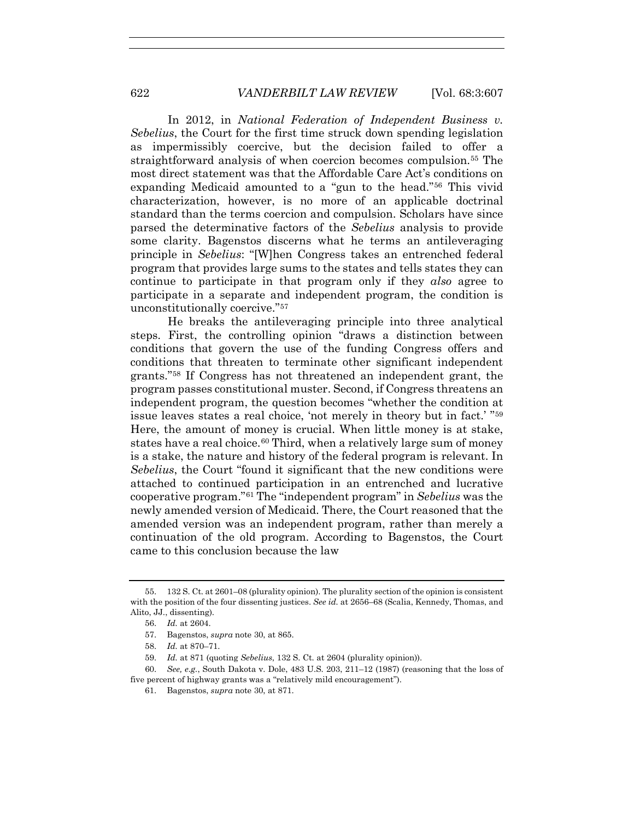In 2012, in *National Federation of Independent Business v. Sebelius*, the Court for the first time struck down spending legislation as impermissibly coercive, but the decision failed to offer a straightforward analysis of when coercion becomes compulsion.55 The most direct statement was that the Affordable Care Act's conditions on expanding Medicaid amounted to a "gun to the head."56 This vivid characterization, however, is no more of an applicable doctrinal standard than the terms coercion and compulsion. Scholars have since parsed the determinative factors of the *Sebelius* analysis to provide some clarity. Bagenstos discerns what he terms an antileveraging principle in *Sebelius*: "[W]hen Congress takes an entrenched federal program that provides large sums to the states and tells states they can continue to participate in that program only if they *also* agree to participate in a separate and independent program, the condition is unconstitutionally coercive."57

He breaks the antileveraging principle into three analytical steps. First, the controlling opinion "draws a distinction between conditions that govern the use of the funding Congress offers and conditions that threaten to terminate other significant independent grants."58 If Congress has not threatened an independent grant, the program passes constitutional muster. Second, if Congress threatens an independent program, the question becomes "whether the condition at issue leaves states a real choice, 'not merely in theory but in fact.' "59 Here, the amount of money is crucial. When little money is at stake, states have a real choice.<sup>60</sup> Third, when a relatively large sum of money is a stake, the nature and history of the federal program is relevant. In *Sebelius*, the Court "found it significant that the new conditions were attached to continued participation in an entrenched and lucrative cooperative program."61 The "independent program" in *Sebelius* was the newly amended version of Medicaid. There, the Court reasoned that the amended version was an independent program, rather than merely a continuation of the old program. According to Bagenstos, the Court came to this conclusion because the law

- 57. Bagenstos, *supra* note 30, at 865.
- 58. *Id.* at 870–71.
- 59. *Id.* at 871 (quoting *Sebelius*, 132 S. Ct. at 2604 (plurality opinion)).

<sup>55. 132</sup> S. Ct. at 2601–08 (plurality opinion). The plurality section of the opinion is consistent with the position of the four dissenting justices. *See id.* at 2656–68 (Scalia, Kennedy, Thomas, and Alito, JJ., dissenting).

<sup>56.</sup> *Id.* at 2604.

<sup>60.</sup> *See, e.g.*, South Dakota v. Dole, 483 U.S. 203, 211–12 (1987) (reasoning that the loss of five percent of highway grants was a "relatively mild encouragement").

<sup>61.</sup> Bagenstos, *supra* note 30, at 871.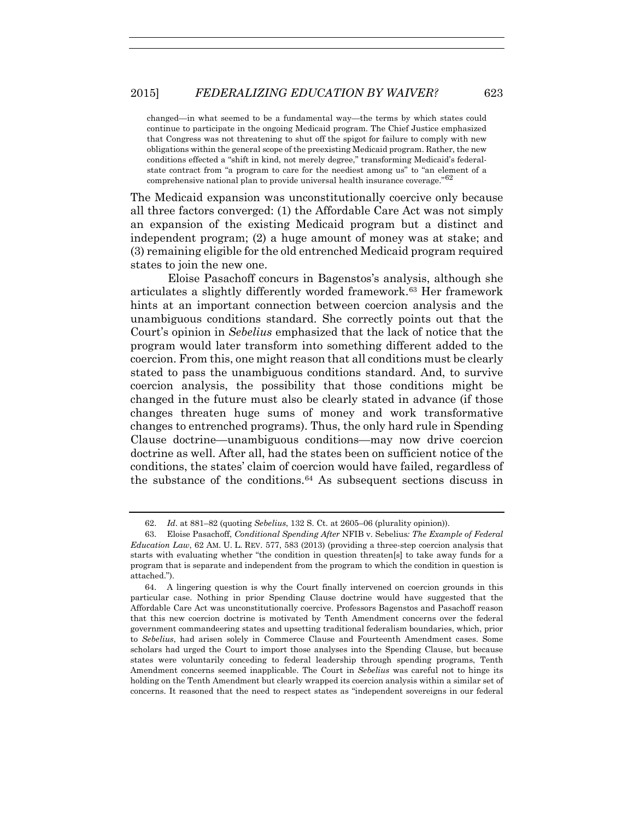changed—in what seemed to be a fundamental way—the terms by which states could continue to participate in the ongoing Medicaid program. The Chief Justice emphasized that Congress was not threatening to shut off the spigot for failure to comply with new obligations within the general scope of the preexisting Medicaid program. Rather, the new conditions effected a "shift in kind, not merely degree," transforming Medicaid's federalstate contract from "a program to care for the neediest among us" to "an element of a comprehensive national plan to provide universal health insurance coverage."<sup>62</sup>

The Medicaid expansion was unconstitutionally coercive only because all three factors converged: (1) the Affordable Care Act was not simply an expansion of the existing Medicaid program but a distinct and independent program; (2) a huge amount of money was at stake; and (3) remaining eligible for the old entrenched Medicaid program required states to join the new one.

Eloise Pasachoff concurs in Bagenstos's analysis, although she articulates a slightly differently worded framework.63 Her framework hints at an important connection between coercion analysis and the unambiguous conditions standard. She correctly points out that the Court's opinion in *Sebelius* emphasized that the lack of notice that the program would later transform into something different added to the coercion. From this, one might reason that all conditions must be clearly stated to pass the unambiguous conditions standard. And, to survive coercion analysis, the possibility that those conditions might be changed in the future must also be clearly stated in advance (if those changes threaten huge sums of money and work transformative changes to entrenched programs). Thus, the only hard rule in Spending Clause doctrine—unambiguous conditions—may now drive coercion doctrine as well. After all, had the states been on sufficient notice of the conditions, the states' claim of coercion would have failed, regardless of the substance of the conditions.<sup>64</sup> As subsequent sections discuss in

<sup>62.</sup> *Id*. at 881–82 (quoting *Sebelius*, 132 S. Ct. at 2605–06 (plurality opinion)).

<sup>63.</sup> Eloise Pasachoff, *Conditional Spending After* NFIB v. Sebelius*: The Example of Federal Education Law*, 62 AM. U. L. REV. 577, 583 (2013) (providing a three-step coercion analysis that starts with evaluating whether "the condition in question threaten[s] to take away funds for a program that is separate and independent from the program to which the condition in question is attached.").

<sup>64.</sup> A lingering question is why the Court finally intervened on coercion grounds in this particular case. Nothing in prior Spending Clause doctrine would have suggested that the Affordable Care Act was unconstitutionally coercive. Professors Bagenstos and Pasachoff reason that this new coercion doctrine is motivated by Tenth Amendment concerns over the federal government commandeering states and upsetting traditional federalism boundaries, which, prior to *Sebelius*, had arisen solely in Commerce Clause and Fourteenth Amendment cases. Some scholars had urged the Court to import those analyses into the Spending Clause, but because states were voluntarily conceding to federal leadership through spending programs, Tenth Amendment concerns seemed inapplicable. The Court in *Sebelius* was careful not to hinge its holding on the Tenth Amendment but clearly wrapped its coercion analysis within a similar set of concerns. It reasoned that the need to respect states as "independent sovereigns in our federal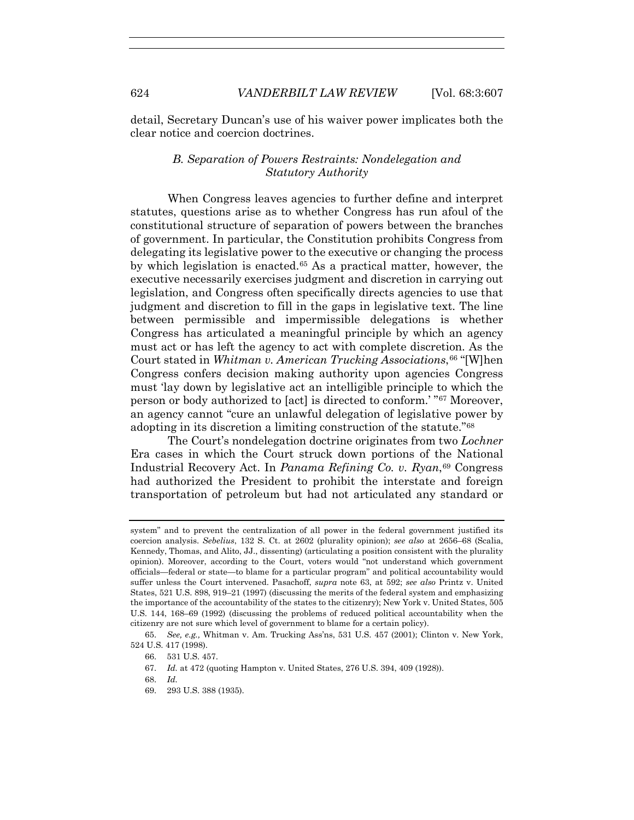detail, Secretary Duncan's use of his waiver power implicates both the clear notice and coercion doctrines.

## *B. Separation of Powers Restraints: Nondelegation and Statutory Authority*

When Congress leaves agencies to further define and interpret statutes, questions arise as to whether Congress has run afoul of the constitutional structure of separation of powers between the branches of government. In particular, the Constitution prohibits Congress from delegating its legislative power to the executive or changing the process by which legislation is enacted.65 As a practical matter, however, the executive necessarily exercises judgment and discretion in carrying out legislation, and Congress often specifically directs agencies to use that judgment and discretion to fill in the gaps in legislative text. The line between permissible and impermissible delegations is whether Congress has articulated a meaningful principle by which an agency must act or has left the agency to act with complete discretion. As the Court stated in *Whitman v. American Trucking Associations*, <sup>66</sup> "[W]hen Congress confers decision making authority upon agencies Congress must 'lay down by legislative act an intelligible principle to which the person or body authorized to [act] is directed to conform.' "67 Moreover, an agency cannot "cure an unlawful delegation of legislative power by adopting in its discretion a limiting construction of the statute."68

The Court's nondelegation doctrine originates from two *Lochner* Era cases in which the Court struck down portions of the National Industrial Recovery Act. In *Panama Refining Co. v. Ryan*,69 Congress had authorized the President to prohibit the interstate and foreign transportation of petroleum but had not articulated any standard or

system" and to prevent the centralization of all power in the federal government justified its coercion analysis. *Sebelius*, 132 S. Ct. at 2602 (plurality opinion); *see also* at 2656–68 (Scalia, Kennedy, Thomas, and Alito, JJ., dissenting) (articulating a position consistent with the plurality opinion). Moreover, according to the Court, voters would "not understand which government officials—federal or state—to blame for a particular program" and political accountability would suffer unless the Court intervened. Pasachoff, *supra* note 63, at 592; *see also* Printz v. United States, 521 U.S. 898, 919–21 (1997) (discussing the merits of the federal system and emphasizing the importance of the accountability of the states to the citizenry); New York v. United States, 505 U.S. 144, 168–69 (1992) (discussing the problems of reduced political accountability when the citizenry are not sure which level of government to blame for a certain policy).

<sup>65.</sup> *See, e.g.,* Whitman v. Am. Trucking Ass'ns, 531 U.S. 457 (2001); Clinton v. New York, 524 U.S. 417 (1998).

<sup>66. 531</sup> U.S. 457.

<sup>67.</sup> *Id.* at 472 (quoting Hampton v. United States, 276 U.S. 394, 409 (1928)).

<sup>68.</sup> *Id.*

<sup>69. 293</sup> U.S. 388 (1935).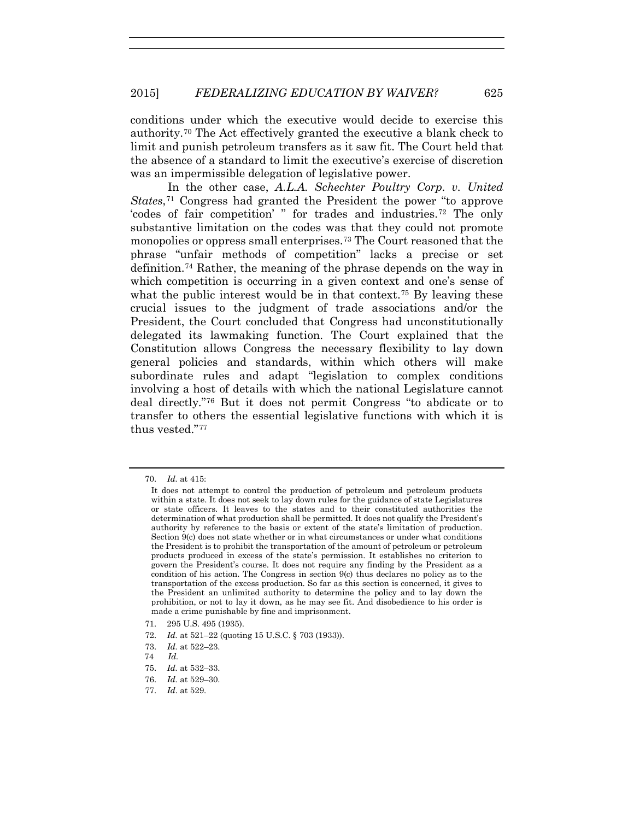conditions under which the executive would decide to exercise this authority.70 The Act effectively granted the executive a blank check to limit and punish petroleum transfers as it saw fit. The Court held that the absence of a standard to limit the executive's exercise of discretion was an impermissible delegation of legislative power.

In the other case, *A.L.A. Schechter Poultry Corp. v. United States*<sup>71</sup> Congress had granted the President the power "to approve 'codes of fair competition' " for trades and industries.72 The only substantive limitation on the codes was that they could not promote monopolies or oppress small enterprises.73 The Court reasoned that the phrase "unfair methods of competition" lacks a precise or set definition.74 Rather, the meaning of the phrase depends on the way in which competition is occurring in a given context and one's sense of what the public interest would be in that context.<sup>75</sup> By leaving these crucial issues to the judgment of trade associations and/or the President, the Court concluded that Congress had unconstitutionally delegated its lawmaking function. The Court explained that the Constitution allows Congress the necessary flexibility to lay down general policies and standards, within which others will make subordinate rules and adapt "legislation to complex conditions involving a host of details with which the national Legislature cannot deal directly."76 But it does not permit Congress "to abdicate or to transfer to others the essential legislative functions with which it is thus vested."77

<sup>70.</sup> *Id.* at 415:

It does not attempt to control the production of petroleum and petroleum products within a state. It does not seek to lay down rules for the guidance of state Legislatures or state officers. It leaves to the states and to their constituted authorities the determination of what production shall be permitted. It does not qualify the President's authority by reference to the basis or extent of the state's limitation of production. Section 9(c) does not state whether or in what circumstances or under what conditions the President is to prohibit the transportation of the amount of petroleum or petroleum products produced in excess of the state's permission. It establishes no criterion to govern the President's course. It does not require any finding by the President as a condition of his action. The Congress in section 9(c) thus declares no policy as to the transportation of the excess production. So far as this section is concerned, it gives to the President an unlimited authority to determine the policy and to lay down the prohibition, or not to lay it down, as he may see fit. And disobedience to his order is made a crime punishable by fine and imprisonment.

<sup>71. 295</sup> U.S. 495 (1935).

<sup>72.</sup> *Id.* at 521–22 (quoting 15 U.S.C. § 703 (1933)).

<sup>73.</sup> *Id.* at 522–23.

<sup>74</sup> *Id.*

<sup>75.</sup> *Id.* at 532–33.

<sup>76.</sup> *Id.* at 529–30.

<sup>77.</sup> *Id*. at 529.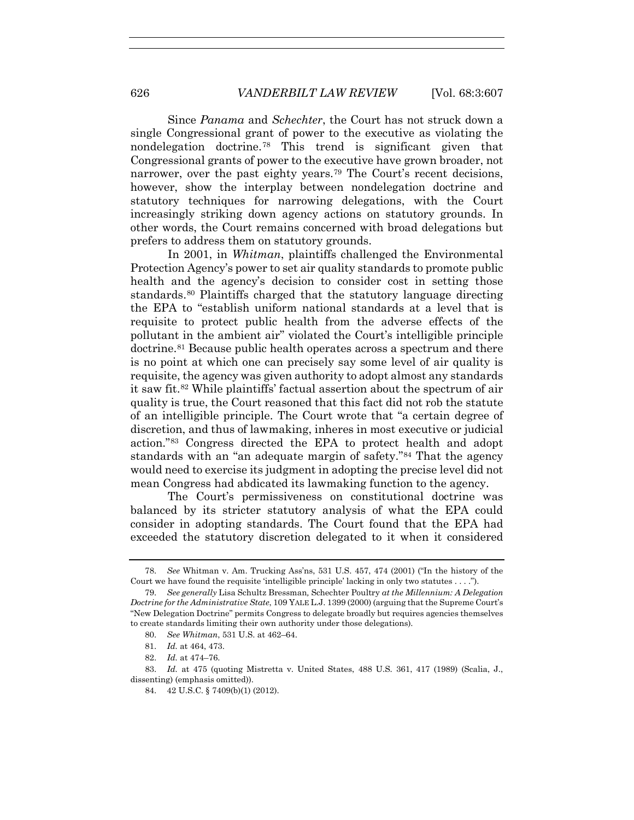Since *Panama* and *Schechter*, the Court has not struck down a single Congressional grant of power to the executive as violating the nondelegation doctrine.78 This trend is significant given that Congressional grants of power to the executive have grown broader, not narrower, over the past eighty years.<sup>79</sup> The Court's recent decisions, however, show the interplay between nondelegation doctrine and statutory techniques for narrowing delegations, with the Court increasingly striking down agency actions on statutory grounds. In other words, the Court remains concerned with broad delegations but prefers to address them on statutory grounds.

In 2001, in *Whitman*, plaintiffs challenged the Environmental Protection Agency's power to set air quality standards to promote public health and the agency's decision to consider cost in setting those standards.80 Plaintiffs charged that the statutory language directing the EPA to "establish uniform national standards at a level that is requisite to protect public health from the adverse effects of the pollutant in the ambient air" violated the Court's intelligible principle doctrine.81 Because public health operates across a spectrum and there is no point at which one can precisely say some level of air quality is requisite, the agency was given authority to adopt almost any standards it saw fit.82 While plaintiffs' factual assertion about the spectrum of air quality is true, the Court reasoned that this fact did not rob the statute of an intelligible principle. The Court wrote that "a certain degree of discretion, and thus of lawmaking, inheres in most executive or judicial action."83 Congress directed the EPA to protect health and adopt standards with an "an adequate margin of safety."84 That the agency would need to exercise its judgment in adopting the precise level did not mean Congress had abdicated its lawmaking function to the agency.

The Court's permissiveness on constitutional doctrine was balanced by its stricter statutory analysis of what the EPA could consider in adopting standards. The Court found that the EPA had exceeded the statutory discretion delegated to it when it considered

<sup>78.</sup> *See* Whitman v. Am. Trucking Ass'ns, 531 U.S. 457, 474 (2001) ("In the history of the Court we have found the requisite 'intelligible principle' lacking in only two statutes . . . .").

<sup>79.</sup> *See generally* Lisa Schultz Bressman*,* Schechter Poultry *at the Millennium: A Delegation Doctrine for the Administrative State*, 109 YALE L.J. 1399 (2000) (arguing that the Supreme Court's "New Delegation Doctrine" permits Congress to delegate broadly but requires agencies themselves to create standards limiting their own authority under those delegations).

<sup>80.</sup> *See Whitman*, 531 U.S. at 462–64.

<sup>81.</sup> *Id.* at 464, 473.

<sup>82.</sup> *Id.* at 474–76.

<sup>83.</sup> *Id.* at 475 (quoting Mistretta v. United States, 488 U.S. 361, 417 (1989) (Scalia, J., dissenting) (emphasis omitted)).

<sup>84. 42</sup> U.S.C. § 7409(b)(1) (2012).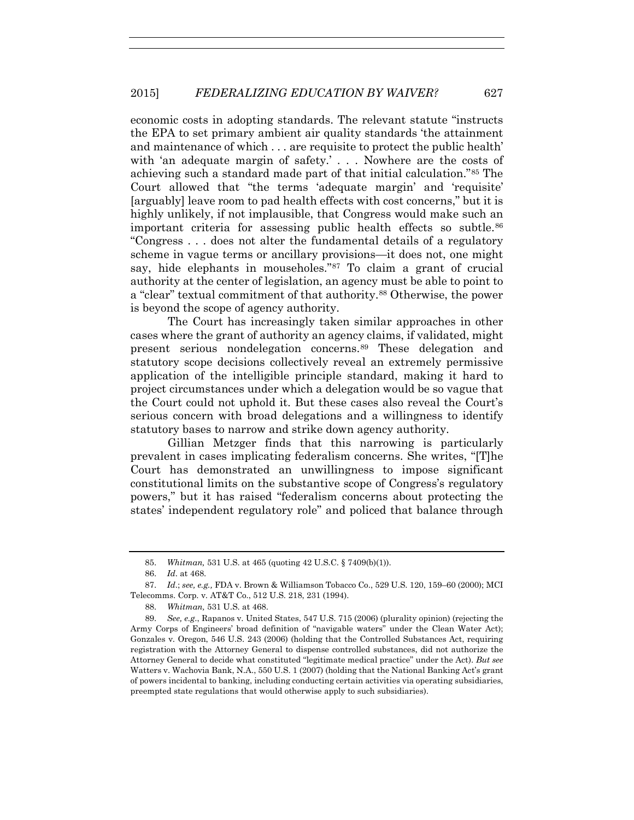economic costs in adopting standards. The relevant statute "instructs the EPA to set primary ambient air quality standards 'the attainment and maintenance of which . . . are requisite to protect the public health' with 'an adequate margin of safety.' . . . Nowhere are the costs of achieving such a standard made part of that initial calculation."85 The Court allowed that "the terms 'adequate margin' and 'requisite' [arguably] leave room to pad health effects with cost concerns," but it is highly unlikely, if not implausible, that Congress would make such an important criteria for assessing public health effects so subtle.<sup>86</sup> "Congress . . . does not alter the fundamental details of a regulatory scheme in vague terms or ancillary provisions—it does not, one might say, hide elephants in mouseholes."87 To claim a grant of crucial authority at the center of legislation, an agency must be able to point to a "clear" textual commitment of that authority.88 Otherwise, the power is beyond the scope of agency authority.

The Court has increasingly taken similar approaches in other cases where the grant of authority an agency claims, if validated, might present serious nondelegation concerns.89 These delegation and statutory scope decisions collectively reveal an extremely permissive application of the intelligible principle standard, making it hard to project circumstances under which a delegation would be so vague that the Court could not uphold it. But these cases also reveal the Court's serious concern with broad delegations and a willingness to identify statutory bases to narrow and strike down agency authority.

Gillian Metzger finds that this narrowing is particularly prevalent in cases implicating federalism concerns. She writes, "[T]he Court has demonstrated an unwillingness to impose significant constitutional limits on the substantive scope of Congress's regulatory powers," but it has raised "federalism concerns about protecting the states' independent regulatory role" and policed that balance through

<sup>85.</sup> *Whitman,* 531 U.S. at 465 (quoting 42 U.S.C. § 7409(b)(1)).

<sup>86.</sup> *Id*. at 468.

<sup>87.</sup> *Id*.; *see, e.g.,* FDA v. Brown & Williamson Tobacco Co., 529 U.S. 120, 159–60 (2000); MCI Telecomms. Corp. v. AT&T Co., 512 U.S. 218, 231 (1994).

<sup>88.</sup> *Whitman,* 531 U.S. at 468.

<sup>89.</sup> *See, e.g*., Rapanos v. United States, 547 U.S. 715 (2006) (plurality opinion) (rejecting the Army Corps of Engineers' broad definition of "navigable waters" under the Clean Water Act); Gonzales v. Oregon, 546 U.S. 243 (2006) (holding that the Controlled Substances Act, requiring registration with the Attorney General to dispense controlled substances, did not authorize the Attorney General to decide what constituted "legitimate medical practice" under the Act). *But see* Watters v. Wachovia Bank, N.A., 550 U.S. 1 (2007) (holding that the National Banking Act's grant of powers incidental to banking, including conducting certain activities via operating subsidiaries, preempted state regulations that would otherwise apply to such subsidiaries).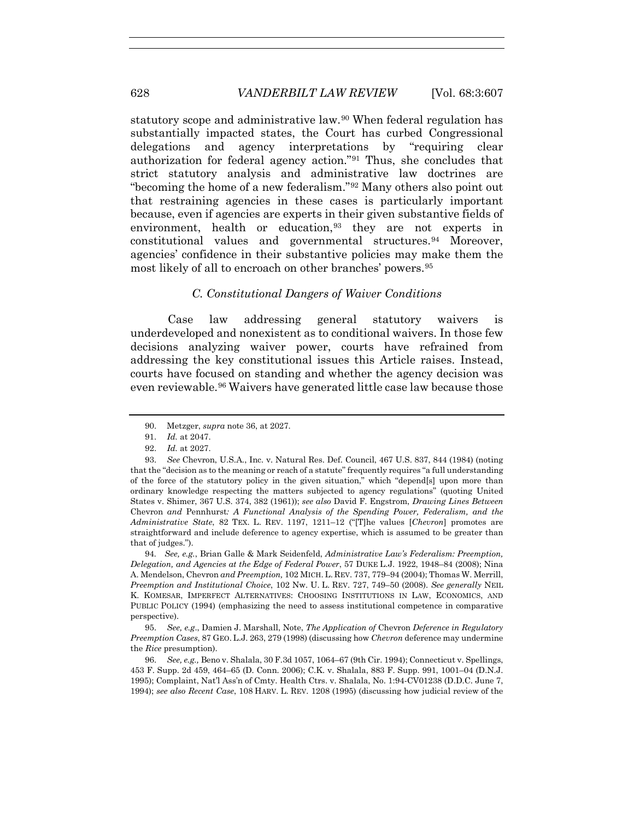statutory scope and administrative law.<sup>90</sup> When federal regulation has substantially impacted states, the Court has curbed Congressional delegations and agency interpretations by "requiring clear authorization for federal agency action."91 Thus, she concludes that strict statutory analysis and administrative law doctrines are "becoming the home of a new federalism."92 Many others also point out that restraining agencies in these cases is particularly important because, even if agencies are experts in their given substantive fields of environment, health or education,<sup>93</sup> they are not experts in constitutional values and governmental structures.94 Moreover, agencies' confidence in their substantive policies may make them the most likely of all to encroach on other branches' powers.95

### *C. Constitutional Dangers of Waiver Conditions*

Case law addressing general statutory waivers is underdeveloped and nonexistent as to conditional waivers. In those few decisions analyzing waiver power, courts have refrained from addressing the key constitutional issues this Article raises. Instead, courts have focused on standing and whether the agency decision was even reviewable.96 Waivers have generated little case law because those

94*. See, e.g.*, Brian Galle & Mark Seidenfeld, *Administrative Law's Federalism: Preemption, Delegation, and Agencies at the Edge of Federal Power*, 57 DUKE L.J. 1922, 1948–84 (2008); Nina A. Mendelson, Chevron *and Preemption,* 102 MICH. L. REV. 737, 779–94 (2004); Thomas W. Merrill, *Preemption and Institutional Choice*, 102 Nw. U. L. REV. 727, 749–50 (2008). *See generally* NEIL K. KOMESAR, IMPERFECT ALTERNATIVES: CHOOSING INSTITUTIONS IN LAW, ECONOMICS, AND PUBLIC POLICY (1994) (emphasizing the need to assess institutional competence in comparative perspective).

95. *See, e.g*., Damien J. Marshall, Note, *The Application of* Chevron *Deference in Regulatory Preemption Cases*, 87 GEO. L.J. 263, 279 (1998) (discussing how *Chevron* deference may undermine the *Rice* presumption).

96. *See, e.g.,* Beno v. Shalala, 30 F.3d 1057, 1064–67 (9th Cir. 1994); Connecticut v. Spellings, 453 F. Supp. 2d 459, 464–65 (D. Conn. 2006); C.K. v. Shalala, 883 F. Supp. 991, 1001–04 (D.N.J. 1995); Complaint, Nat'l Ass'n of Cmty. Health Ctrs. v. Shalala, No. 1:94-CV01238 (D.D.C. June 7, 1994); *see also Recent Case*, 108 HARV. L. REV. 1208 (1995) (discussing how judicial review of the

<sup>90.</sup> Metzger, *supra* note 36, at 2027.

<sup>91.</sup> *Id.* at 2047.

<sup>92.</sup> *Id.* at 2027.

<sup>93.</sup> *See* Chevron, U.S.A., Inc. v. Natural Res. Def. Council, 467 U.S. 837, 844 (1984) (noting that the "decision as to the meaning or reach of a statute" frequently requires "a full understanding of the force of the statutory policy in the given situation," which "depend[s] upon more than ordinary knowledge respecting the matters subjected to agency regulations" (quoting United States v. Shimer, 367 U.S. 374, 382 (1961)); *see also* David F. Engstrom, *Drawing Lines Between*  Chevron *and* Pennhurst*: A Functional Analysis of the Spending Power, Federalism, and the Administrative State*, 82 TEX. L. REV. 1197, 1211–12 ("[T]he values [*Chevron*] promotes are straightforward and include deference to agency expertise, which is assumed to be greater than that of judges.").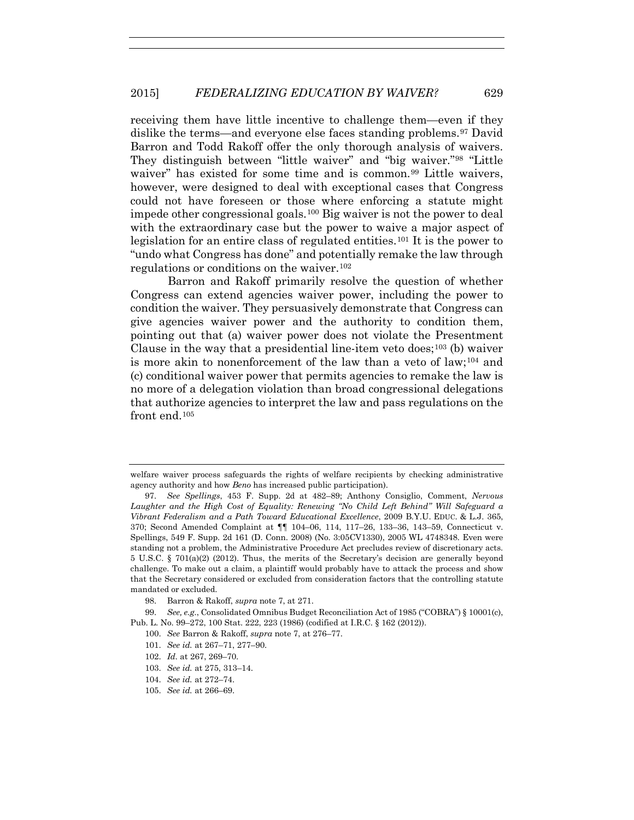receiving them have little incentive to challenge them—even if they dislike the terms—and everyone else faces standing problems.97 David Barron and Todd Rakoff offer the only thorough analysis of waivers. They distinguish between "little waiver" and "big waiver."98 "Little waiver" has existed for some time and is common.<sup>99</sup> Little waivers, however, were designed to deal with exceptional cases that Congress could not have foreseen or those where enforcing a statute might impede other congressional goals.100 Big waiver is not the power to deal with the extraordinary case but the power to waive a major aspect of legislation for an entire class of regulated entities.<sup>101</sup> It is the power to "undo what Congress has done" and potentially remake the law through regulations or conditions on the waiver.102

Barron and Rakoff primarily resolve the question of whether Congress can extend agencies waiver power, including the power to condition the waiver. They persuasively demonstrate that Congress can give agencies waiver power and the authority to condition them, pointing out that (a) waiver power does not violate the Presentment Clause in the way that a presidential line-item veto does;<sup>103</sup> (b) waiver is more akin to nonenforcement of the law than a veto of law;<sup>104</sup> and (c) conditional waiver power that permits agencies to remake the law is no more of a delegation violation than broad congressional delegations that authorize agencies to interpret the law and pass regulations on the front end.105

welfare waiver process safeguards the rights of welfare recipients by checking administrative agency authority and how *Beno* has increased public participation).

<sup>97.</sup> *See Spellings*, 453 F. Supp. 2d at 482–89; Anthony Consiglio, Comment, *Nervous Laughter and the High Cost of Equality: Renewing "No Child Left Behind" Will Safeguard a Vibrant Federalism and a Path Toward Educational Excellence*, 2009 B.Y.U. EDUC. & L.J. 365, 370; Second Amended Complaint at ¶¶ 104–06, 114, 117–26, 133–36, 143–59, Connecticut v. Spellings, 549 F. Supp. 2d 161 (D. Conn. 2008) (No. 3:05CV1330), 2005 WL 4748348. Even were standing not a problem, the Administrative Procedure Act precludes review of discretionary acts. 5 U.S.C. § 701(a)(2) (2012). Thus, the merits of the Secretary's decision are generally beyond challenge. To make out a claim, a plaintiff would probably have to attack the process and show that the Secretary considered or excluded from consideration factors that the controlling statute mandated or excluded.

<sup>98.</sup> Barron & Rakoff, *supra* note 7, at 271.

<sup>99.</sup> *See, e.g.*, Consolidated Omnibus Budget Reconciliation Act of 1985 ("COBRA") § 10001(c), Pub. L. No. 99–272, 100 Stat. 222, 223 (1986) (codified at I.R.C. § 162 (2012)).

<sup>100.</sup> *See* Barron & Rakoff, *supra* note 7, at 276–77.

<sup>101.</sup> *See id.* at 267–71, 277–90.

<sup>102.</sup> *Id.* at 267, 269–70.

<sup>103.</sup> *See id.* at 275, 313–14.

<sup>104.</sup> *See id.* at 272–74.

<sup>105.</sup> *See id.* at 266–69.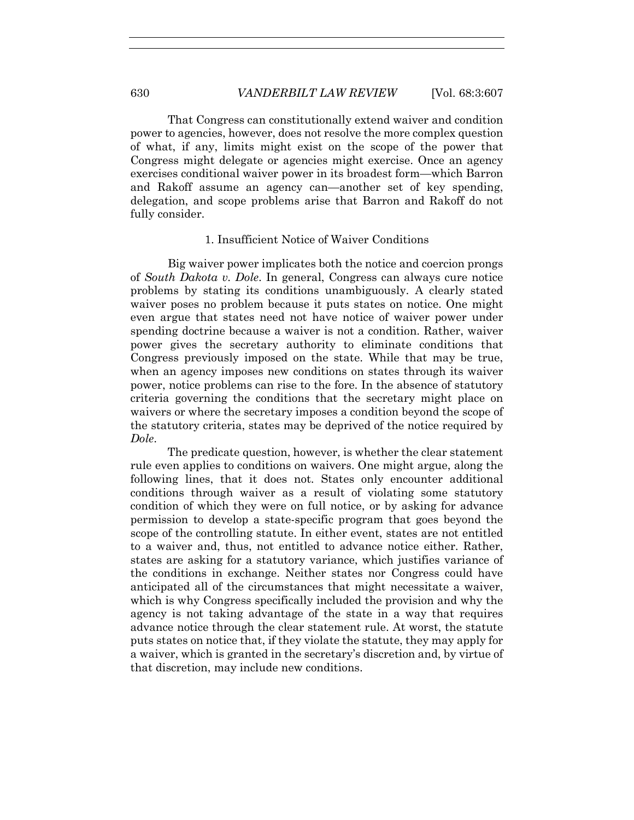That Congress can constitutionally extend waiver and condition power to agencies, however, does not resolve the more complex question of what, if any, limits might exist on the scope of the power that Congress might delegate or agencies might exercise. Once an agency exercises conditional waiver power in its broadest form—which Barron and Rakoff assume an agency can—another set of key spending, delegation, and scope problems arise that Barron and Rakoff do not fully consider.

## 1. Insufficient Notice of Waiver Conditions

Big waiver power implicates both the notice and coercion prongs of *South Dakota v. Dole*. In general, Congress can always cure notice problems by stating its conditions unambiguously. A clearly stated waiver poses no problem because it puts states on notice. One might even argue that states need not have notice of waiver power under spending doctrine because a waiver is not a condition. Rather, waiver power gives the secretary authority to eliminate conditions that Congress previously imposed on the state. While that may be true, when an agency imposes new conditions on states through its waiver power, notice problems can rise to the fore. In the absence of statutory criteria governing the conditions that the secretary might place on waivers or where the secretary imposes a condition beyond the scope of the statutory criteria, states may be deprived of the notice required by *Dole*.

The predicate question, however, is whether the clear statement rule even applies to conditions on waivers. One might argue, along the following lines, that it does not. States only encounter additional conditions through waiver as a result of violating some statutory condition of which they were on full notice, or by asking for advance permission to develop a state-specific program that goes beyond the scope of the controlling statute. In either event, states are not entitled to a waiver and, thus, not entitled to advance notice either. Rather, states are asking for a statutory variance, which justifies variance of the conditions in exchange. Neither states nor Congress could have anticipated all of the circumstances that might necessitate a waiver, which is why Congress specifically included the provision and why the agency is not taking advantage of the state in a way that requires advance notice through the clear statement rule. At worst, the statute puts states on notice that, if they violate the statute, they may apply for a waiver, which is granted in the secretary's discretion and, by virtue of that discretion, may include new conditions.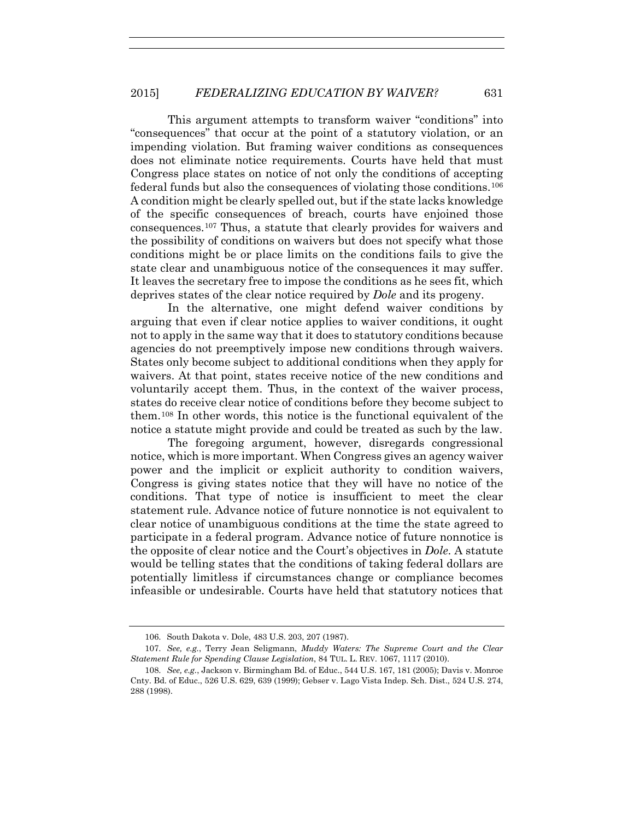This argument attempts to transform waiver "conditions" into "consequences" that occur at the point of a statutory violation, or an impending violation. But framing waiver conditions as consequences does not eliminate notice requirements. Courts have held that must Congress place states on notice of not only the conditions of accepting federal funds but also the consequences of violating those conditions.106 A condition might be clearly spelled out, but if the state lacks knowledge of the specific consequences of breach, courts have enjoined those consequences.107 Thus, a statute that clearly provides for waivers and the possibility of conditions on waivers but does not specify what those conditions might be or place limits on the conditions fails to give the state clear and unambiguous notice of the consequences it may suffer. It leaves the secretary free to impose the conditions as he sees fit, which deprives states of the clear notice required by *Dole* and its progeny.

In the alternative, one might defend waiver conditions by arguing that even if clear notice applies to waiver conditions, it ought not to apply in the same way that it does to statutory conditions because agencies do not preemptively impose new conditions through waivers. States only become subject to additional conditions when they apply for waivers. At that point, states receive notice of the new conditions and voluntarily accept them. Thus, in the context of the waiver process, states do receive clear notice of conditions before they become subject to them.108 In other words, this notice is the functional equivalent of the notice a statute might provide and could be treated as such by the law.

The foregoing argument, however, disregards congressional notice, which is more important. When Congress gives an agency waiver power and the implicit or explicit authority to condition waivers, Congress is giving states notice that they will have no notice of the conditions. That type of notice is insufficient to meet the clear statement rule. Advance notice of future nonnotice is not equivalent to clear notice of unambiguous conditions at the time the state agreed to participate in a federal program. Advance notice of future nonnotice is the opposite of clear notice and the Court's objectives in *Dole*. A statute would be telling states that the conditions of taking federal dollars are potentially limitless if circumstances change or compliance becomes infeasible or undesirable. Courts have held that statutory notices that

<sup>106.</sup> South Dakota v. Dole, 483 U.S. 203, 207 (1987).

<sup>107.</sup> *See, e.g.*, Terry Jean Seligmann, *Muddy Waters: The Supreme Court and the Clear Statement Rule for Spending Clause Legislation*, 84 TUL. L. REV. 1067, 1117 (2010).

<sup>108.</sup> *See, e.g.*, Jackson v. Birmingham Bd. of Educ., 544 U.S. 167, 181 (2005); Davis v. Monroe Cnty. Bd. of Educ., 526 U.S. 629, 639 (1999); Gebser v. Lago Vista Indep. Sch. Dist., 524 U.S. 274, 288 (1998).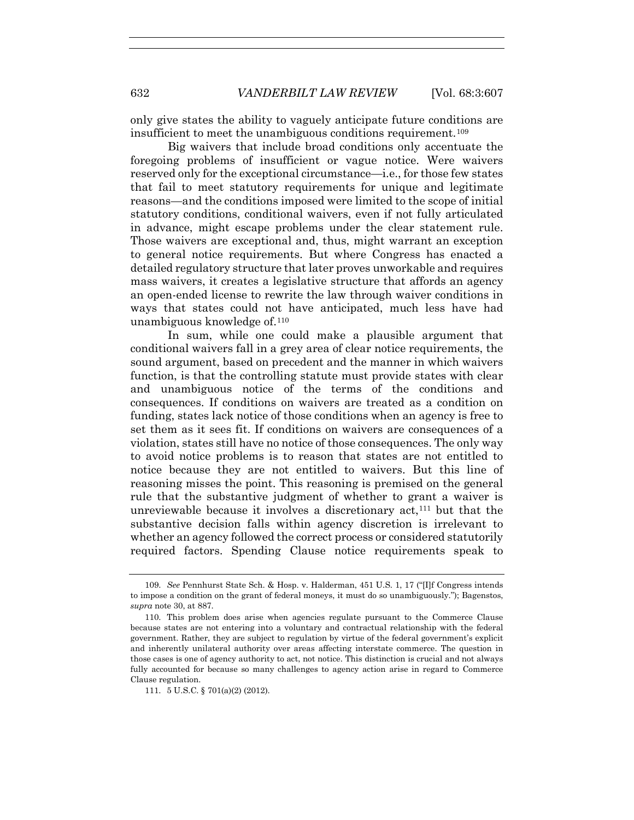only give states the ability to vaguely anticipate future conditions are insufficient to meet the unambiguous conditions requirement.109

Big waivers that include broad conditions only accentuate the foregoing problems of insufficient or vague notice. Were waivers reserved only for the exceptional circumstance—i.e., for those few states that fail to meet statutory requirements for unique and legitimate reasons—and the conditions imposed were limited to the scope of initial statutory conditions, conditional waivers, even if not fully articulated in advance, might escape problems under the clear statement rule. Those waivers are exceptional and, thus, might warrant an exception to general notice requirements. But where Congress has enacted a detailed regulatory structure that later proves unworkable and requires mass waivers, it creates a legislative structure that affords an agency an open-ended license to rewrite the law through waiver conditions in ways that states could not have anticipated, much less have had unambiguous knowledge of.110

In sum, while one could make a plausible argument that conditional waivers fall in a grey area of clear notice requirements, the sound argument, based on precedent and the manner in which waivers function, is that the controlling statute must provide states with clear and unambiguous notice of the terms of the conditions and consequences. If conditions on waivers are treated as a condition on funding, states lack notice of those conditions when an agency is free to set them as it sees fit. If conditions on waivers are consequences of a violation, states still have no notice of those consequences. The only way to avoid notice problems is to reason that states are not entitled to notice because they are not entitled to waivers. But this line of reasoning misses the point. This reasoning is premised on the general rule that the substantive judgment of whether to grant a waiver is unreviewable because it involves a discretionary  $act<sub>111</sub>$  but that the substantive decision falls within agency discretion is irrelevant to whether an agency followed the correct process or considered statutorily required factors. Spending Clause notice requirements speak to

<sup>109.</sup> *See* Pennhurst State Sch. & Hosp. v. Halderman, 451 U.S. 1, 17 ("[I]f Congress intends to impose a condition on the grant of federal moneys, it must do so unambiguously."); Bagenstos, *supra* note 30, at 887.

<sup>110.</sup> This problem does arise when agencies regulate pursuant to the Commerce Clause because states are not entering into a voluntary and contractual relationship with the federal government. Rather, they are subject to regulation by virtue of the federal government's explicit and inherently unilateral authority over areas affecting interstate commerce. The question in those cases is one of agency authority to act, not notice. This distinction is crucial and not always fully accounted for because so many challenges to agency action arise in regard to Commerce Clause regulation.

<sup>111. 5</sup> U.S.C. § 701(a)(2) (2012).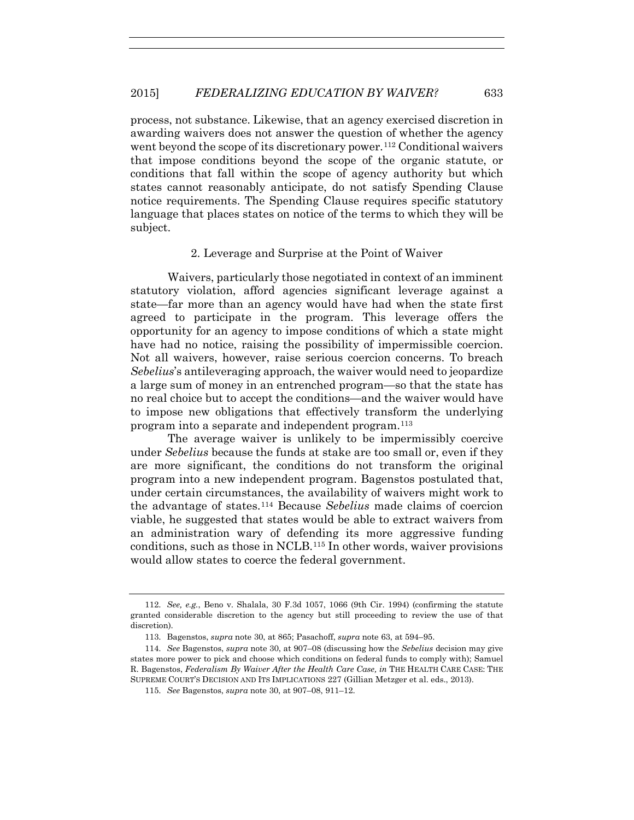process, not substance. Likewise, that an agency exercised discretion in awarding waivers does not answer the question of whether the agency went beyond the scope of its discretionary power.<sup>112</sup> Conditional waivers that impose conditions beyond the scope of the organic statute, or conditions that fall within the scope of agency authority but which states cannot reasonably anticipate, do not satisfy Spending Clause notice requirements. The Spending Clause requires specific statutory language that places states on notice of the terms to which they will be subject.

## 2. Leverage and Surprise at the Point of Waiver

Waivers, particularly those negotiated in context of an imminent statutory violation, afford agencies significant leverage against a state—far more than an agency would have had when the state first agreed to participate in the program. This leverage offers the opportunity for an agency to impose conditions of which a state might have had no notice, raising the possibility of impermissible coercion. Not all waivers, however, raise serious coercion concerns. To breach *Sebelius*'s antileveraging approach, the waiver would need to jeopardize a large sum of money in an entrenched program—so that the state has no real choice but to accept the conditions—and the waiver would have to impose new obligations that effectively transform the underlying program into a separate and independent program.113

The average waiver is unlikely to be impermissibly coercive under *Sebelius* because the funds at stake are too small or, even if they are more significant, the conditions do not transform the original program into a new independent program. Bagenstos postulated that, under certain circumstances, the availability of waivers might work to the advantage of states.114 Because *Sebelius* made claims of coercion viable, he suggested that states would be able to extract waivers from an administration wary of defending its more aggressive funding conditions, such as those in NCLB.115 In other words, waiver provisions would allow states to coerce the federal government.

<sup>112.</sup> *See, e.g.*, Beno v. Shalala, 30 F.3d 1057, 1066 (9th Cir. 1994) (confirming the statute granted considerable discretion to the agency but still proceeding to review the use of that discretion).

<sup>113.</sup> Bagenstos, *supra* note 30, at 865; Pasachoff, *supra* note 63, at 594–95.

<sup>114.</sup> *See* Bagenstos, *supra* note 30, at 907–08 (discussing how the *Sebelius* decision may give states more power to pick and choose which conditions on federal funds to comply with); Samuel R. Bagenstos, *Federalism By Waiver After the Health Care Case, in* THE HEALTH CARE CASE: THE SUPREME COURT'S DECISION AND ITS IMPLICATIONS 227 (Gillian Metzger et al. eds., 2013).

<sup>115.</sup> *See* Bagenstos, *supra* note 30, at 907–08, 911–12.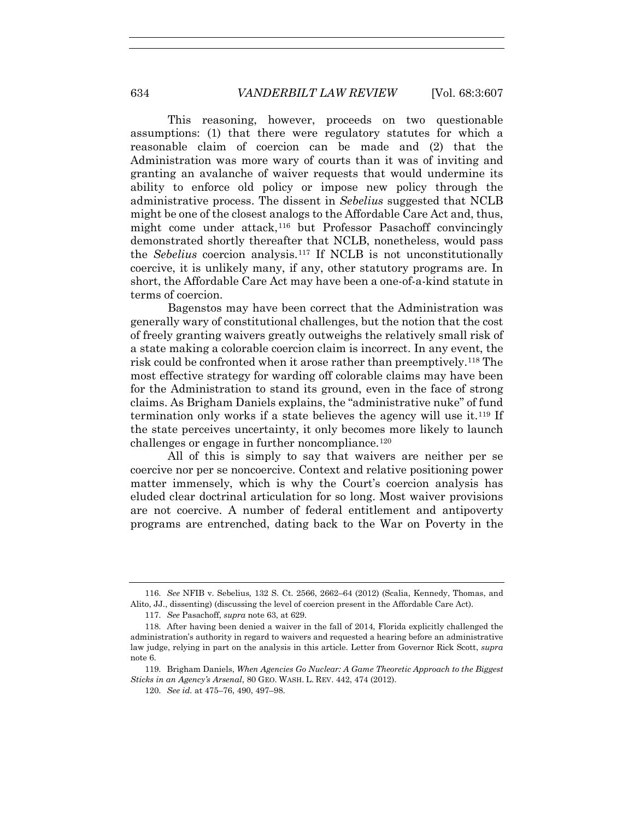This reasoning, however, proceeds on two questionable assumptions: (1) that there were regulatory statutes for which a reasonable claim of coercion can be made and (2) that the Administration was more wary of courts than it was of inviting and granting an avalanche of waiver requests that would undermine its ability to enforce old policy or impose new policy through the administrative process. The dissent in *Sebelius* suggested that NCLB might be one of the closest analogs to the Affordable Care Act and, thus, might come under attack,<sup>116</sup> but Professor Pasachoff convincingly demonstrated shortly thereafter that NCLB, nonetheless, would pass the *Sebelius* coercion analysis.117 If NCLB is not unconstitutionally coercive, it is unlikely many, if any, other statutory programs are. In short, the Affordable Care Act may have been a one-of-a-kind statute in terms of coercion.

Bagenstos may have been correct that the Administration was generally wary of constitutional challenges, but the notion that the cost of freely granting waivers greatly outweighs the relatively small risk of a state making a colorable coercion claim is incorrect. In any event, the risk could be confronted when it arose rather than preemptively.118 The most effective strategy for warding off colorable claims may have been for the Administration to stand its ground, even in the face of strong claims. As Brigham Daniels explains, the "administrative nuke" of fund termination only works if a state believes the agency will use it.119 If the state perceives uncertainty, it only becomes more likely to launch challenges or engage in further noncompliance.<sup>120</sup>

All of this is simply to say that waivers are neither per se coercive nor per se noncoercive. Context and relative positioning power matter immensely, which is why the Court's coercion analysis has eluded clear doctrinal articulation for so long. Most waiver provisions are not coercive. A number of federal entitlement and antipoverty programs are entrenched, dating back to the War on Poverty in the

<sup>116.</sup> *See* NFIB v. Sebelius*,* 132 S. Ct. 2566, 2662–64 (2012) (Scalia, Kennedy, Thomas, and Alito, JJ., dissenting) (discussing the level of coercion present in the Affordable Care Act).

<sup>117.</sup> *See* Pasachoff, *supra* note 63, at 629.

<sup>118.</sup> After having been denied a waiver in the fall of 2014, Florida explicitly challenged the administration's authority in regard to waivers and requested a hearing before an administrative law judge, relying in part on the analysis in this article. Letter from Governor Rick Scott, *supra* note 6.

<sup>119.</sup> Brigham Daniels, *When Agencies Go Nuclear: A Game Theoretic Approach to the Biggest Sticks in an Agency's Arsenal*, 80 GEO. WASH. L. REV. 442, 474 (2012).

<sup>120.</sup> *See id.* at 475–76, 490, 497–98.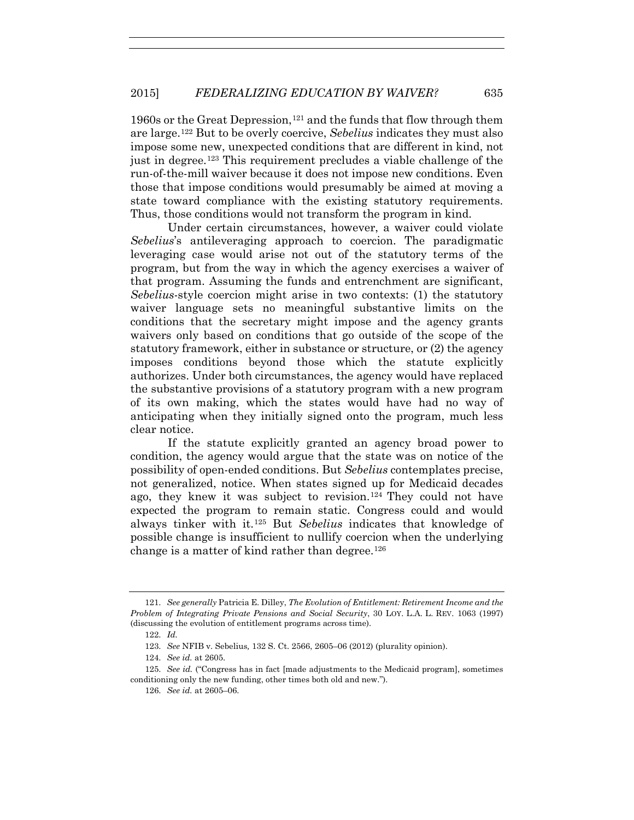1960s or the Great Depression,121 and the funds that flow through them are large.122 But to be overly coercive, *Sebelius* indicates they must also impose some new, unexpected conditions that are different in kind, not just in degree.123 This requirement precludes a viable challenge of the run-of-the-mill waiver because it does not impose new conditions. Even those that impose conditions would presumably be aimed at moving a state toward compliance with the existing statutory requirements. Thus, those conditions would not transform the program in kind.

Under certain circumstances, however, a waiver could violate *Sebelius*'s antileveraging approach to coercion. The paradigmatic leveraging case would arise not out of the statutory terms of the program, but from the way in which the agency exercises a waiver of that program. Assuming the funds and entrenchment are significant, *Sebelius*-style coercion might arise in two contexts: (1) the statutory waiver language sets no meaningful substantive limits on the conditions that the secretary might impose and the agency grants waivers only based on conditions that go outside of the scope of the statutory framework, either in substance or structure, or (2) the agency imposes conditions beyond those which the statute explicitly authorizes. Under both circumstances, the agency would have replaced the substantive provisions of a statutory program with a new program of its own making, which the states would have had no way of anticipating when they initially signed onto the program, much less clear notice.

If the statute explicitly granted an agency broad power to condition, the agency would argue that the state was on notice of the possibility of open-ended conditions. But *Sebelius* contemplates precise, not generalized, notice. When states signed up for Medicaid decades ago, they knew it was subject to revision.124 They could not have expected the program to remain static. Congress could and would always tinker with it.125 But *Sebelius* indicates that knowledge of possible change is insufficient to nullify coercion when the underlying change is a matter of kind rather than degree.<sup>126</sup>

<sup>121.</sup> *See generally* Patricia E. Dilley, *The Evolution of Entitlement: Retirement Income and the Problem of Integrating Private Pensions and Social Security*, 30 LOY. L.A. L. REV. 1063 (1997) (discussing the evolution of entitlement programs across time).

<sup>122.</sup> *Id.*

<sup>123.</sup> *See* NFIB v. Sebelius*,* 132 S. Ct. 2566, 2605–06 (2012) (plurality opinion).

<sup>124.</sup> *See id.* at 2605.

<sup>125.</sup> *See id.* ("Congress has in fact [made adjustments to the Medicaid program], sometimes conditioning only the new funding, other times both old and new.").

<sup>126.</sup> *See id.* at 2605–06.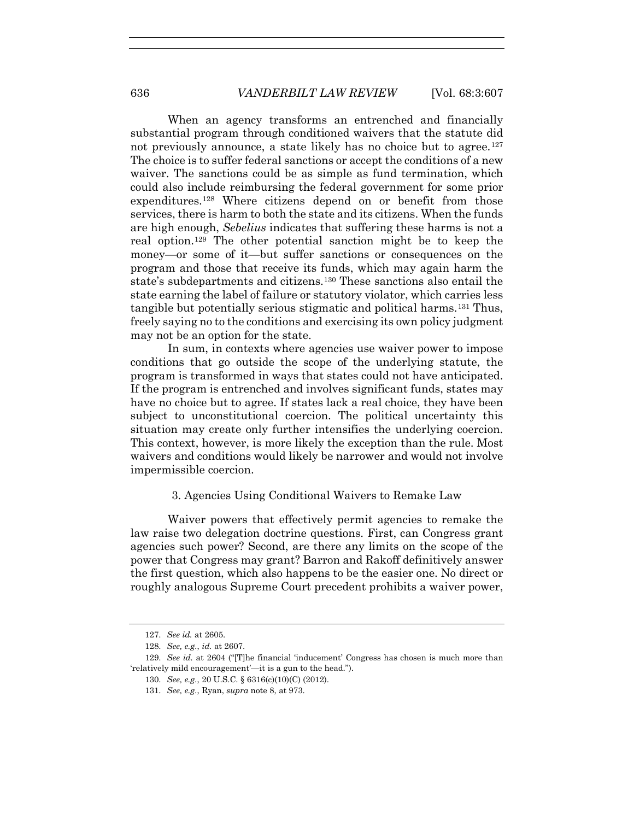When an agency transforms an entrenched and financially substantial program through conditioned waivers that the statute did not previously announce, a state likely has no choice but to agree.<sup>127</sup> The choice is to suffer federal sanctions or accept the conditions of a new waiver. The sanctions could be as simple as fund termination, which could also include reimbursing the federal government for some prior expenditures.<sup>128</sup> Where citizens depend on or benefit from those services, there is harm to both the state and its citizens. When the funds are high enough, *Sebelius* indicates that suffering these harms is not a real option.129 The other potential sanction might be to keep the money—or some of it—but suffer sanctions or consequences on the program and those that receive its funds, which may again harm the state's subdepartments and citizens.130 These sanctions also entail the state earning the label of failure or statutory violator, which carries less tangible but potentially serious stigmatic and political harms.131 Thus, freely saying no to the conditions and exercising its own policy judgment may not be an option for the state.

In sum, in contexts where agencies use waiver power to impose conditions that go outside the scope of the underlying statute, the program is transformed in ways that states could not have anticipated. If the program is entrenched and involves significant funds, states may have no choice but to agree. If states lack a real choice, they have been subject to unconstitutional coercion. The political uncertainty this situation may create only further intensifies the underlying coercion. This context, however, is more likely the exception than the rule. Most waivers and conditions would likely be narrower and would not involve impermissible coercion.

#### 3. Agencies Using Conditional Waivers to Remake Law

Waiver powers that effectively permit agencies to remake the law raise two delegation doctrine questions. First, can Congress grant agencies such power? Second, are there any limits on the scope of the power that Congress may grant? Barron and Rakoff definitively answer the first question, which also happens to be the easier one. No direct or roughly analogous Supreme Court precedent prohibits a waiver power,

<sup>127.</sup> *See id.* at 2605.

<sup>128.</sup> *See, e.g.*, *id.* at 2607.

<sup>129.</sup> *See id.* at 2604 ("[T]he financial 'inducement' Congress has chosen is much more than 'relatively mild encouragement'—it is a gun to the head.").

<sup>130.</sup> *See, e.g.*, 20 U.S.C. § 6316(c)(10)(C) (2012).

<sup>131.</sup> *See, e.g.*, Ryan, *supra* note 8, at 973.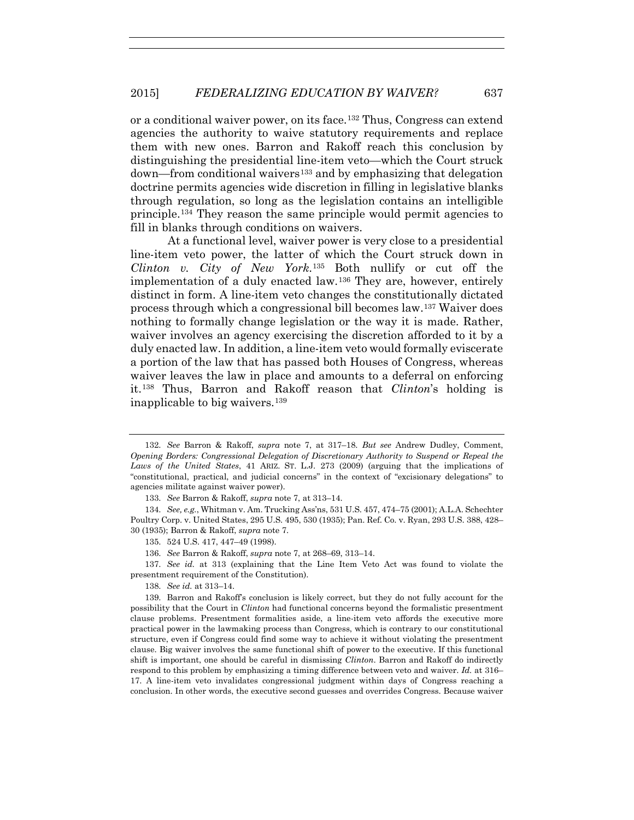or a conditional waiver power, on its face.132 Thus, Congress can extend agencies the authority to waive statutory requirements and replace them with new ones. Barron and Rakoff reach this conclusion by distinguishing the presidential line-item veto—which the Court struck down—from conditional waivers133 and by emphasizing that delegation doctrine permits agencies wide discretion in filling in legislative blanks through regulation, so long as the legislation contains an intelligible principle.134 They reason the same principle would permit agencies to fill in blanks through conditions on waivers.

At a functional level, waiver power is very close to a presidential line-item veto power, the latter of which the Court struck down in *Clinton v. City of New York*.135 Both nullify or cut off the implementation of a duly enacted law.136 They are, however, entirely distinct in form. A line-item veto changes the constitutionally dictated process through which a congressional bill becomes law.137 Waiver does nothing to formally change legislation or the way it is made. Rather, waiver involves an agency exercising the discretion afforded to it by a duly enacted law. In addition, a line-item veto would formally eviscerate a portion of the law that has passed both Houses of Congress, whereas waiver leaves the law in place and amounts to a deferral on enforcing it.138 Thus, Barron and Rakoff reason that *Clinton*'s holding is inapplicable to big waivers.139

138. *See id.* at 313–14.

139. Barron and Rakoff's conclusion is likely correct, but they do not fully account for the possibility that the Court in *Clinton* had functional concerns beyond the formalistic presentment clause problems. Presentment formalities aside, a line-item veto affords the executive more practical power in the lawmaking process than Congress, which is contrary to our constitutional structure, even if Congress could find some way to achieve it without violating the presentment clause. Big waiver involves the same functional shift of power to the executive. If this functional shift is important, one should be careful in dismissing *Clinton*. Barron and Rakoff do indirectly respond to this problem by emphasizing a timing difference between veto and waiver. *Id.* at 316– 17. A line-item veto invalidates congressional judgment within days of Congress reaching a conclusion. In other words, the executive second guesses and overrides Congress. Because waiver

<sup>132.</sup> *See* Barron & Rakoff, *supra* note 7, at 317–18. *But see* Andrew Dudley, Comment, *Opening Borders: Congressional Delegation of Discretionary Authority to Suspend or Repeal the Laws of the United States*, 41 ARIZ. ST. L.J. 273 (2009) (arguing that the implications of "constitutional, practical, and judicial concerns" in the context of "excisionary delegations" to agencies militate against waiver power).

<sup>133.</sup> *See* Barron & Rakoff, *supra* note 7, at 313–14.

<sup>134.</sup> *See, e.g.*, Whitman v. Am. Trucking Ass'ns, 531 U.S. 457, 474–75 (2001); A.L.A. Schechter Poultry Corp. v. United States, 295 U.S. 495, 530 (1935); Pan. Ref. Co. v. Ryan, 293 U.S. 388, 428– 30 (1935); Barron & Rakoff, *supra* note 7.

<sup>135. 524</sup> U.S. 417, 447–49 (1998).

<sup>136.</sup> *See* Barron & Rakoff, *supra* note 7, at 268–69, 313–14.

<sup>137.</sup> *See id.* at 313 (explaining that the Line Item Veto Act was found to violate the presentment requirement of the Constitution).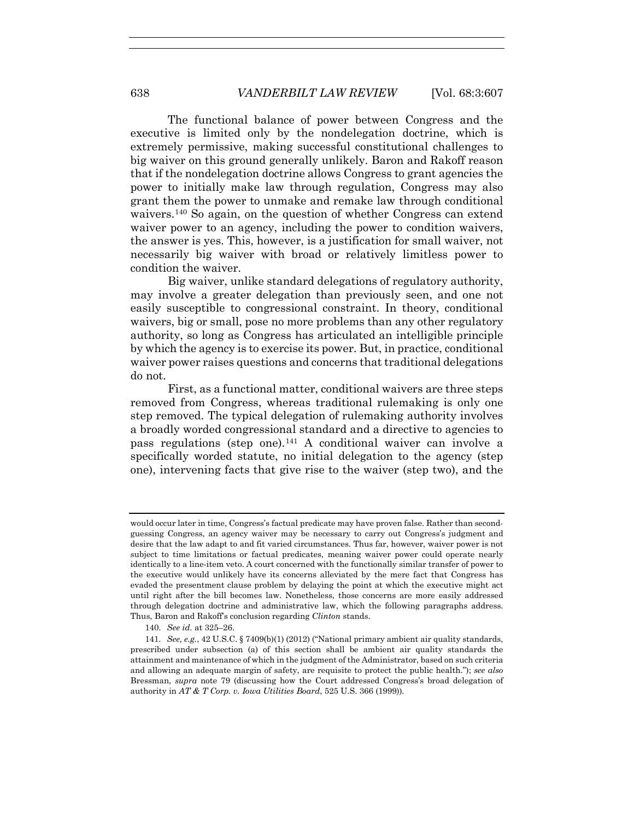The functional balance of power between Congress and the executive is limited only by the nondelegation doctrine, which is extremely permissive, making successful constitutional challenges to big waiver on this ground generally unlikely. Baron and Rakoff reason that if the nondelegation doctrine allows Congress to grant agencies the power to initially make law through regulation, Congress may also grant them the power to unmake and remake law through conditional waivers.140 So again, on the question of whether Congress can extend waiver power to an agency, including the power to condition waivers, the answer is yes. This, however, is a justification for small waiver, not necessarily big waiver with broad or relatively limitless power to condition the waiver.

Big waiver, unlike standard delegations of regulatory authority, may involve a greater delegation than previously seen, and one not easily susceptible to congressional constraint. In theory, conditional waivers, big or small, pose no more problems than any other regulatory authority, so long as Congress has articulated an intelligible principle by which the agency is to exercise its power. But, in practice, conditional waiver power raises questions and concerns that traditional delegations do not.

First, as a functional matter, conditional waivers are three steps removed from Congress, whereas traditional rulemaking is only one step removed. The typical delegation of rulemaking authority involves a broadly worded congressional standard and a directive to agencies to pass regulations (step one).141 A conditional waiver can involve a specifically worded statute, no initial delegation to the agency (step one), intervening facts that give rise to the waiver (step two), and the

140. *See id.* at 325–26.

would occur later in time, Congress's factual predicate may have proven false. Rather than secondguessing Congress, an agency waiver may be necessary to carry out Congress's judgment and desire that the law adapt to and fit varied circumstances. Thus far, however, waiver power is not subject to time limitations or factual predicates, meaning waiver power could operate nearly identically to a line-item veto. A court concerned with the functionally similar transfer of power to the executive would unlikely have its concerns alleviated by the mere fact that Congress has evaded the presentment clause problem by delaying the point at which the executive might act until right after the bill becomes law. Nonetheless, those concerns are more easily addressed through delegation doctrine and administrative law, which the following paragraphs address. Thus, Baron and Rakoff's conclusion regarding *Clinton* stands.

<sup>141.</sup> *See, e.g.*, 42 U.S.C. § 7409(b)(1) (2012) ("National primary ambient air quality standards, prescribed under subsection (a) of this section shall be ambient air quality standards the attainment and maintenance of which in the judgment of the Administrator, based on such criteria and allowing an adequate margin of safety, are requisite to protect the public health."); *see also*  Bressman, *supra* note 79 (discussing how the Court addressed Congress's broad delegation of authority in *AT & T Corp. v. Iowa Utilities Board*, 525 U.S. 366 (1999))*.*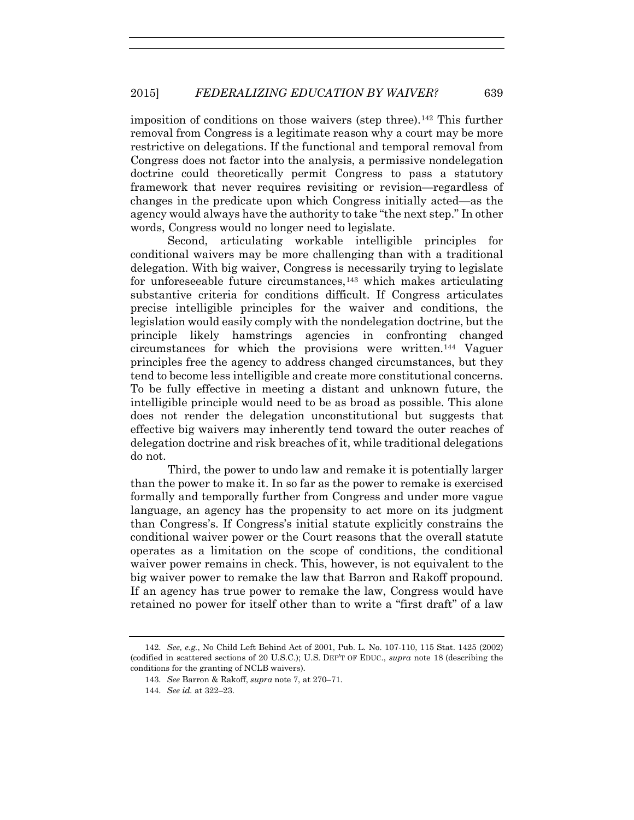imposition of conditions on those waivers (step three).142 This further removal from Congress is a legitimate reason why a court may be more restrictive on delegations. If the functional and temporal removal from Congress does not factor into the analysis, a permissive nondelegation doctrine could theoretically permit Congress to pass a statutory framework that never requires revisiting or revision—regardless of changes in the predicate upon which Congress initially acted—as the agency would always have the authority to take "the next step." In other words, Congress would no longer need to legislate.

Second, articulating workable intelligible principles for conditional waivers may be more challenging than with a traditional delegation. With big waiver, Congress is necessarily trying to legislate for unforeseeable future circumstances,  $143$  which makes articulating substantive criteria for conditions difficult. If Congress articulates precise intelligible principles for the waiver and conditions, the legislation would easily comply with the nondelegation doctrine, but the principle likely hamstrings agencies in confronting changed circumstances for which the provisions were written.144 Vaguer principles free the agency to address changed circumstances, but they tend to become less intelligible and create more constitutional concerns. To be fully effective in meeting a distant and unknown future, the intelligible principle would need to be as broad as possible. This alone does not render the delegation unconstitutional but suggests that effective big waivers may inherently tend toward the outer reaches of delegation doctrine and risk breaches of it, while traditional delegations do not.

Third, the power to undo law and remake it is potentially larger than the power to make it. In so far as the power to remake is exercised formally and temporally further from Congress and under more vague language, an agency has the propensity to act more on its judgment than Congress's. If Congress's initial statute explicitly constrains the conditional waiver power or the Court reasons that the overall statute operates as a limitation on the scope of conditions, the conditional waiver power remains in check. This, however, is not equivalent to the big waiver power to remake the law that Barron and Rakoff propound. If an agency has true power to remake the law, Congress would have retained no power for itself other than to write a "first draft" of a law

<sup>142.</sup> *See, e.g.*, No Child Left Behind Act of 2001, Pub. L. No. 107-110, 115 Stat. 1425 (2002) (codified in scattered sections of 20 U.S.C.); U.S. DEP'T OF EDUC., *supra* note 18 (describing the conditions for the granting of NCLB waivers).

<sup>143.</sup> *See* Barron & Rakoff, *supra* note 7, at 270–71.

<sup>144.</sup> *See id.* at 322–23.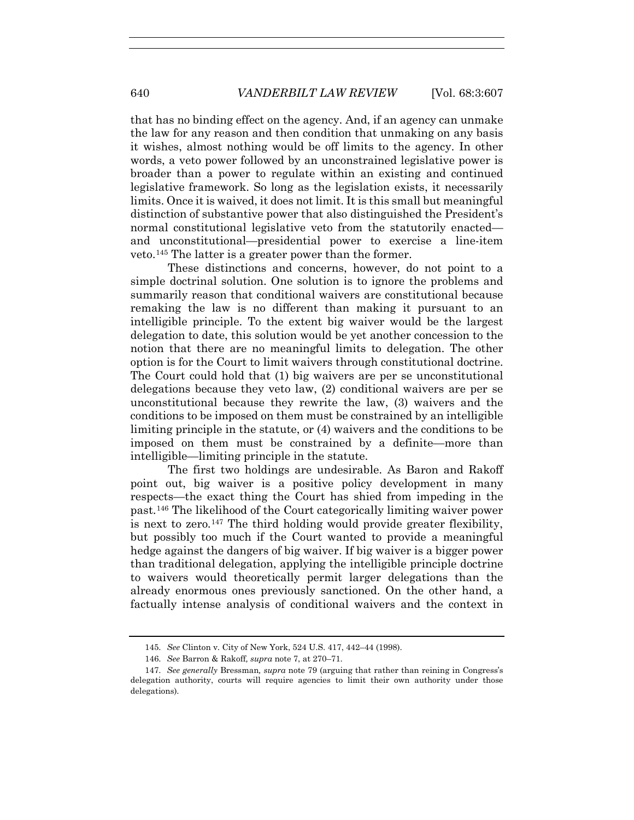that has no binding effect on the agency. And, if an agency can unmake the law for any reason and then condition that unmaking on any basis it wishes, almost nothing would be off limits to the agency. In other words, a veto power followed by an unconstrained legislative power is broader than a power to regulate within an existing and continued legislative framework. So long as the legislation exists, it necessarily limits. Once it is waived, it does not limit. It is this small but meaningful distinction of substantive power that also distinguished the President's normal constitutional legislative veto from the statutorily enacted and unconstitutional—presidential power to exercise a line-item veto.145 The latter is a greater power than the former.

These distinctions and concerns, however, do not point to a simple doctrinal solution. One solution is to ignore the problems and summarily reason that conditional waivers are constitutional because remaking the law is no different than making it pursuant to an intelligible principle. To the extent big waiver would be the largest delegation to date, this solution would be yet another concession to the notion that there are no meaningful limits to delegation. The other option is for the Court to limit waivers through constitutional doctrine. The Court could hold that (1) big waivers are per se unconstitutional delegations because they veto law, (2) conditional waivers are per se unconstitutional because they rewrite the law, (3) waivers and the conditions to be imposed on them must be constrained by an intelligible limiting principle in the statute, or (4) waivers and the conditions to be imposed on them must be constrained by a definite—more than intelligible—limiting principle in the statute.

The first two holdings are undesirable. As Baron and Rakoff point out, big waiver is a positive policy development in many respects—the exact thing the Court has shied from impeding in the past.146 The likelihood of the Court categorically limiting waiver power is next to zero.<sup>147</sup> The third holding would provide greater flexibility, but possibly too much if the Court wanted to provide a meaningful hedge against the dangers of big waiver. If big waiver is a bigger power than traditional delegation, applying the intelligible principle doctrine to waivers would theoretically permit larger delegations than the already enormous ones previously sanctioned. On the other hand, a factually intense analysis of conditional waivers and the context in

<sup>145.</sup> *See* Clinton v. City of New York, 524 U.S. 417, 442–44 (1998).

<sup>146.</sup> *See* Barron & Rakoff*, supra* note 7, at 270–71.

<sup>147.</sup> *See generally* Bressman*, supra* note 79 (arguing that rather than reining in Congress's delegation authority, courts will require agencies to limit their own authority under those delegations).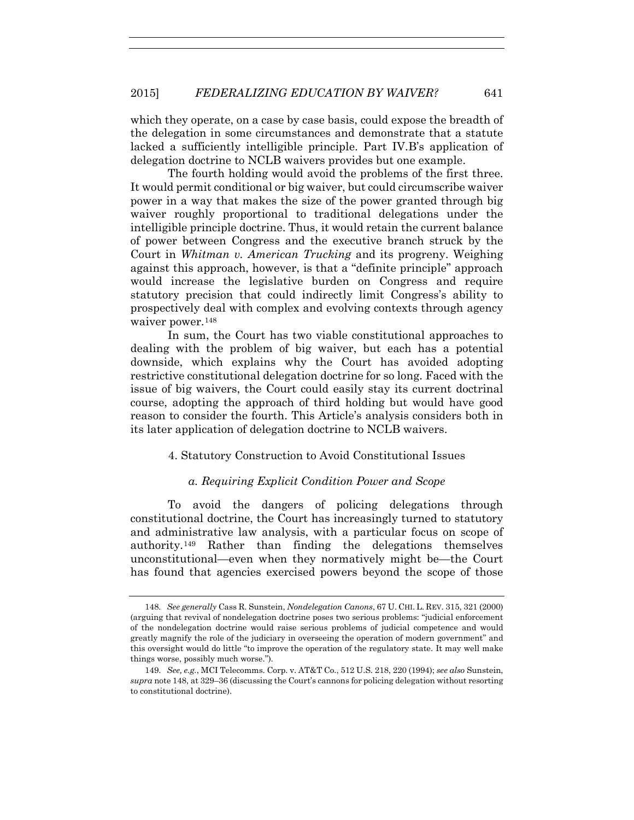which they operate, on a case by case basis, could expose the breadth of the delegation in some circumstances and demonstrate that a statute lacked a sufficiently intelligible principle. Part IV.B's application of delegation doctrine to NCLB waivers provides but one example.

The fourth holding would avoid the problems of the first three. It would permit conditional or big waiver, but could circumscribe waiver power in a way that makes the size of the power granted through big waiver roughly proportional to traditional delegations under the intelligible principle doctrine. Thus, it would retain the current balance of power between Congress and the executive branch struck by the Court in *Whitman v. American Trucking* and its progreny. Weighing against this approach, however, is that a "definite principle" approach would increase the legislative burden on Congress and require statutory precision that could indirectly limit Congress's ability to prospectively deal with complex and evolving contexts through agency waiver power.<sup>148</sup>

In sum, the Court has two viable constitutional approaches to dealing with the problem of big waiver, but each has a potential downside, which explains why the Court has avoided adopting restrictive constitutional delegation doctrine for so long. Faced with the issue of big waivers, the Court could easily stay its current doctrinal course, adopting the approach of third holding but would have good reason to consider the fourth. This Article's analysis considers both in its later application of delegation doctrine to NCLB waivers.

## 4. Statutory Construction to Avoid Constitutional Issues

#### *a. Requiring Explicit Condition Power and Scope*

To avoid the dangers of policing delegations through constitutional doctrine, the Court has increasingly turned to statutory and administrative law analysis, with a particular focus on scope of authority.149 Rather than finding the delegations themselves unconstitutional—even when they normatively might be—the Court has found that agencies exercised powers beyond the scope of those

<sup>148.</sup> *See generally* Cass R. Sunstein, *Nondelegation Canons*, 67 U. CHI. L. REV. 315, 321 (2000) (arguing that revival of nondelegation doctrine poses two serious problems: "judicial enforcement of the nondelegation doctrine would raise serious problems of judicial competence and would greatly magnify the role of the judiciary in overseeing the operation of modern government" and this oversight would do little "to improve the operation of the regulatory state. It may well make things worse, possibly much worse.").

<sup>149.</sup> *See, e.g.*, MCI Telecomms. Corp. v. AT&T Co., 512 U.S. 218, 220 (1994); *see also* Sunstein, *supra* note 148, at 329–36 (discussing the Court's cannons for policing delegation without resorting to constitutional doctrine).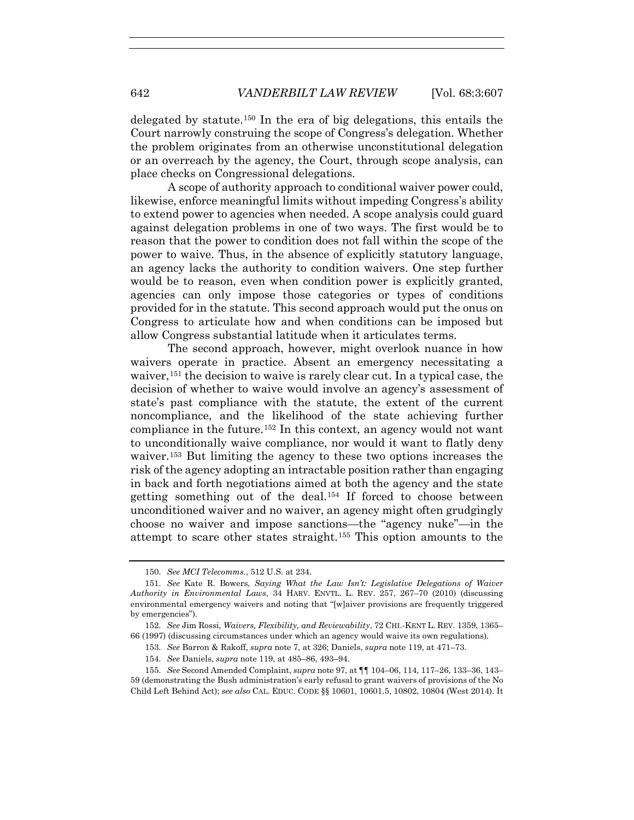delegated by statute.<sup>150</sup> In the era of big delegations, this entails the Court narrowly construing the scope of Congress's delegation. Whether the problem originates from an otherwise unconstitutional delegation or an overreach by the agency, the Court, through scope analysis, can place checks on Congressional delegations.

A scope of authority approach to conditional waiver power could, likewise, enforce meaningful limits without impeding Congress's ability to extend power to agencies when needed. A scope analysis could guard against delegation problems in one of two ways. The first would be to reason that the power to condition does not fall within the scope of the power to waive. Thus, in the absence of explicitly statutory language, an agency lacks the authority to condition waivers. One step further would be to reason, even when condition power is explicitly granted, agencies can only impose those categories or types of conditions provided for in the statute. This second approach would put the onus on Congress to articulate how and when conditions can be imposed but allow Congress substantial latitude when it articulates terms.

The second approach, however, might overlook nuance in how waivers operate in practice. Absent an emergency necessitating a waiver,<sup>151</sup> the decision to waive is rarely clear cut. In a typical case, the decision of whether to waive would involve an agency's assessment of state's past compliance with the statute, the extent of the current noncompliance, and the likelihood of the state achieving further compliance in the future.<sup>152</sup> In this context, an agency would not want to unconditionally waive compliance, nor would it want to flatly deny waiver.153 But limiting the agency to these two options increases the risk of the agency adopting an intractable position rather than engaging in back and forth negotiations aimed at both the agency and the state getting something out of the deal.154 If forced to choose between unconditioned waiver and no waiver, an agency might often grudgingly choose no waiver and impose sanctions—the "agency nuke"—in the attempt to scare other states straight.155 This option amounts to the

<sup>150.</sup> *See MCI Telecomms*., 512 U.S. at 234.

<sup>151.</sup> *See* Kate R. Bowers, *Saying What the Law Isn't: Legislative Delegations of Waiver Authority in Environmental Laws*, 34 HARV. ENVTL. L. REV. 257, 267–70 (2010) (discussing environmental emergency waivers and noting that "[w]aiver provisions are frequently triggered by emergencies").

<sup>152.</sup> *See* Jim Rossi, *Waivers, Flexibility, and Reviewability*, 72 CHI.-KENT L. REV. 1359, 1365– 66 (1997) (discussing circumstances under which an agency would waive its own regulations).

<sup>153.</sup> *See* Barron & Rakoff, *supra* note 7, at 326; Daniels, *supra* note 119, at 471–73.

<sup>154.</sup> *See* Daniels, *supra* note 119, at 485–86, 493–94.

<sup>155.</sup> *See* Second Amended Complaint, *supra* note 97, at ¶¶ 104–06, 114, 117–26, 133–36, 143– 59 (demonstrating the Bush administration's early refusal to grant waivers of provisions of the No Child Left Behind Act); *see also* CAL. EDUC. CODE §§ 10601, 10601.5, 10802, 10804 (West 2014). It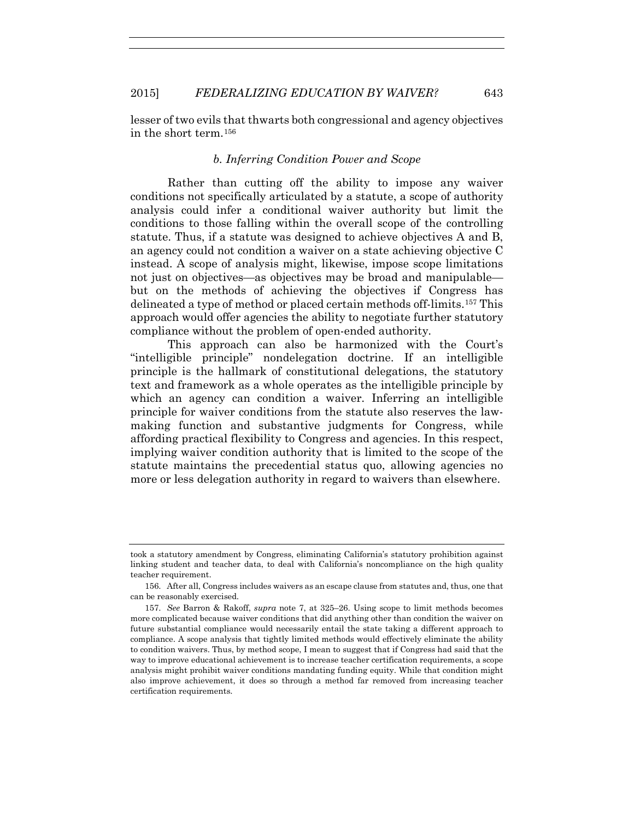lesser of two evils that thwarts both congressional and agency objectives in the short term.156

## *b. Inferring Condition Power and Scope*

Rather than cutting off the ability to impose any waiver conditions not specifically articulated by a statute, a scope of authority analysis could infer a conditional waiver authority but limit the conditions to those falling within the overall scope of the controlling statute. Thus, if a statute was designed to achieve objectives A and B, an agency could not condition a waiver on a state achieving objective C instead. A scope of analysis might, likewise, impose scope limitations not just on objectives—as objectives may be broad and manipulable but on the methods of achieving the objectives if Congress has delineated a type of method or placed certain methods off-limits.157 This approach would offer agencies the ability to negotiate further statutory compliance without the problem of open-ended authority.

This approach can also be harmonized with the Court's "intelligible principle" nondelegation doctrine. If an intelligible principle is the hallmark of constitutional delegations, the statutory text and framework as a whole operates as the intelligible principle by which an agency can condition a waiver. Inferring an intelligible principle for waiver conditions from the statute also reserves the lawmaking function and substantive judgments for Congress, while affording practical flexibility to Congress and agencies. In this respect, implying waiver condition authority that is limited to the scope of the statute maintains the precedential status quo, allowing agencies no more or less delegation authority in regard to waivers than elsewhere.

took a statutory amendment by Congress, eliminating California's statutory prohibition against linking student and teacher data, to deal with California's noncompliance on the high quality teacher requirement.

<sup>156.</sup> After all, Congress includes waivers as an escape clause from statutes and, thus, one that can be reasonably exercised.

<sup>157.</sup> *See* Barron & Rakoff, *supra* note 7, at 325–26. Using scope to limit methods becomes more complicated because waiver conditions that did anything other than condition the waiver on future substantial compliance would necessarily entail the state taking a different approach to compliance. A scope analysis that tightly limited methods would effectively eliminate the ability to condition waivers. Thus, by method scope, I mean to suggest that if Congress had said that the way to improve educational achievement is to increase teacher certification requirements, a scope analysis might prohibit waiver conditions mandating funding equity. While that condition might also improve achievement, it does so through a method far removed from increasing teacher certification requirements.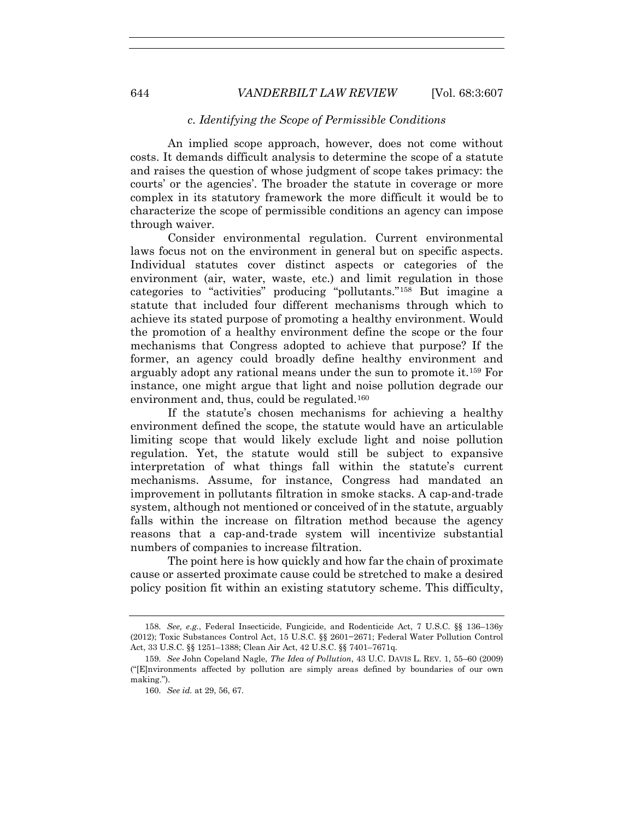### *c. Identifying the Scope of Permissible Conditions*

An implied scope approach, however, does not come without costs. It demands difficult analysis to determine the scope of a statute and raises the question of whose judgment of scope takes primacy: the courts' or the agencies'. The broader the statute in coverage or more complex in its statutory framework the more difficult it would be to characterize the scope of permissible conditions an agency can impose through waiver.

Consider environmental regulation. Current environmental laws focus not on the environment in general but on specific aspects. Individual statutes cover distinct aspects or categories of the environment (air, water, waste, etc.) and limit regulation in those categories to "activities" producing "pollutants."158 But imagine a statute that included four different mechanisms through which to achieve its stated purpose of promoting a healthy environment. Would the promotion of a healthy environment define the scope or the four mechanisms that Congress adopted to achieve that purpose? If the former, an agency could broadly define healthy environment and arguably adopt any rational means under the sun to promote it.159 For instance, one might argue that light and noise pollution degrade our environment and, thus, could be regulated.<sup>160</sup>

If the statute's chosen mechanisms for achieving a healthy environment defined the scope, the statute would have an articulable limiting scope that would likely exclude light and noise pollution regulation. Yet, the statute would still be subject to expansive interpretation of what things fall within the statute's current mechanisms. Assume, for instance, Congress had mandated an improvement in pollutants filtration in smoke stacks. A cap-and-trade system, although not mentioned or conceived of in the statute, arguably falls within the increase on filtration method because the agency reasons that a cap-and-trade system will incentivize substantial numbers of companies to increase filtration.

The point here is how quickly and how far the chain of proximate cause or asserted proximate cause could be stretched to make a desired policy position fit within an existing statutory scheme. This difficulty,

<sup>158.</sup> *See, e.g.*, Federal Insecticide, Fungicide, and Rodenticide Act, 7 U.S.C. §§ 136–136y (2012); Toxic Substances Control Act, 15 U.S.C. §§ 2601−2671; Federal Water Pollution Control Act, 33 U.S.C. §§ 1251–1388; Clean Air Act, 42 U.S.C. §§ 7401–7671q.

<sup>159.</sup> *See* John Copeland Nagle, *The Idea of Pollution*, 43 U.C. DAVIS L. REV. 1, 55–60 (2009) ("[E]nvironments affected by pollution are simply areas defined by boundaries of our own making.").

<sup>160.</sup> *See id.* at 29, 56, 67.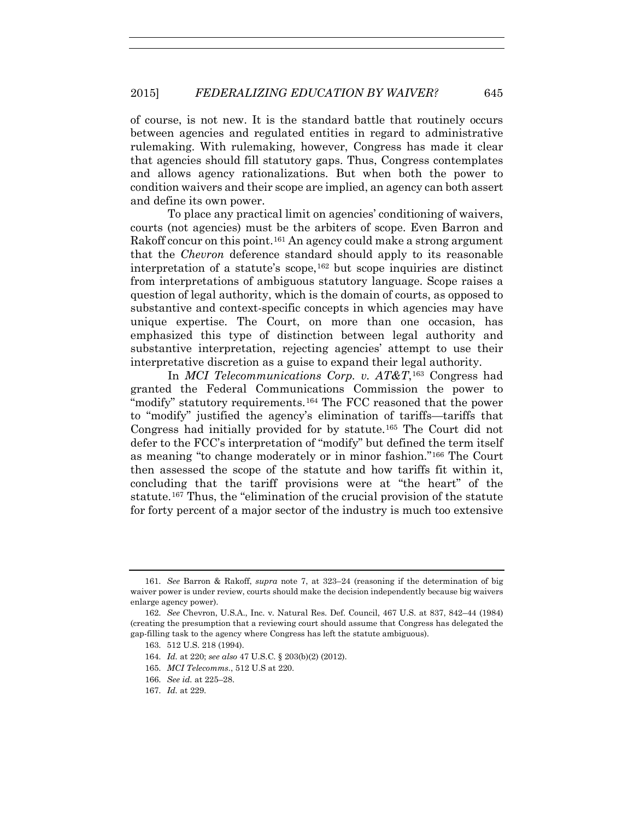of course, is not new. It is the standard battle that routinely occurs between agencies and regulated entities in regard to administrative rulemaking. With rulemaking, however, Congress has made it clear that agencies should fill statutory gaps. Thus, Congress contemplates and allows agency rationalizations. But when both the power to condition waivers and their scope are implied, an agency can both assert and define its own power.

To place any practical limit on agencies' conditioning of waivers, courts (not agencies) must be the arbiters of scope. Even Barron and Rakoff concur on this point.161 An agency could make a strong argument that the *Chevron* deference standard should apply to its reasonable interpretation of a statute's scope,  $162$  but scope inquiries are distinct from interpretations of ambiguous statutory language. Scope raises a question of legal authority, which is the domain of courts, as opposed to substantive and context-specific concepts in which agencies may have unique expertise. The Court, on more than one occasion, has emphasized this type of distinction between legal authority and substantive interpretation, rejecting agencies' attempt to use their interpretative discretion as a guise to expand their legal authority.

In *MCI Telecommunications Corp. v. AT&T*,163 Congress had granted the Federal Communications Commission the power to "modify" statutory requirements.<sup>164</sup> The FCC reasoned that the power to "modify" justified the agency's elimination of tariffs—tariffs that Congress had initially provided for by statute.165 The Court did not defer to the FCC's interpretation of "modify" but defined the term itself as meaning "to change moderately or in minor fashion."166 The Court then assessed the scope of the statute and how tariffs fit within it, concluding that the tariff provisions were at "the heart" of the statute.167 Thus, the "elimination of the crucial provision of the statute for forty percent of a major sector of the industry is much too extensive

- 166. *See id.* at 225–28.
- 167. *Id.* at 229.

<sup>161.</sup> *See* Barron & Rakoff, *supra* note 7, at 323–24 (reasoning if the determination of big waiver power is under review, courts should make the decision independently because big waivers enlarge agency power).

<sup>162.</sup> *See* Chevron, U.S.A., Inc. v. Natural Res. Def. Council, 467 U.S. at 837, 842–44 (1984) (creating the presumption that a reviewing court should assume that Congress has delegated the gap-filling task to the agency where Congress has left the statute ambiguous).

<sup>163. 512</sup> U.S. 218 (1994).

<sup>164.</sup> *Id.* at 220; *see also* 47 U.S.C. § 203(b)(2) (2012).

<sup>165.</sup> *MCI Telecomms.*, 512 U.S at 220.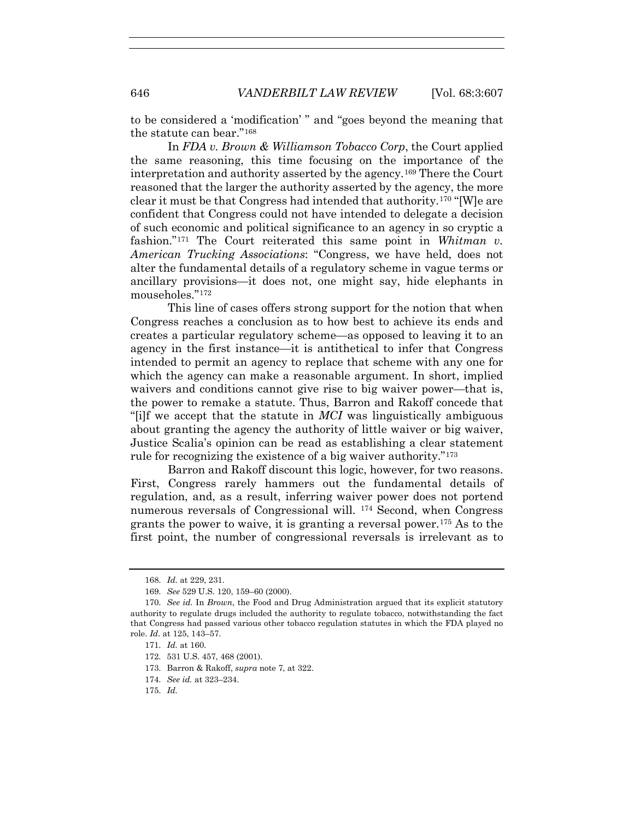to be considered a 'modification' " and "goes beyond the meaning that the statute can bear."168

In *FDA v. Brown & Williamson Tobacco Corp*, the Court applied the same reasoning, this time focusing on the importance of the interpretation and authority asserted by the agency.169 There the Court reasoned that the larger the authority asserted by the agency, the more clear it must be that Congress had intended that authority.170 "[W]e are confident that Congress could not have intended to delegate a decision of such economic and political significance to an agency in so cryptic a fashion."171 The Court reiterated this same point in *Whitman v. American Trucking Associations*: "Congress, we have held, does not alter the fundamental details of a regulatory scheme in vague terms or ancillary provisions—it does not, one might say, hide elephants in mouseholes."172

This line of cases offers strong support for the notion that when Congress reaches a conclusion as to how best to achieve its ends and creates a particular regulatory scheme—as opposed to leaving it to an agency in the first instance—it is antithetical to infer that Congress intended to permit an agency to replace that scheme with any one for which the agency can make a reasonable argument. In short, implied waivers and conditions cannot give rise to big waiver power—that is, the power to remake a statute. Thus, Barron and Rakoff concede that "[i]f we accept that the statute in *MCI* was linguistically ambiguous about granting the agency the authority of little waiver or big waiver, Justice Scalia's opinion can be read as establishing a clear statement rule for recognizing the existence of a big waiver authority."173

Barron and Rakoff discount this logic, however, for two reasons. First, Congress rarely hammers out the fundamental details of regulation, and, as a result, inferring waiver power does not portend numerous reversals of Congressional will. 174 Second, when Congress grants the power to waive, it is granting a reversal power.175 As to the first point, the number of congressional reversals is irrelevant as to

- 174. *See id.* at 323–234.
- 175. *Id.*

<sup>168.</sup> *Id.* at 229, 231.

<sup>169.</sup> *See* 529 U.S. 120, 159–60 (2000).

<sup>170.</sup> *See id.* In *Brown*, the Food and Drug Administration argued that its explicit statutory authority to regulate drugs included the authority to regulate tobacco, notwithstanding the fact that Congress had passed various other tobacco regulation statutes in which the FDA played no role. *Id*. at 125, 143–57.

<sup>171.</sup> *Id.* at 160.

<sup>172. 531</sup> U.S. 457, 468 (2001).

<sup>173.</sup> Barron & Rakoff, *supra* note 7, at 322.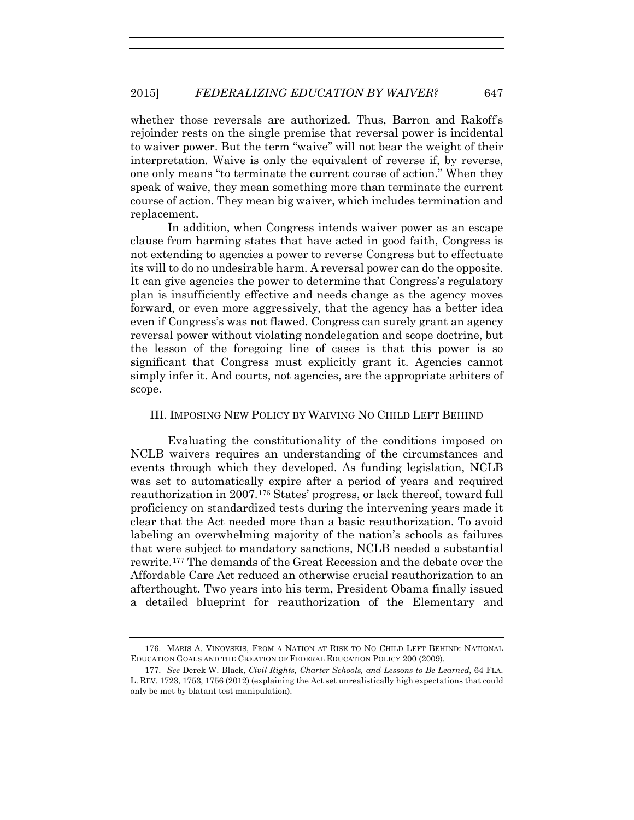whether those reversals are authorized. Thus, Barron and Rakoff's rejoinder rests on the single premise that reversal power is incidental to waiver power. But the term "waive" will not bear the weight of their interpretation. Waive is only the equivalent of reverse if, by reverse, one only means "to terminate the current course of action." When they speak of waive, they mean something more than terminate the current course of action. They mean big waiver, which includes termination and replacement.

In addition, when Congress intends waiver power as an escape clause from harming states that have acted in good faith, Congress is not extending to agencies a power to reverse Congress but to effectuate its will to do no undesirable harm. A reversal power can do the opposite. It can give agencies the power to determine that Congress's regulatory plan is insufficiently effective and needs change as the agency moves forward, or even more aggressively, that the agency has a better idea even if Congress's was not flawed. Congress can surely grant an agency reversal power without violating nondelegation and scope doctrine, but the lesson of the foregoing line of cases is that this power is so significant that Congress must explicitly grant it. Agencies cannot simply infer it. And courts, not agencies, are the appropriate arbiters of scope.

## III. IMPOSING NEW POLICY BY WAIVING NO CHILD LEFT BEHIND

Evaluating the constitutionality of the conditions imposed on NCLB waivers requires an understanding of the circumstances and events through which they developed. As funding legislation, NCLB was set to automatically expire after a period of years and required reauthorization in 2007.176 States' progress, or lack thereof, toward full proficiency on standardized tests during the intervening years made it clear that the Act needed more than a basic reauthorization. To avoid labeling an overwhelming majority of the nation's schools as failures that were subject to mandatory sanctions, NCLB needed a substantial rewrite.177 The demands of the Great Recession and the debate over the Affordable Care Act reduced an otherwise crucial reauthorization to an afterthought. Two years into his term, President Obama finally issued a detailed blueprint for reauthorization of the Elementary and

<sup>176.</sup> MARIS A. VINOVSKIS, FROM A NATION AT RISK TO NO CHILD LEFT BEHIND: NATIONAL EDUCATION GOALS AND THE CREATION OF FEDERAL EDUCATION POLICY 200 (2009).

<sup>177.</sup> *See* Derek W. Black, *Civil Rights, Charter Schools, and Lessons to Be Learned*, 64 FLA. L. REV. 1723, 1753, 1756 (2012) (explaining the Act set unrealistically high expectations that could only be met by blatant test manipulation).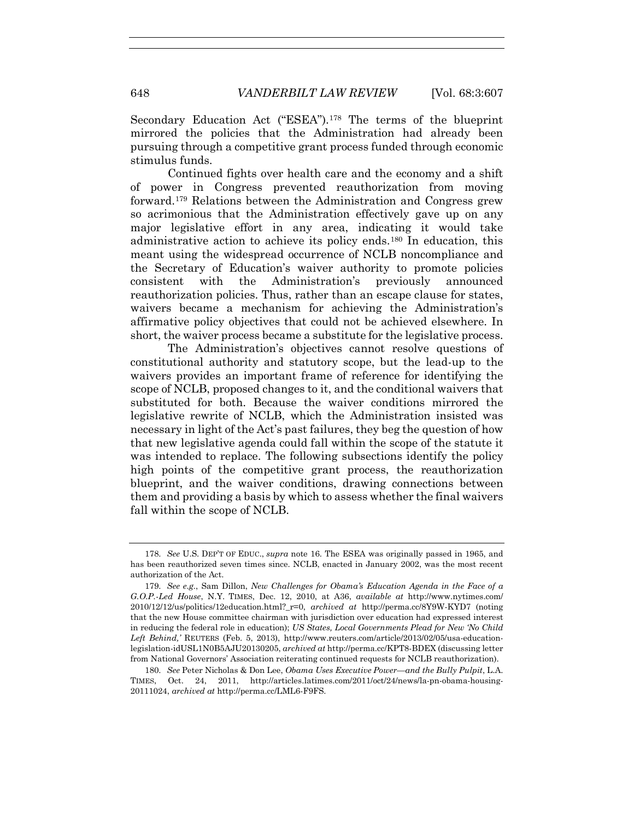Secondary Education Act ("ESEA").178 The terms of the blueprint mirrored the policies that the Administration had already been pursuing through a competitive grant process funded through economic stimulus funds.

Continued fights over health care and the economy and a shift of power in Congress prevented reauthorization from moving forward.179 Relations between the Administration and Congress grew so acrimonious that the Administration effectively gave up on any major legislative effort in any area, indicating it would take administrative action to achieve its policy ends.180 In education, this meant using the widespread occurrence of NCLB noncompliance and the Secretary of Education's waiver authority to promote policies consistent with the Administration's previously announced reauthorization policies. Thus, rather than an escape clause for states, waivers became a mechanism for achieving the Administration's affirmative policy objectives that could not be achieved elsewhere. In short, the waiver process became a substitute for the legislative process.

The Administration's objectives cannot resolve questions of constitutional authority and statutory scope, but the lead-up to the waivers provides an important frame of reference for identifying the scope of NCLB, proposed changes to it, and the conditional waivers that substituted for both. Because the waiver conditions mirrored the legislative rewrite of NCLB, which the Administration insisted was necessary in light of the Act's past failures, they beg the question of how that new legislative agenda could fall within the scope of the statute it was intended to replace. The following subsections identify the policy high points of the competitive grant process, the reauthorization blueprint, and the waiver conditions, drawing connections between them and providing a basis by which to assess whether the final waivers fall within the scope of NCLB.

<sup>178.</sup> *See* U.S. DEP'T OF EDUC., *supra* note 16. The ESEA was originally passed in 1965, and has been reauthorized seven times since. NCLB, enacted in January 2002, was the most recent authorization of the Act.

<sup>179.</sup> *See e.g.*, Sam Dillon, *New Challenges for Obama's Education Agenda in the Face of a G.O.P.-Led House*, N.Y. TIMES, Dec. 12, 2010, at A36, *available at* http://www.nytimes.com/ 2010/12/12/us/politics/12education.html?\_r=0, *archived at* http://perma.cc/8Y9W-KYD7 (noting that the new House committee chairman with jurisdiction over education had expressed interest in reducing the federal role in education); *US States, Local Governments Plead for New 'No Child Left Behind,'* REUTERS (Feb. 5, 2013), http://www.reuters.com/article/2013/02/05/usa-educationlegislation-idUSL1N0B5AJU20130205, *archived at* http://perma.cc/KPT8-BDEX (discussing letter from National Governors' Association reiterating continued requests for NCLB reauthorization).

<sup>180.</sup> *See* Peter Nicholas & Don Lee, *Obama Uses Executive Power—and the Bully Pulpit*, L.A. TIMES, Oct. 24, 2011, http://articles.latimes.com/2011/oct/24/news/la-pn-obama-housing-20111024, *archived at* http://perma.cc/LML6-F9FS.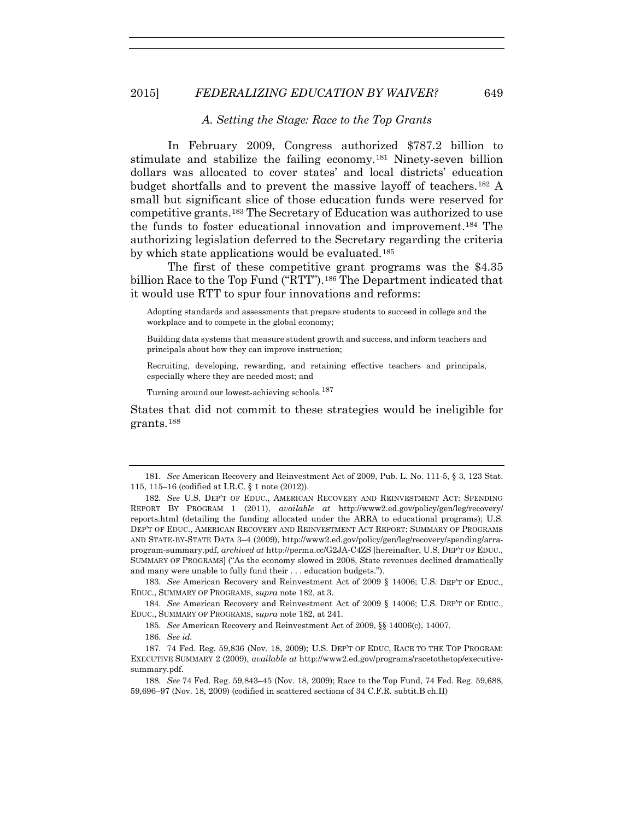#### *A. Setting the Stage: Race to the Top Grants*

In February 2009, Congress authorized \$787.2 billion to stimulate and stabilize the failing economy.181 Ninety-seven billion dollars was allocated to cover states' and local districts' education budget shortfalls and to prevent the massive layoff of teachers.182 A small but significant slice of those education funds were reserved for competitive grants.183 The Secretary of Education was authorized to use the funds to foster educational innovation and improvement.184 The authorizing legislation deferred to the Secretary regarding the criteria by which state applications would be evaluated.<sup>185</sup>

The first of these competitive grant programs was the \$4.35 billion Race to the Top Fund ("RTT").<sup>186</sup> The Department indicated that it would use RTT to spur four innovations and reforms:

Adopting standards and assessments that prepare students to succeed in college and the workplace and to compete in the global economy;

Building data systems that measure student growth and success, and inform teachers and principals about how they can improve instruction;

Recruiting, developing, rewarding, and retaining effective teachers and principals, especially where they are needed most; and

Turning around our lowest-achieving schools.<sup>187</sup>

States that did not commit to these strategies would be ineligible for grants.188

183. *See* American Recovery and Reinvestment Act of 2009 § 14006; U.S. DEP'T OF EDUC., EDUC., SUMMARY OF PROGRAMS, *supra* note 182, at 3.

184. *See* American Recovery and Reinvestment Act of 2009 § 14006; U.S. DEP'T OF EDUC., EDUC., SUMMARY OF PROGRAMS, *supra* note 182, at 241.

185. *See* American Recovery and Reinvestment Act of 2009, §§ 14006(c), 14007.

186. *See id.* 

<sup>181.</sup> *See* American Recovery and Reinvestment Act of 2009, Pub. L. No. 111-5, § 3, 123 Stat. 115, 115–16 (codified at I.R.C. § 1 note (2012)).

<sup>182.</sup> *See* U.S. DEP'T OF EDUC., AMERICAN RECOVERY AND REINVESTMENT ACT: SPENDING REPORT BY PROGRAM 1 (2011), *available at* http://www2.ed.gov/policy/gen/leg/recovery/ reports.html (detailing the funding allocated under the ARRA to educational programs); U.S. DEP'T OF EDUC., AMERICAN RECOVERY AND REINVESTMENT ACT REPORT: SUMMARY OF PROGRAMS AND STATE-BY-STATE DATA 3–4 (2009), http://www2.ed.gov/policy/gen/leg/recovery/spending/arraprogram-summary.pdf, *archived at* http://perma.cc/G2JA-C4ZS [hereinafter, U.S. DEP'T OF EDUC., SUMMARY OF PROGRAMS] ("As the economy slowed in 2008, State revenues declined dramatically and many were unable to fully fund their . . . education budgets.").

<sup>187. 74</sup> Fed. Reg. 59,836 (Nov. 18, 2009); U.S. DEP'T OF EDUC, RACE TO THE TOP PROGRAM: EXECUTIVE SUMMARY 2 (2009), *available at* http://www2.ed.gov/programs/racetothetop/executivesummary.pdf.

<sup>188.</sup> *See* 74 Fed. Reg. 59,843–45 (Nov. 18, 2009); Race to the Top Fund, 74 Fed. Reg. 59,688, 59,696–97 (Nov. 18, 2009) (codified in scattered sections of 34 C.F.R. subtit.B ch.II)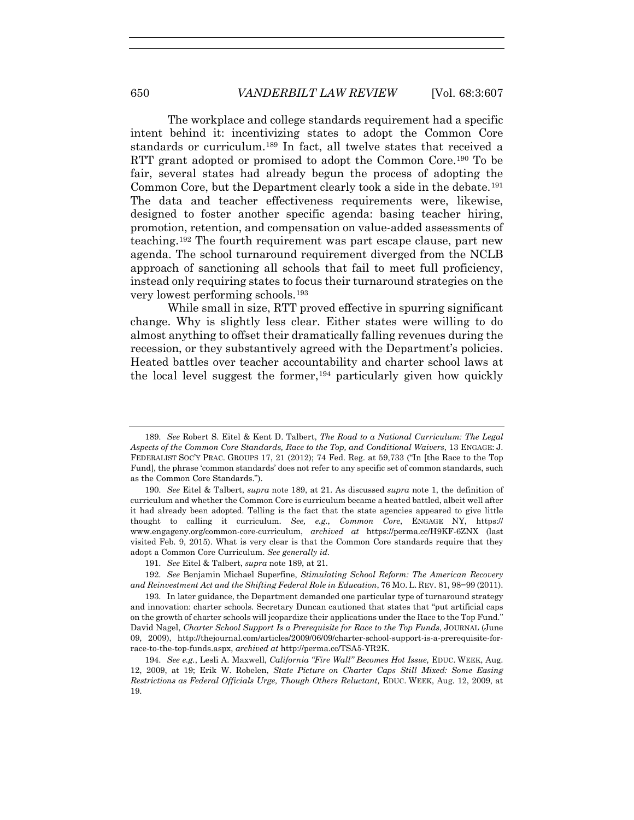The workplace and college standards requirement had a specific intent behind it: incentivizing states to adopt the Common Core standards or curriculum.189 In fact, all twelve states that received a RTT grant adopted or promised to adopt the Common Core.190 To be fair, several states had already begun the process of adopting the Common Core, but the Department clearly took a side in the debate.<sup>191</sup> The data and teacher effectiveness requirements were, likewise, designed to foster another specific agenda: basing teacher hiring, promotion, retention, and compensation on value-added assessments of teaching.192 The fourth requirement was part escape clause, part new agenda. The school turnaround requirement diverged from the NCLB approach of sanctioning all schools that fail to meet full proficiency, instead only requiring states to focus their turnaround strategies on the very lowest performing schools.193

While small in size, RTT proved effective in spurring significant change. Why is slightly less clear. Either states were willing to do almost anything to offset their dramatically falling revenues during the recession, or they substantively agreed with the Department's policies. Heated battles over teacher accountability and charter school laws at the local level suggest the former,<sup>194</sup> particularly given how quickly

<sup>189.</sup> *See* Robert S. Eitel & Kent D. Talbert, *The Road to a National Curriculum: The Legal Aspects of the Common Core Standards, Race to the Top, and Conditional Waivers*, 13 ENGAGE: J. FEDERALIST SOC'Y PRAC. GROUPS 17, 21 (2012); 74 Fed. Reg. at 59,733 ("In [the Race to the Top Fund], the phrase 'common standards' does not refer to any specific set of common standards, such as the Common Core Standards.").

<sup>190.</sup> *See* Eitel & Talbert, *supra* note 189, at 21. As discussed *supra* note 1, the definition of curriculum and whether the Common Core is curriculum became a heated battled, albeit well after it had already been adopted. Telling is the fact that the state agencies appeared to give little thought to calling it curriculum. *See, e.g.*, *Common Core*, ENGAGE NY, https:// www.engageny.org/common-core-curriculum, *archived at* https://perma.cc/H9KF-6ZNX (last visited Feb. 9, 2015). What is very clear is that the Common Core standards require that they adopt a Common Core Curriculum. *See generally id.*

<sup>191.</sup> *See* Eitel & Talbert, *supra* note 189, at 21*.* 

<sup>192.</sup> *See* Benjamin Michael Superfine, *Stimulating School Reform: The American Recovery and Reinvestment Act and the Shifting Federal Role in Education*, 76 MO. L. REV. 81, 98−99 (2011).

<sup>193.</sup> In later guidance, the Department demanded one particular type of turnaround strategy and innovation: charter schools. Secretary Duncan cautioned that states that "put artificial caps on the growth of charter schools will jeopardize their applications under the Race to the Top Fund." David Nagel, *Charter School Support Is a Prerequisite for Race to the Top Funds*, JOURNAL (June 09, 2009), http://thejournal.com/articles/2009/06/09/charter-school-support-is-a-prerequisite-forrace-to-the-top-funds.aspx, *archived at* http://perma.cc/TSA5-YR2K.

<sup>194.</sup> *See e.g.*, Lesli A. Maxwell, *California "Fire Wall" Becomes Hot Issue,* EDUC. WEEK, Aug. 12, 2009, at 19; Erik W. Robelen, *State Picture on Charter Caps Still Mixed: Some Easing Restrictions as Federal Officials Urge, Though Others Reluctant,* EDUC. WEEK, Aug. 12, 2009, at 19.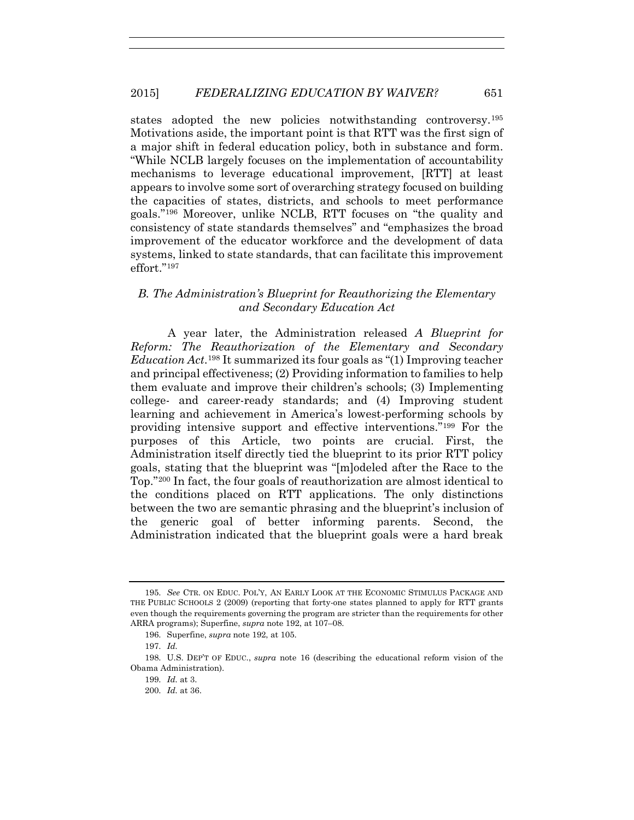states adopted the new policies notwithstanding controversy.<sup>195</sup> Motivations aside, the important point is that RTT was the first sign of a major shift in federal education policy, both in substance and form. "While NCLB largely focuses on the implementation of accountability mechanisms to leverage educational improvement, [RTT] at least appears to involve some sort of overarching strategy focused on building the capacities of states, districts, and schools to meet performance goals."196 Moreover, unlike NCLB, RTT focuses on "the quality and consistency of state standards themselves" and "emphasizes the broad improvement of the educator workforce and the development of data systems, linked to state standards, that can facilitate this improvement effort."197

# *B. The Administration's Blueprint for Reauthorizing the Elementary and Secondary Education Act*

A year later, the Administration released *A Blueprint for Reform: The Reauthorization of the Elementary and Secondary Education Act*.198 It summarized its four goals as "(1) Improving teacher and principal effectiveness; (2) Providing information to families to help them evaluate and improve their children's schools; (3) Implementing college- and career-ready standards; and (4) Improving student learning and achievement in America's lowest-performing schools by providing intensive support and effective interventions."199 For the purposes of this Article, two points are crucial. First, the Administration itself directly tied the blueprint to its prior RTT policy goals, stating that the blueprint was "[m]odeled after the Race to the Top."200 In fact, the four goals of reauthorization are almost identical to the conditions placed on RTT applications. The only distinctions between the two are semantic phrasing and the blueprint's inclusion of the generic goal of better informing parents. Second, the Administration indicated that the blueprint goals were a hard break

<sup>195.</sup> *See* CTR. ON EDUC. POL'Y, AN EARLY LOOK AT THE ECONOMIC STIMULUS PACKAGE AND THE PUBLIC SCHOOLS 2 (2009) (reporting that forty-one states planned to apply for RTT grants even though the requirements governing the program are stricter than the requirements for other ARRA programs); Superfine, *supra* note 192, at 107–08.

<sup>196.</sup> Superfine, *supra* note 192, at 105.

<sup>197.</sup> *Id.*

<sup>198.</sup> U.S. DEP'T OF EDUC., *supra* note 16 (describing the educational reform vision of the Obama Administration).

<sup>199.</sup> *Id.* at 3.

<sup>200.</sup> *Id.* at 36.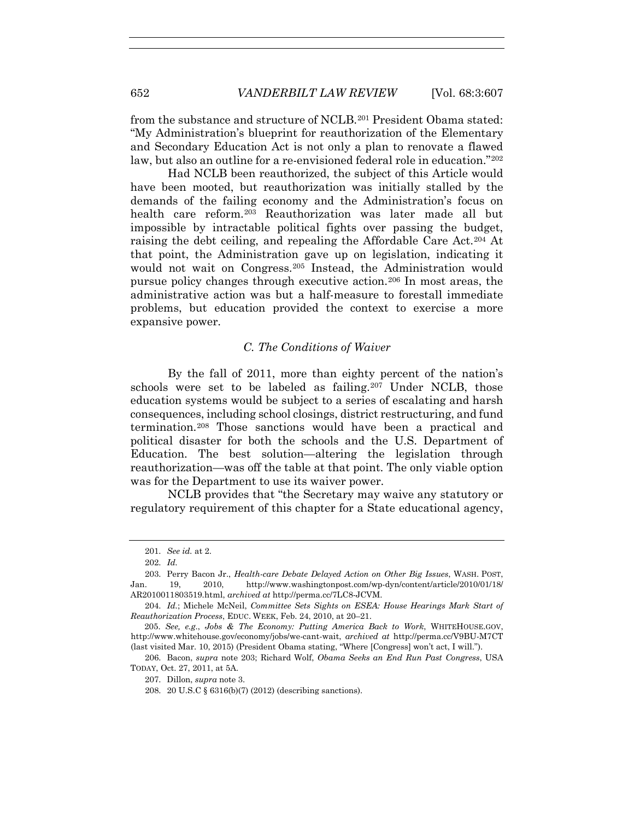from the substance and structure of NCLB.201 President Obama stated: "My Administration's blueprint for reauthorization of the Elementary and Secondary Education Act is not only a plan to renovate a flawed law, but also an outline for a re-envisioned federal role in education."202

Had NCLB been reauthorized, the subject of this Article would have been mooted, but reauthorization was initially stalled by the demands of the failing economy and the Administration's focus on health care reform.203 Reauthorization was later made all but impossible by intractable political fights over passing the budget, raising the debt ceiling, and repealing the Affordable Care Act.204 At that point, the Administration gave up on legislation, indicating it would not wait on Congress.205 Instead, the Administration would pursue policy changes through executive action.206 In most areas, the administrative action was but a half-measure to forestall immediate problems, but education provided the context to exercise a more expansive power.

### *C. The Conditions of Waiver*

By the fall of 2011, more than eighty percent of the nation's schools were set to be labeled as failing.<sup>207</sup> Under NCLB, those education systems would be subject to a series of escalating and harsh consequences, including school closings, district restructuring, and fund termination.208 Those sanctions would have been a practical and political disaster for both the schools and the U.S. Department of Education. The best solution—altering the legislation through reauthorization—was off the table at that point. The only viable option was for the Department to use its waiver power.

NCLB provides that "the Secretary may waive any statutory or regulatory requirement of this chapter for a State educational agency,

<sup>201.</sup> *See id.* at 2.

<sup>202.</sup> *Id.*

<sup>203.</sup> Perry Bacon Jr., *Health-care Debate Delayed Action on Other Big Issues*, WASH. POST, Jan. 19, 2010, http://www.washingtonpost.com/wp-dyn/content/article/2010/01/18/ AR2010011803519.html, *archived at* http://perma.cc/7LC8-JCVM.

<sup>204.</sup> *Id.*; Michele McNeil, *Committee Sets Sights on ESEA: House Hearings Mark Start of Reauthorization Process*, EDUC. WEEK, Feb. 24, 2010, at 20–21.

<sup>205.</sup> *See, e.g*., *Jobs & The Economy: Putting America Back to Work*, WHITEHOUSE.GOV, http://www.whitehouse.gov/economy/jobs/we-cant-wait, *archived at* http://perma.cc/V9BU-M7CT (last visited Mar. 10, 2015) (President Obama stating, "Where [Congress] won't act, I will.").

<sup>206.</sup> Bacon, *supra* note 203; Richard Wolf, *Obama Seeks an End Run Past Congress*, USA TODAY, Oct. 27, 2011, at 5A.

<sup>207.</sup> Dillon, *supra* note 3.

<sup>208. 20</sup> U.S.C § 6316(b)(7) (2012) (describing sanctions).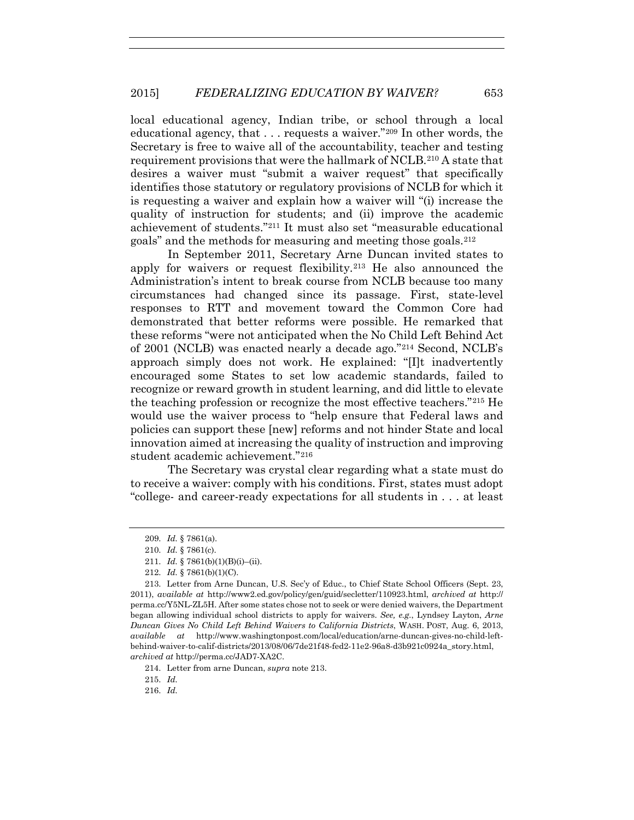local educational agency, Indian tribe, or school through a local educational agency, that . . . requests a waiver."209 In other words, the Secretary is free to waive all of the accountability, teacher and testing requirement provisions that were the hallmark of NCLB.210 A state that desires a waiver must "submit a waiver request" that specifically identifies those statutory or regulatory provisions of NCLB for which it is requesting a waiver and explain how a waiver will "(i) increase the quality of instruction for students; and (ii) improve the academic achievement of students."211 It must also set "measurable educational goals" and the methods for measuring and meeting those goals.212

In September 2011, Secretary Arne Duncan invited states to apply for waivers or request flexibility.213 He also announced the Administration's intent to break course from NCLB because too many circumstances had changed since its passage. First, state-level responses to RTT and movement toward the Common Core had demonstrated that better reforms were possible. He remarked that these reforms "were not anticipated when the No Child Left Behind Act of 2001 (NCLB) was enacted nearly a decade ago."214 Second, NCLB's approach simply does not work. He explained: "[I]t inadvertently encouraged some States to set low academic standards, failed to recognize or reward growth in student learning, and did little to elevate the teaching profession or recognize the most effective teachers."215 He would use the waiver process to "help ensure that Federal laws and policies can support these [new] reforms and not hinder State and local innovation aimed at increasing the quality of instruction and improving student academic achievement."216

The Secretary was crystal clear regarding what a state must do to receive a waiver: comply with his conditions. First, states must adopt "college- and career-ready expectations for all students in . . . at least

215. *Id.*

216. *Id.*

<sup>209.</sup> *Id.* § 7861(a).

<sup>210.</sup> *Id.* § 7861(c).

<sup>211.</sup> *Id.* § 7861(b)(1)(B)(i)–(ii).

<sup>212.</sup> *Id.* § 7861(b)(1)(C).

<sup>213.</sup> Letter from Arne Duncan, U.S. Sec'y of Educ., to Chief State School Officers (Sept. 23, 2011), *available at* http://www2.ed.gov/policy/gen/guid/secletter/110923.html, *archived at* http:// perma.cc/Y5NL-ZL5H. After some states chose not to seek or were denied waivers, the Department began allowing individual school districts to apply for waivers. *See, e.g.*, Lyndsey Layton, *Arne Duncan Gives No Child Left Behind Waivers to California Districts*, WASH. POST, Aug. 6, 2013, *available at* http://www.washingtonpost.com/local/education/arne-duncan-gives-no-child-leftbehind-waiver-to-calif-districts/2013/08/06/7de21f48-fed2-11e2-96a8-d3b921c0924a\_story.html, *archived at* http://perma.cc/JAD7-XA2C.

<sup>214.</sup> Letter from arne Duncan, *supra* note 213.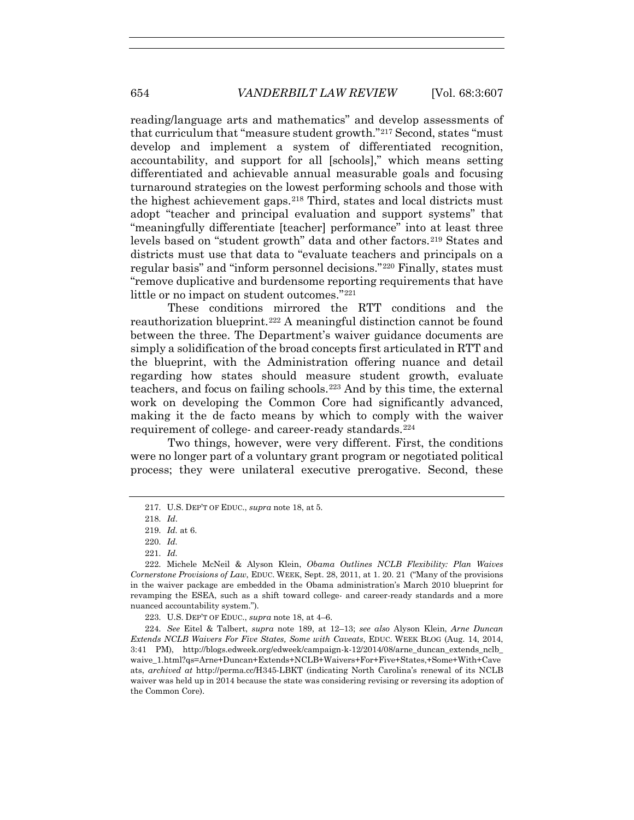reading/language arts and mathematics" and develop assessments of that curriculum that "measure student growth."217 Second, states "must develop and implement a system of differentiated recognition, accountability, and support for all [schools]," which means setting differentiated and achievable annual measurable goals and focusing turnaround strategies on the lowest performing schools and those with the highest achievement gaps.218 Third, states and local districts must adopt "teacher and principal evaluation and support systems" that "meaningfully differentiate [teacher] performance" into at least three levels based on "student growth" data and other factors.<sup>219</sup> States and districts must use that data to "evaluate teachers and principals on a regular basis" and "inform personnel decisions."220 Finally, states must "remove duplicative and burdensome reporting requirements that have little or no impact on student outcomes."221

These conditions mirrored the RTT conditions and the reauthorization blueprint.222 A meaningful distinction cannot be found between the three. The Department's waiver guidance documents are simply a solidification of the broad concepts first articulated in RTT and the blueprint, with the Administration offering nuance and detail regarding how states should measure student growth, evaluate teachers, and focus on failing schools.223 And by this time, the external work on developing the Common Core had significantly advanced, making it the de facto means by which to comply with the waiver requirement of college- and career-ready standards.224

Two things, however, were very different. First, the conditions were no longer part of a voluntary grant program or negotiated political process; they were unilateral executive prerogative. Second, these

223. U.S. DEP'T OF EDUC., *supra* note 18, at 4–6.

224. *See* Eitel & Talbert, *supra* note 189, at 12–13; *see also* Alyson Klein, *Arne Duncan Extends NCLB Waivers For Five States, Some with Caveats*, EDUC. WEEK BLOG (Aug. 14, 2014, 3:41 PM), http://blogs.edweek.org/edweek/campaign-k-12/2014/08/arne\_duncan\_extends\_nclb\_ waive\_1.html?gs=Arne+Duncan+Extends+NCLB+Waivers+For+Five+States,+Some+With+Cave ats, *archived at* http://perma.cc/H345-LBKT (indicating North Carolina's renewal of its NCLB waiver was held up in 2014 because the state was considering revising or reversing its adoption of the Common Core).

<sup>217.</sup> U.S. DEP'T OF EDUC., *supra* note 18, at 5.

<sup>218.</sup> *Id*.

<sup>219.</sup> *Id.* at 6.

<sup>220.</sup> *Id.*

<sup>221.</sup> *Id.*

<sup>222.</sup> Michele McNeil & Alyson Klein, *Obama Outlines NCLB Flexibility: Plan Waives Cornerstone Provisions of Law*, EDUC. WEEK, Sept. 28, 2011, at 1. 20. 21 ("Many of the provisions in the waiver package are embedded in the Obama administration's March 2010 blueprint for revamping the ESEA, such as a shift toward college- and career-ready standards and a more nuanced accountability system.").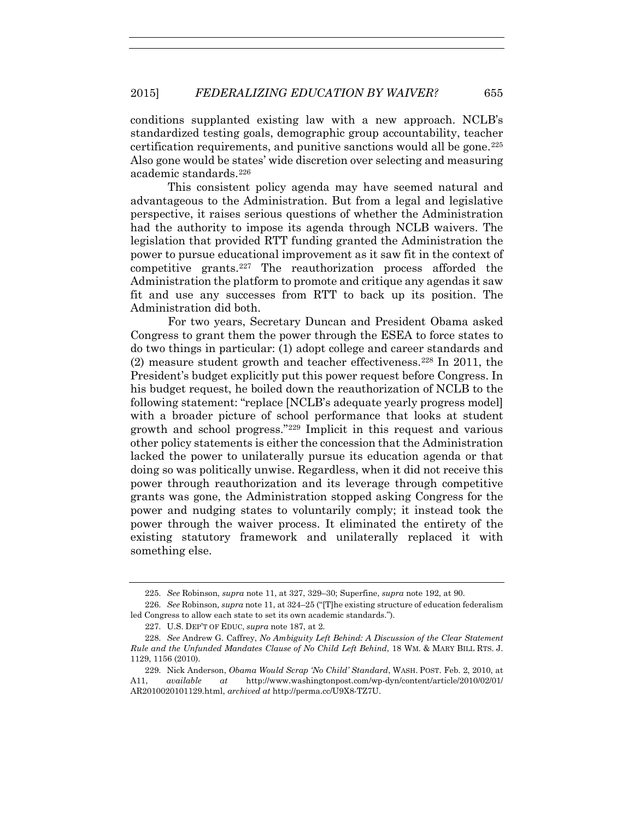conditions supplanted existing law with a new approach. NCLB's standardized testing goals, demographic group accountability, teacher certification requirements, and punitive sanctions would all be gone.  $225$ Also gone would be states' wide discretion over selecting and measuring academic standards.226

This consistent policy agenda may have seemed natural and advantageous to the Administration. But from a legal and legislative perspective, it raises serious questions of whether the Administration had the authority to impose its agenda through NCLB waivers. The legislation that provided RTT funding granted the Administration the power to pursue educational improvement as it saw fit in the context of competitive grants.227 The reauthorization process afforded the Administration the platform to promote and critique any agendas it saw fit and use any successes from RTT to back up its position. The Administration did both.

For two years, Secretary Duncan and President Obama asked Congress to grant them the power through the ESEA to force states to do two things in particular: (1) adopt college and career standards and (2) measure student growth and teacher effectiveness.<sup>228</sup> In 2011, the President's budget explicitly put this power request before Congress. In his budget request, he boiled down the reauthorization of NCLB to the following statement: "replace [NCLB's adequate yearly progress model] with a broader picture of school performance that looks at student growth and school progress."229 Implicit in this request and various other policy statements is either the concession that the Administration lacked the power to unilaterally pursue its education agenda or that doing so was politically unwise. Regardless, when it did not receive this power through reauthorization and its leverage through competitive grants was gone, the Administration stopped asking Congress for the power and nudging states to voluntarily comply; it instead took the power through the waiver process. It eliminated the entirety of the existing statutory framework and unilaterally replaced it with something else.

<sup>225.</sup> *See* Robinson, *supra* note 11, at 327, 329–30; Superfine, *supra* note 192, at 90.

<sup>226.</sup> *See* Robinson*, supra* note 11, at 324–25 ("[T]he existing structure of education federalism led Congress to allow each state to set its own academic standards.").

<sup>227.</sup> U.S. DEP'T OF EDUC, *supra* note 187, at 2.

<sup>228.</sup> *See* Andrew G. Caffrey, *No Ambiguity Left Behind: A Discussion of the Clear Statement Rule and the Unfunded Mandates Clause of No Child Left Behind*, 18 WM. & MARY BILL RTS. J. 1129, 1156 (2010).

<sup>229.</sup> Nick Anderson, *Obama Would Scrap 'No Child' Standard*, WASH. POST. Feb. 2, 2010, at A11, *available at* http://www.washingtonpost.com/wp-dyn/content/article/2010/02/01/ AR2010020101129.html, *archived at* http://perma.cc/U9X8-TZ7U.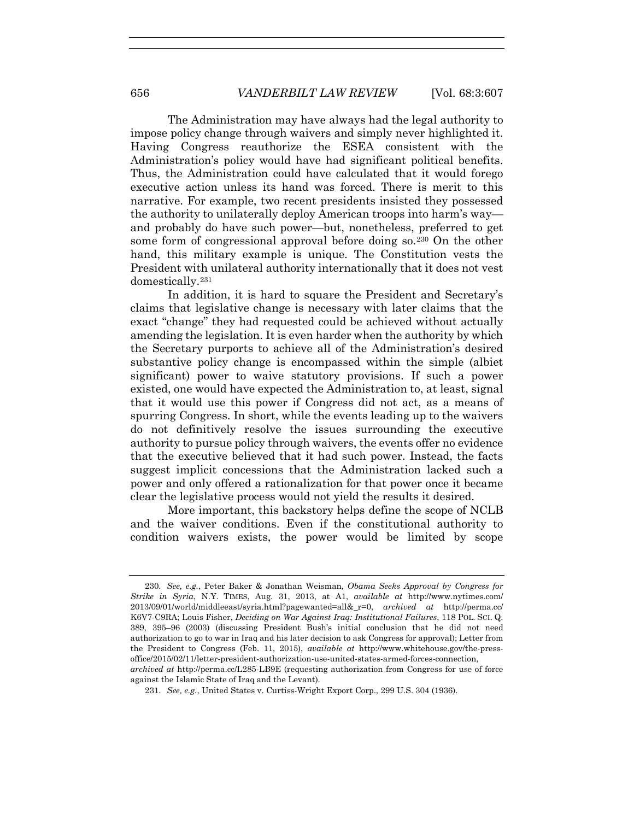The Administration may have always had the legal authority to impose policy change through waivers and simply never highlighted it. Having Congress reauthorize the ESEA consistent with the Administration's policy would have had significant political benefits. Thus, the Administration could have calculated that it would forego executive action unless its hand was forced. There is merit to this narrative. For example, two recent presidents insisted they possessed the authority to unilaterally deploy American troops into harm's way and probably do have such power—but, nonetheless, preferred to get some form of congressional approval before doing so.<sup>230</sup> On the other hand, this military example is unique. The Constitution vests the President with unilateral authority internationally that it does not vest domestically.231

In addition, it is hard to square the President and Secretary's claims that legislative change is necessary with later claims that the exact "change" they had requested could be achieved without actually amending the legislation. It is even harder when the authority by which the Secretary purports to achieve all of the Administration's desired substantive policy change is encompassed within the simple (albiet significant) power to waive statutory provisions. If such a power existed, one would have expected the Administration to, at least, signal that it would use this power if Congress did not act, as a means of spurring Congress. In short, while the events leading up to the waivers do not definitively resolve the issues surrounding the executive authority to pursue policy through waivers, the events offer no evidence that the executive believed that it had such power. Instead, the facts suggest implicit concessions that the Administration lacked such a power and only offered a rationalization for that power once it became clear the legislative process would not yield the results it desired.

More important, this backstory helps define the scope of NCLB and the waiver conditions. Even if the constitutional authority to condition waivers exists, the power would be limited by scope

<sup>230.</sup> *See, e.g.*, Peter Baker & Jonathan Weisman*, Obama Seeks Approval by Congress for Strike in Syria*, N.Y. TIMES, Aug. 31, 2013, at A1, *available at* http://www.nytimes.com/ 2013/09/01/world/middleeast/syria.html?pagewanted=all&\_r=0, *archived at* http://perma.cc/ K6V7-C9RA; Louis Fisher, *Deciding on War Against Iraq: Institutional Failures*, 118 POL. SCI. Q. 389, 395–96 (2003) (discussing President Bush's initial conclusion that he did not need authorization to go to war in Iraq and his later decision to ask Congress for approval); Letter from the President to Congress (Feb. 11, 2015), *available at* http://www.whitehouse.gov/the-pressoffice/2015/02/11/letter-president-authorization-use-united-states-armed-forces-connection, *archived at* http://perma.cc/L285-LB9E (requesting authorization from Congress for use of force against the Islamic State of Iraq and the Levant).

<sup>231.</sup> *See, e.g.*, United States v. Curtiss-Wright Export Corp., 299 U.S. 304 (1936).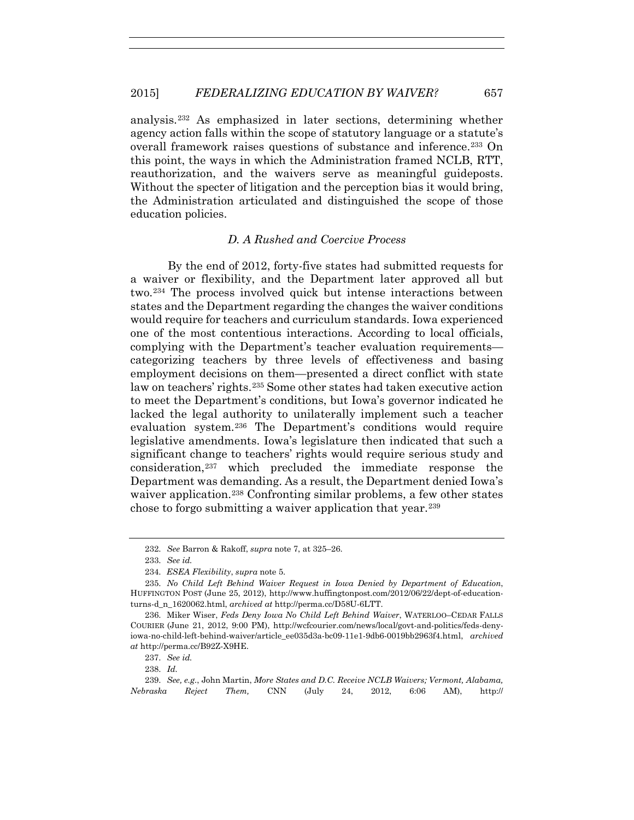analysis.232 As emphasized in later sections, determining whether agency action falls within the scope of statutory language or a statute's overall framework raises questions of substance and inference.233 On this point, the ways in which the Administration framed NCLB, RTT, reauthorization, and the waivers serve as meaningful guideposts. Without the specter of litigation and the perception bias it would bring, the Administration articulated and distinguished the scope of those education policies.

## *D. A Rushed and Coercive Process*

By the end of 2012, forty-five states had submitted requests for a waiver or flexibility, and the Department later approved all but two.234 The process involved quick but intense interactions between states and the Department regarding the changes the waiver conditions would require for teachers and curriculum standards. Iowa experienced one of the most contentious interactions. According to local officials, complying with the Department's teacher evaluation requirements categorizing teachers by three levels of effectiveness and basing employment decisions on them—presented a direct conflict with state law on teachers' rights.235 Some other states had taken executive action to meet the Department's conditions, but Iowa's governor indicated he lacked the legal authority to unilaterally implement such a teacher evaluation system.236 The Department's conditions would require legislative amendments. Iowa's legislature then indicated that such a significant change to teachers' rights would require serious study and consideration,237 which precluded the immediate response the Department was demanding. As a result, the Department denied Iowa's waiver application.<sup>238</sup> Confronting similar problems, a few other states chose to forgo submitting a waiver application that year.239

<sup>232.</sup> *See* Barron & Rakoff, *supra* note 7, at 325–26.

<sup>233.</sup> *See id.*

<sup>234.</sup> *ESEA Flexibility*, *supra* note 5.

<sup>235.</sup> *No Child Left Behind Waiver Request in Iowa Denied by Department of Education*, HUFFINGTON POST (June 25, 2012), http://www.huffingtonpost.com/2012/06/22/dept-of-educationturns-d\_n\_1620062.html, *archived at* http://perma.cc/D58U-6LTT.

<sup>236.</sup> Miker Wiser, *Feds Deny Iowa No Child Left Behind Waiver*, WATERLOO–CEDAR FALLS COURIER (June 21, 2012, 9:00 PM), http://wcfcourier.com/news/local/govt-and-politics/feds-denyiowa-no-child-left-behind-waiver/article\_ee035d3a-bc09-11e1-9db6-0019bb2963f4.html, *archived at* http://perma.cc/B92Z-X9HE.

<sup>237.</sup> *See id.*

<sup>238.</sup> *Id.*

<sup>239.</sup> *See, e.g.*, John Martin, *More States and D.C. Receive NCLB Waivers; Vermont, Alabama, Nebraska Reject Them,* CNN (July 24, 2012, 6:06 AM), http://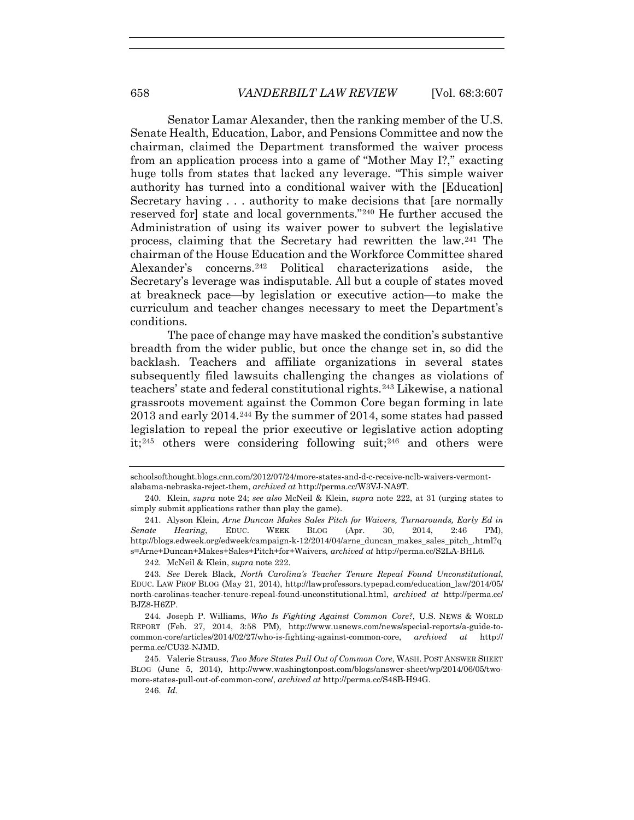Senator Lamar Alexander, then the ranking member of the U.S. Senate Health, Education, Labor, and Pensions Committee and now the chairman, claimed the Department transformed the waiver process from an application process into a game of "Mother May I?," exacting huge tolls from states that lacked any leverage. "This simple waiver authority has turned into a conditional waiver with the [Education] Secretary having . . . authority to make decisions that [are normally reserved for] state and local governments."240 He further accused the Administration of using its waiver power to subvert the legislative process, claiming that the Secretary had rewritten the law.241 The chairman of the House Education and the Workforce Committee shared Alexander's concerns.242 Political characterizations aside, the Secretary's leverage was indisputable. All but a couple of states moved at breakneck pace—by legislation or executive action—to make the curriculum and teacher changes necessary to meet the Department's conditions.

The pace of change may have masked the condition's substantive breadth from the wider public, but once the change set in, so did the backlash. Teachers and affiliate organizations in several states subsequently filed lawsuits challenging the changes as violations of teachers' state and federal constitutional rights.243 Likewise, a national grassroots movement against the Common Core began forming in late 2013 and early 2014.244 By the summer of 2014, some states had passed legislation to repeal the prior executive or legislative action adopting it;245 others were considering following suit;246 and others were

242. McNeil & Klein, *supra* note 222.

schoolsofthought.blogs.cnn.com/2012/07/24/more-states-and-d-c-receive-nclb-waivers-vermontalabama-nebraska-reject-them, *archived at* http://perma.cc/W3VJ-NA9T.

<sup>240.</sup> Klein, *supra* note 24; *see also* McNeil & Klein, *supra* note 222, at 31 (urging states to simply submit applications rather than play the game).

<sup>241.</sup> Alyson Klein, *Arne Duncan Makes Sales Pitch for Waivers, Turnarounds, Early Ed in Senate Hearing*, EDUC. WEEK BLOG (Apr. 30, 2014, 2:46 PM), http://blogs.edweek.org/edweek/campaign-k-12/2014/04/arne\_duncan\_makes\_sales\_pitch\_.html?q s=Arne+Duncan+Makes+Sales+Pitch+for+Waivers*, archived at* http://perma.cc/S2LA-BHL6.

<sup>243.</sup> *See* Derek Black, *North Carolina's Teacher Tenure Repeal Found Unconstitutional*, EDUC. LAW PROF BLOG (May 21, 2014), http://lawprofessors.typepad.com/education\_law/2014/05/ north-carolinas-teacher-tenure-repeal-found-unconstitutional.html, *archived at* http://perma.cc/ BJZ8-H6ZP.

<sup>244.</sup> Joseph P. Williams, *Who Is Fighting Against Common Core?*, U.S. NEWS & WORLD REPORT (Feb. 27, 2014, 3:58 PM), http://www.usnews.com/news/special-reports/a-guide-tocommon-core/articles/2014/02/27/who-is-fighting-against-common-core, *archived at* http:// perma.cc/CU32-NJMD.

<sup>245.</sup> Valerie Strauss, *Two More States Pull Out of Common Core*, WASH. POST ANSWER SHEET BLOG (June 5, 2014), http://www.washingtonpost.com/blogs/answer-sheet/wp/2014/06/05/twomore-states-pull-out-of-common-core/, *archived at* http://perma.cc/S48B-H94G.

<sup>246.</sup> *Id.*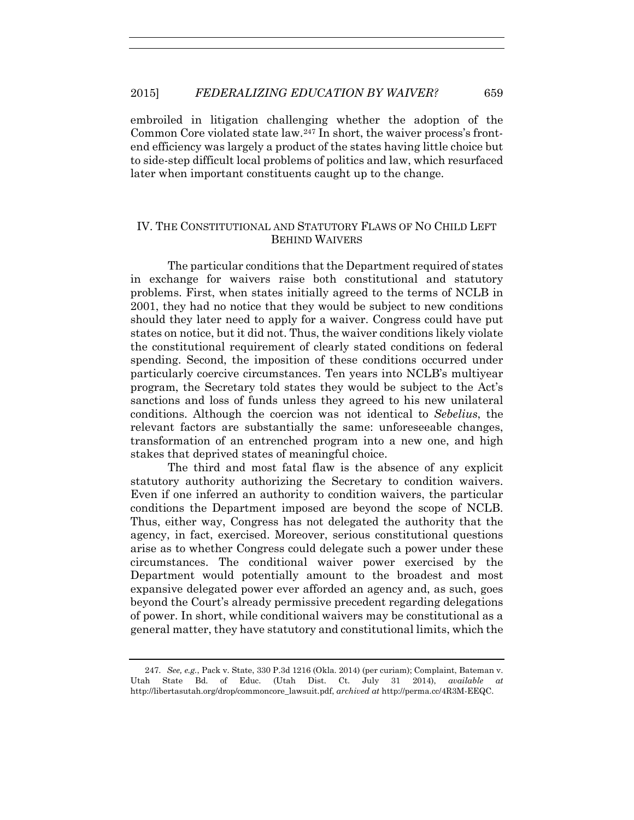### 2015] *FEDERALIZING EDUCATION BY WAIVER?* 659

embroiled in litigation challenging whether the adoption of the Common Core violated state law.<sup>247</sup> In short, the waiver process's frontend efficiency was largely a product of the states having little choice but to side-step difficult local problems of politics and law, which resurfaced later when important constituents caught up to the change.

# IV. THE CONSTITUTIONAL AND STATUTORY FLAWS OF NO CHILD LEFT BEHIND WAIVERS

The particular conditions that the Department required of states in exchange for waivers raise both constitutional and statutory problems. First, when states initially agreed to the terms of NCLB in 2001, they had no notice that they would be subject to new conditions should they later need to apply for a waiver. Congress could have put states on notice, but it did not. Thus, the waiver conditions likely violate the constitutional requirement of clearly stated conditions on federal spending. Second, the imposition of these conditions occurred under particularly coercive circumstances. Ten years into NCLB's multiyear program, the Secretary told states they would be subject to the Act's sanctions and loss of funds unless they agreed to his new unilateral conditions. Although the coercion was not identical to *Sebelius*, the relevant factors are substantially the same: unforeseeable changes, transformation of an entrenched program into a new one, and high stakes that deprived states of meaningful choice.

The third and most fatal flaw is the absence of any explicit statutory authority authorizing the Secretary to condition waivers. Even if one inferred an authority to condition waivers, the particular conditions the Department imposed are beyond the scope of NCLB. Thus, either way, Congress has not delegated the authority that the agency, in fact, exercised. Moreover, serious constitutional questions arise as to whether Congress could delegate such a power under these circumstances. The conditional waiver power exercised by the Department would potentially amount to the broadest and most expansive delegated power ever afforded an agency and, as such, goes beyond the Court's already permissive precedent regarding delegations of power. In short, while conditional waivers may be constitutional as a general matter, they have statutory and constitutional limits, which the

<sup>247.</sup> *See, e.g.*, Pack v. State, 330 P.3d 1216 (Okla. 2014) (per curiam); Complaint, Bateman v. Utah State Bd. of Educ. (Utah Dist. Ct. July 31 2014), *available at*  http://libertasutah.org/drop/commoncore\_lawsuit.pdf, *archived at* http://perma.cc/4R3M-EEQC.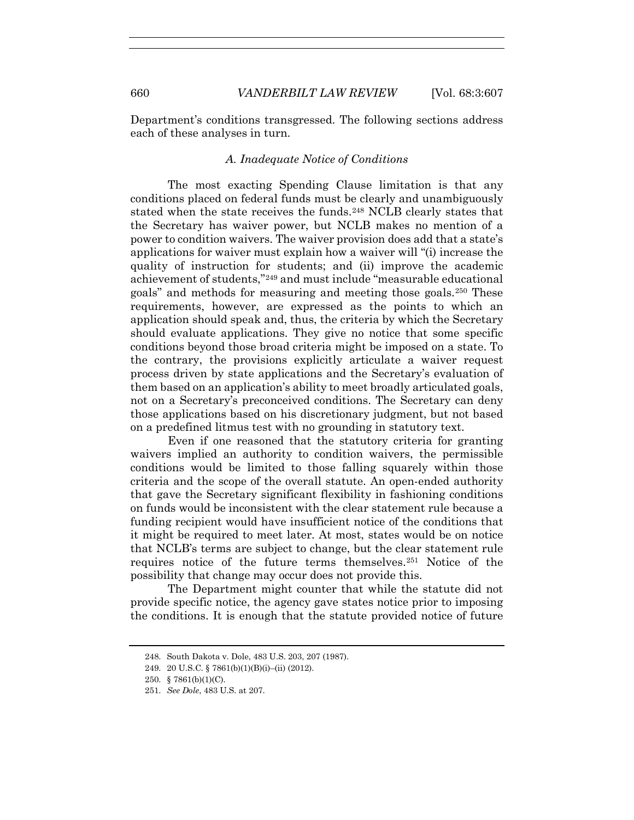Department's conditions transgressed. The following sections address each of these analyses in turn.

### *A. Inadequate Notice of Conditions*

The most exacting Spending Clause limitation is that any conditions placed on federal funds must be clearly and unambiguously stated when the state receives the funds.<sup>248</sup> NCLB clearly states that the Secretary has waiver power, but NCLB makes no mention of a power to condition waivers. The waiver provision does add that a state's applications for waiver must explain how a waiver will "(i) increase the quality of instruction for students; and (ii) improve the academic achievement of students,"249 and must include "measurable educational goals" and methods for measuring and meeting those goals.250 These requirements, however, are expressed as the points to which an application should speak and, thus, the criteria by which the Secretary should evaluate applications. They give no notice that some specific conditions beyond those broad criteria might be imposed on a state. To the contrary, the provisions explicitly articulate a waiver request process driven by state applications and the Secretary's evaluation of them based on an application's ability to meet broadly articulated goals, not on a Secretary's preconceived conditions. The Secretary can deny those applications based on his discretionary judgment, but not based on a predefined litmus test with no grounding in statutory text.

Even if one reasoned that the statutory criteria for granting waivers implied an authority to condition waivers, the permissible conditions would be limited to those falling squarely within those criteria and the scope of the overall statute. An open-ended authority that gave the Secretary significant flexibility in fashioning conditions on funds would be inconsistent with the clear statement rule because a funding recipient would have insufficient notice of the conditions that it might be required to meet later. At most, states would be on notice that NCLB's terms are subject to change, but the clear statement rule requires notice of the future terms themselves.251 Notice of the possibility that change may occur does not provide this.

The Department might counter that while the statute did not provide specific notice, the agency gave states notice prior to imposing the conditions. It is enough that the statute provided notice of future

<sup>248.</sup> South Dakota v. Dole, 483 U.S. 203, 207 (1987).

<sup>249. 20</sup> U.S.C. § 7861(b)(1)(B)(i)–(ii) (2012).

<sup>250. § 7861(</sup>b)(1)(C).

<sup>251.</sup> *See Dole*, 483 U.S. at 207.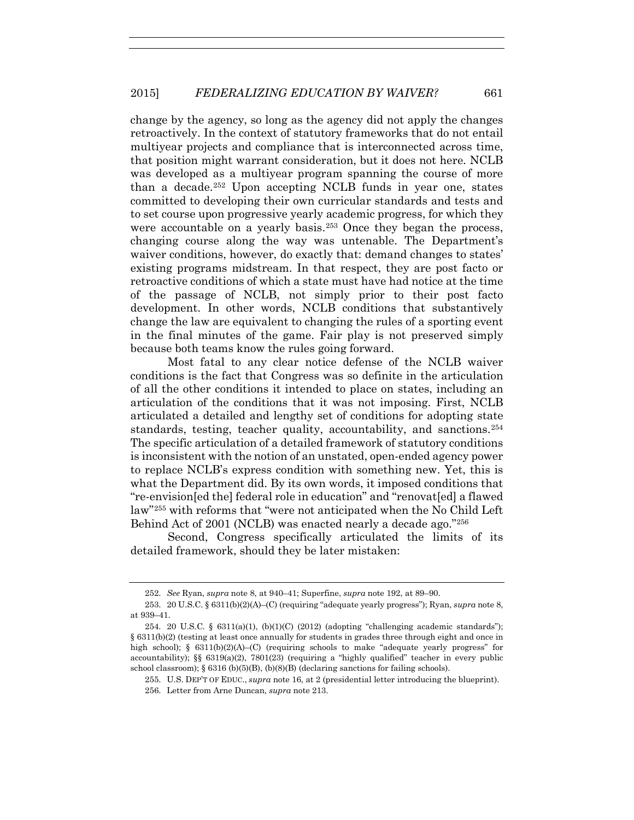change by the agency, so long as the agency did not apply the changes retroactively. In the context of statutory frameworks that do not entail multiyear projects and compliance that is interconnected across time, that position might warrant consideration, but it does not here. NCLB was developed as a multiyear program spanning the course of more than a decade.252 Upon accepting NCLB funds in year one, states committed to developing their own curricular standards and tests and to set course upon progressive yearly academic progress, for which they were accountable on a yearly basis.<sup>253</sup> Once they began the process, changing course along the way was untenable. The Department's waiver conditions, however, do exactly that: demand changes to states' existing programs midstream. In that respect, they are post facto or retroactive conditions of which a state must have had notice at the time of the passage of NCLB, not simply prior to their post facto development. In other words, NCLB conditions that substantively change the law are equivalent to changing the rules of a sporting event in the final minutes of the game. Fair play is not preserved simply because both teams know the rules going forward.

Most fatal to any clear notice defense of the NCLB waiver conditions is the fact that Congress was so definite in the articulation of all the other conditions it intended to place on states, including an articulation of the conditions that it was not imposing. First, NCLB articulated a detailed and lengthy set of conditions for adopting state standards, testing, teacher quality, accountability, and sanctions.254 The specific articulation of a detailed framework of statutory conditions is inconsistent with the notion of an unstated, open-ended agency power to replace NCLB's express condition with something new. Yet, this is what the Department did. By its own words, it imposed conditions that "re-envision[ed the] federal role in education" and "renovat[ed] a flawed law"255 with reforms that "were not anticipated when the No Child Left Behind Act of 2001 (NCLB) was enacted nearly a decade ago."256

Second, Congress specifically articulated the limits of its detailed framework, should they be later mistaken:

<sup>252.</sup> *See* Ryan, *supra* note 8, at 940–41; Superfine, *supra* note 192, at 89–90.

<sup>253. 20</sup> U.S.C. § 6311(b)(2)(A)–(C) (requiring "adequate yearly progress"); Ryan, *supra* note 8, at 939–41.

<sup>254. 20</sup> U.S.C. §  $6311(a)(1)$ ,  $(b)(1)(C)$  (2012) (adopting "challenging academic standards"); § 6311(b)(2) (testing at least once annually for students in grades three through eight and once in high school); §  $6311(b)(2)(A)$ –(C) (requiring schools to make "adequate yearly progress" for accountability);  $\S$   $6319(a)(2)$ ,  $7801(23)$  (requiring a "highly qualified" teacher in every public school classroom); § 6316 (b)(5)(B), (b)(8)(B) (declaring sanctions for failing schools).

<sup>255.</sup> U.S. DEP'T OF EDUC., *supra* note 16, at 2 (presidential letter introducing the blueprint). 256. Letter from Arne Duncan, *supra* note 213.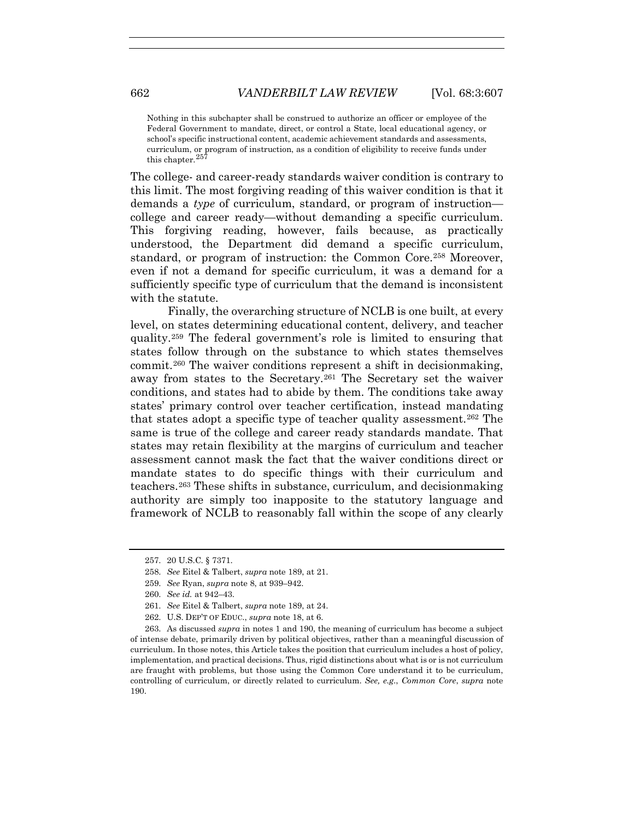Nothing in this subchapter shall be construed to authorize an officer or employee of the Federal Government to mandate, direct, or control a State, local educational agency, or school's specific instructional content, academic achievement standards and assessments, curriculum, or program of instruction, as a condition of eligibility to receive funds under this chapter.<sup>257</sup>

The college- and career-ready standards waiver condition is contrary to this limit. The most forgiving reading of this waiver condition is that it demands a *type* of curriculum, standard, or program of instruction college and career ready—without demanding a specific curriculum. This forgiving reading, however, fails because, as practically understood, the Department did demand a specific curriculum, standard, or program of instruction: the Common Core.258 Moreover, even if not a demand for specific curriculum, it was a demand for a sufficiently specific type of curriculum that the demand is inconsistent with the statute.

Finally, the overarching structure of NCLB is one built, at every level, on states determining educational content, delivery, and teacher quality.259 The federal government's role is limited to ensuring that states follow through on the substance to which states themselves commit.260 The waiver conditions represent a shift in decisionmaking, away from states to the Secretary.261 The Secretary set the waiver conditions, and states had to abide by them. The conditions take away states' primary control over teacher certification, instead mandating that states adopt a specific type of teacher quality assessment.262 The same is true of the college and career ready standards mandate. That states may retain flexibility at the margins of curriculum and teacher assessment cannot mask the fact that the waiver conditions direct or mandate states to do specific things with their curriculum and teachers.263 These shifts in substance, curriculum, and decisionmaking authority are simply too inapposite to the statutory language and framework of NCLB to reasonably fall within the scope of any clearly

- 259. *See* Ryan, *supra* note 8, at 939–942.
- 260. *See id.* at 942–43.
- 261. *See* Eitel & Talbert, *supra* note 189, at 24.
- 262. U.S. DEP'T OF EDUC., *supra* note 18, at 6.

263. As discussed *supra* in notes 1 and 190, the meaning of curriculum has become a subject of intense debate, primarily driven by political objectives, rather than a meaningful discussion of curriculum. In those notes, this Article takes the position that curriculum includes a host of policy, implementation, and practical decisions. Thus, rigid distinctions about what is or is not curriculum are fraught with problems, but those using the Common Core understand it to be curriculum, controlling of curriculum, or directly related to curriculum. *See, e.g*., *Common Core*, *supra* note 190.

<sup>257. 20</sup> U.S.C. § 7371.

<sup>258.</sup> *See* Eitel & Talbert, *supra* note 189, at 21.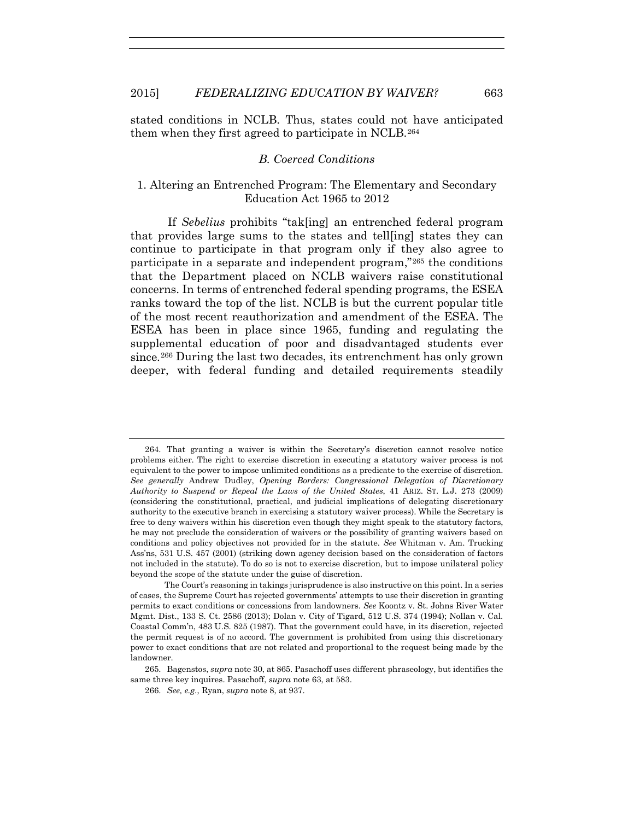stated conditions in NCLB. Thus, states could not have anticipated them when they first agreed to participate in NCLB.264

## *B. Coerced Conditions*

# 1. Altering an Entrenched Program: The Elementary and Secondary Education Act 1965 to 2012

If *Sebelius* prohibits "tak[ing] an entrenched federal program that provides large sums to the states and tell[ing] states they can continue to participate in that program only if they also agree to participate in a separate and independent program,"265 the conditions that the Department placed on NCLB waivers raise constitutional concerns. In terms of entrenched federal spending programs, the ESEA ranks toward the top of the list. NCLB is but the current popular title of the most recent reauthorization and amendment of the ESEA. The ESEA has been in place since 1965, funding and regulating the supplemental education of poor and disadvantaged students ever since.266 During the last two decades, its entrenchment has only grown deeper, with federal funding and detailed requirements steadily

<sup>264.</sup> That granting a waiver is within the Secretary's discretion cannot resolve notice problems either. The right to exercise discretion in executing a statutory waiver process is not equivalent to the power to impose unlimited conditions as a predicate to the exercise of discretion. *See generally* Andrew Dudley, *Opening Borders: Congressional Delegation of Discretionary Authority to Suspend or Repeal the Laws of the United States*, 41 ARIZ. ST. L.J. 273 (2009) (considering the constitutional, practical, and judicial implications of delegating discretionary authority to the executive branch in exercising a statutory waiver process). While the Secretary is free to deny waivers within his discretion even though they might speak to the statutory factors, he may not preclude the consideration of waivers or the possibility of granting waivers based on conditions and policy objectives not provided for in the statute. *See* Whitman v. Am. Trucking Ass'ns, 531 U.S. 457 (2001) (striking down agency decision based on the consideration of factors not included in the statute). To do so is not to exercise discretion, but to impose unilateral policy beyond the scope of the statute under the guise of discretion.

The Court's reasoning in takings jurisprudence is also instructive on this point. In a series of cases, the Supreme Court has rejected governments' attempts to use their discretion in granting permits to exact conditions or concessions from landowners. *See* Koontz v. St. Johns River Water Mgmt. Dist., 133 S. Ct. 2586 (2013); Dolan v. City of Tigard, 512 U.S. 374 (1994); Nollan v. Cal. Coastal Comm'n, 483 U.S. 825 (1987). That the government could have, in its discretion, rejected the permit request is of no accord. The government is prohibited from using this discretionary power to exact conditions that are not related and proportional to the request being made by the landowner.

<sup>265.</sup> Bagenstos, *supra* note 30, at 865. Pasachoff uses different phraseology, but identifies the same three key inquires. Pasachoff, *supra* note 63, at 583.

<sup>266.</sup> *See, e.g.*, Ryan, *supra* note 8, at 937.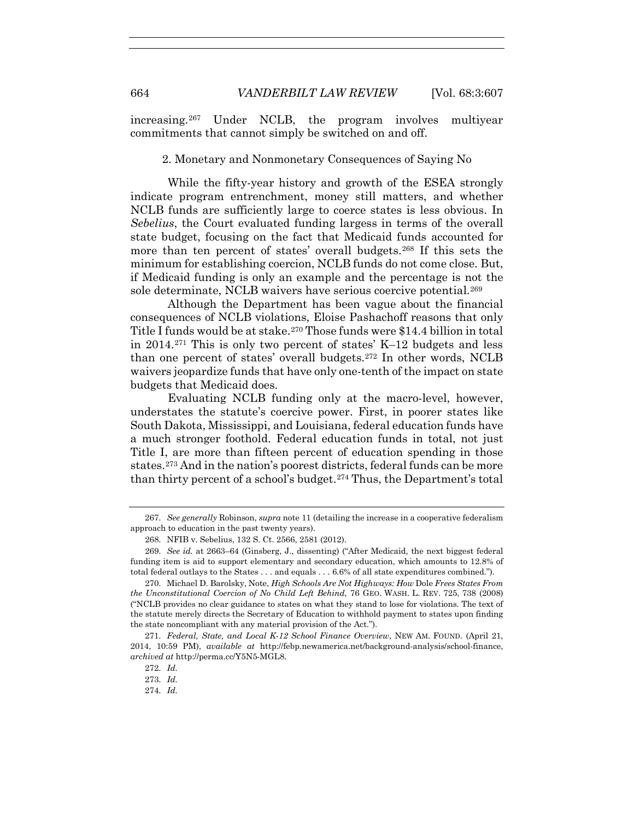increasing.267 Under NCLB, the program involves multiyear commitments that cannot simply be switched on and off.

2. Monetary and Nonmonetary Consequences of Saying No

While the fifty-year history and growth of the ESEA strongly indicate program entrenchment, money still matters, and whether NCLB funds are sufficiently large to coerce states is less obvious. In *Sebelius*, the Court evaluated funding largess in terms of the overall state budget, focusing on the fact that Medicaid funds accounted for more than ten percent of states' overall budgets.268 If this sets the minimum for establishing coercion, NCLB funds do not come close. But, if Medicaid funding is only an example and the percentage is not the sole determinate, NCLB waivers have serious coercive potential.<sup>269</sup>

Although the Department has been vague about the financial consequences of NCLB violations, Eloise Pashachoff reasons that only Title I funds would be at stake.270 Those funds were \$14.4 billion in total in 2014.271 This is only two percent of states' K–12 budgets and less than one percent of states' overall budgets.272 In other words, NCLB waivers jeopardize funds that have only one-tenth of the impact on state budgets that Medicaid does.

Evaluating NCLB funding only at the macro-level, however, understates the statute's coercive power. First, in poorer states like South Dakota, Mississippi, and Louisiana, federal education funds have a much stronger foothold. Federal education funds in total, not just Title I, are more than fifteen percent of education spending in those states.273 And in the nation's poorest districts, federal funds can be more than thirty percent of a school's budget.274 Thus, the Department's total

<sup>267.</sup> *See generally* Robinson, *supra* note 11 (detailing the increase in a cooperative federalism approach to education in the past twenty years).

<sup>268.</sup> NFIB v. Sebelius, 132 S. Ct. 2566, 2581 (2012).

<sup>269.</sup> *See id.* at 2663–64 (Ginsberg, J., dissenting) ("After Medicaid, the next biggest federal funding item is aid to support elementary and secondary education, which amounts to 12.8% of total federal outlays to the States . . . and equals . . . 6.6% of all state expenditures combined.").

<sup>270.</sup> Michael D. Barolsky, Note, *High Schools Are Not Highways: How* Dole *Frees States From the Unconstitutional Coercion of No Child Left Behind*, 76 GEO. WASH. L. REV. 725, 738 (2008) ("NCLB provides no clear guidance to states on what they stand to lose for violations. The text of the statute merely directs the Secretary of Education to withhold payment to states upon finding the state noncompliant with any material provision of the Act.").

<sup>271.</sup> *Federal, State, and Local K-12 School Finance Overview*, NEW AM. FOUND. (April 21, 2014, 10:59 PM), *available at* http://febp.newamerica.net/background-analysis/school-finance, *archived at* http://perma.cc/Y5N5-MGL8.

<sup>272.</sup> *Id.*

<sup>273.</sup> *Id.*

<sup>274.</sup> *Id.*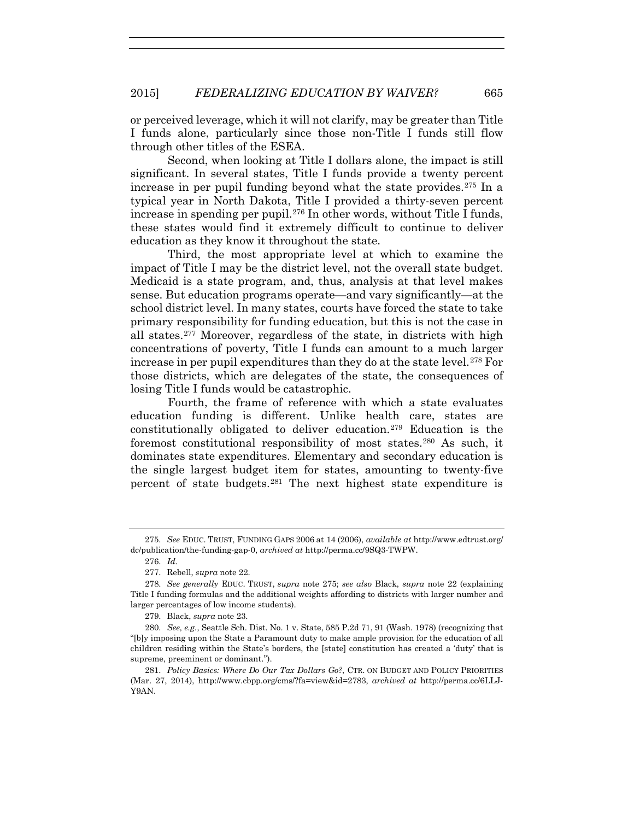or perceived leverage, which it will not clarify, may be greater than Title I funds alone, particularly since those non-Title I funds still flow through other titles of the ESEA.

Second, when looking at Title I dollars alone, the impact is still significant. In several states, Title I funds provide a twenty percent increase in per pupil funding beyond what the state provides.<sup>275</sup> In a typical year in North Dakota, Title I provided a thirty-seven percent increase in spending per pupil.276 In other words, without Title I funds, these states would find it extremely difficult to continue to deliver education as they know it throughout the state.

Third, the most appropriate level at which to examine the impact of Title I may be the district level, not the overall state budget. Medicaid is a state program, and, thus, analysis at that level makes sense. But education programs operate—and vary significantly—at the school district level. In many states, courts have forced the state to take primary responsibility for funding education, but this is not the case in all states.277 Moreover, regardless of the state, in districts with high concentrations of poverty, Title I funds can amount to a much larger increase in per pupil expenditures than they do at the state level.278 For those districts, which are delegates of the state, the consequences of losing Title I funds would be catastrophic.

Fourth, the frame of reference with which a state evaluates education funding is different. Unlike health care, states are constitutionally obligated to deliver education.279 Education is the foremost constitutional responsibility of most states.280 As such, it dominates state expenditures. Elementary and secondary education is the single largest budget item for states, amounting to twenty-five percent of state budgets.281 The next highest state expenditure is

279. Black, *supra* note 23.

<sup>275.</sup> *See* EDUC. TRUST, FUNDING GAPS 2006 at 14 (2006), *available at* http://www.edtrust.org/ dc/publication/the-funding-gap-0, *archived at* http://perma.cc/9SQ3-TWPW.

<sup>276.</sup> *Id.*

<sup>277.</sup> Rebell, *supra* note 22.

<sup>278.</sup> *See generally* EDUC. TRUST, *supra* note 275; *see also* Black, *supra* note 22 (explaining Title I funding formulas and the additional weights affording to districts with larger number and larger percentages of low income students).

<sup>280.</sup> *See, e.g.*, Seattle Sch. Dist. No. 1 v. State, 585 P.2d 71, 91 (Wash. 1978) (recognizing that "[b]y imposing upon the State a Paramount duty to make ample provision for the education of all children residing within the State's borders, the [state] constitution has created a 'duty' that is supreme, preeminent or dominant.").

<sup>281.</sup> *Policy Basics: Where Do Our Tax Dollars Go?*, CTR. ON BUDGET AND POLICY PRIORITIES (Mar. 27, 2014), http://www.cbpp.org/cms/?fa=view&id=2783, *archived at* http://perma.cc/6LLJ-Y9AN.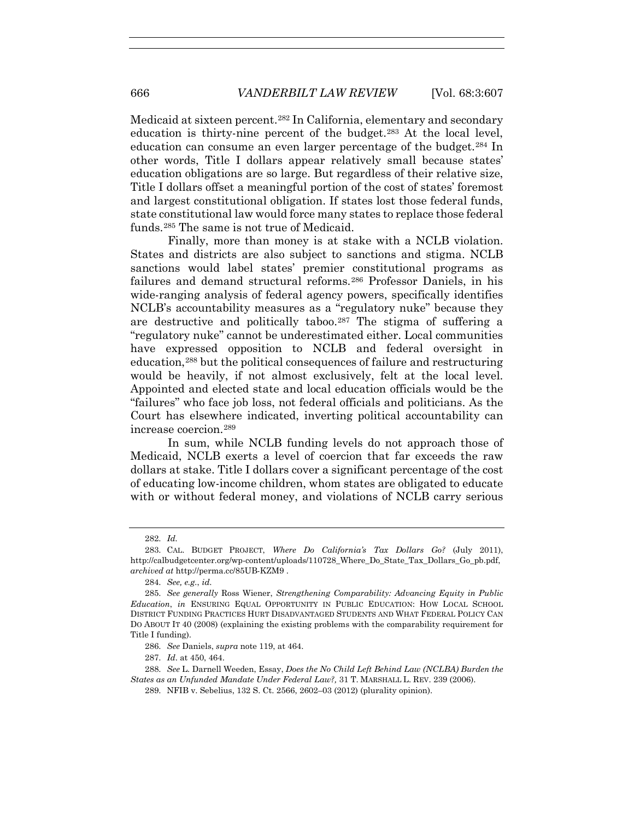Medicaid at sixteen percent.282 In California, elementary and secondary education is thirty-nine percent of the budget.283 At the local level, education can consume an even larger percentage of the budget.284 In other words, Title I dollars appear relatively small because states' education obligations are so large. But regardless of their relative size, Title I dollars offset a meaningful portion of the cost of states' foremost and largest constitutional obligation. If states lost those federal funds, state constitutional law would force many states to replace those federal funds.285 The same is not true of Medicaid.

Finally, more than money is at stake with a NCLB violation. States and districts are also subject to sanctions and stigma. NCLB sanctions would label states' premier constitutional programs as failures and demand structural reforms.286 Professor Daniels, in his wide-ranging analysis of federal agency powers, specifically identifies NCLB's accountability measures as a "regulatory nuke" because they are destructive and politically taboo.287 The stigma of suffering a "regulatory nuke" cannot be underestimated either. Local communities have expressed opposition to NCLB and federal oversight in education,288 but the political consequences of failure and restructuring would be heavily, if not almost exclusively, felt at the local level. Appointed and elected state and local education officials would be the "failures" who face job loss, not federal officials and politicians. As the Court has elsewhere indicated, inverting political accountability can increase coercion.289

In sum, while NCLB funding levels do not approach those of Medicaid, NCLB exerts a level of coercion that far exceeds the raw dollars at stake. Title I dollars cover a significant percentage of the cost of educating low-income children, whom states are obligated to educate with or without federal money, and violations of NCLB carry serious

<sup>282.</sup> *Id.*

<sup>283.</sup> CAL. BUDGET PROJECT, *Where Do California's Tax Dollars Go?* (July 2011), http://calbudgetcenter.org/wp-content/uploads/110728 Where Do State Tax Dollars Go pb.pdf, *archived at* http://perma.cc/85UB-KZM9 .

<sup>284.</sup> *See, e.g.*, *id*.

<sup>285.</sup> *See generally* Ross Wiener, *Strengthening Comparability: Advancing Equity in Public Education*, *in* ENSURING EQUAL OPPORTUNITY IN PUBLIC EDUCATION: HOW LOCAL SCHOOL DISTRICT FUNDING PRACTICES HURT DISADVANTAGED STUDENTS AND WHAT FEDERAL POLICY CAN DO ABOUT IT 40 (2008) (explaining the existing problems with the comparability requirement for Title I funding).

<sup>286.</sup> *See* Daniels, *supra* note 119, at 464.

<sup>287.</sup> *Id*. at 450, 464.

<sup>288.</sup> *See* L. Darnell Weeden, Essay, *Does the No Child Left Behind Law (NCLBA) Burden the States as an Unfunded Mandate Under Federal Law?,* 31 T. MARSHALL L. REV. 239 (2006).

<sup>289.</sup> NFIB v. Sebelius, 132 S. Ct. 2566, 2602–03 (2012) (plurality opinion).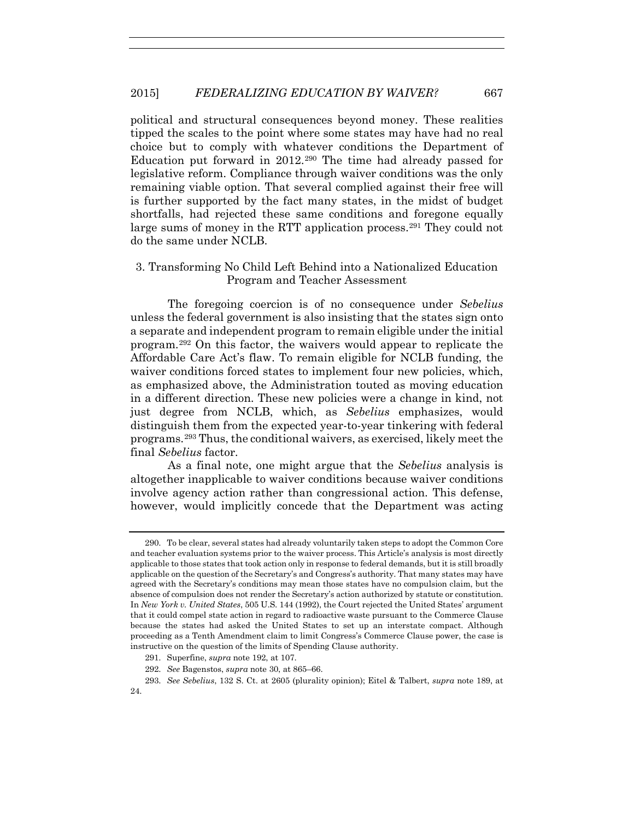political and structural consequences beyond money. These realities tipped the scales to the point where some states may have had no real choice but to comply with whatever conditions the Department of Education put forward in 2012.290 The time had already passed for legislative reform. Compliance through waiver conditions was the only remaining viable option. That several complied against their free will is further supported by the fact many states, in the midst of budget shortfalls, had rejected these same conditions and foregone equally large sums of money in the RTT application process.291 They could not do the same under NCLB.

# 3. Transforming No Child Left Behind into a Nationalized Education Program and Teacher Assessment

The foregoing coercion is of no consequence under *Sebelius* unless the federal government is also insisting that the states sign onto a separate and independent program to remain eligible under the initial program.292 On this factor, the waivers would appear to replicate the Affordable Care Act's flaw. To remain eligible for NCLB funding, the waiver conditions forced states to implement four new policies, which, as emphasized above, the Administration touted as moving education in a different direction. These new policies were a change in kind, not just degree from NCLB, which, as *Sebelius* emphasizes, would distinguish them from the expected year-to-year tinkering with federal programs.293 Thus, the conditional waivers, as exercised, likely meet the final *Sebelius* factor.

As a final note, one might argue that the *Sebelius* analysis is altogether inapplicable to waiver conditions because waiver conditions involve agency action rather than congressional action. This defense, however, would implicitly concede that the Department was acting

<sup>290.</sup> To be clear, several states had already voluntarily taken steps to adopt the Common Core and teacher evaluation systems prior to the waiver process. This Article's analysis is most directly applicable to those states that took action only in response to federal demands, but it is still broadly applicable on the question of the Secretary's and Congress's authority. That many states may have agreed with the Secretary's conditions may mean those states have no compulsion claim, but the absence of compulsion does not render the Secretary's action authorized by statute or constitution. In *New York v. United States*, 505 U.S. 144 (1992), the Court rejected the United States' argument that it could compel state action in regard to radioactive waste pursuant to the Commerce Clause because the states had asked the United States to set up an interstate compact. Although proceeding as a Tenth Amendment claim to limit Congress's Commerce Clause power, the case is instructive on the question of the limits of Spending Clause authority.

<sup>291.</sup> Superfine, *supra* note 192, at 107.

<sup>292.</sup> *See* Bagenstos, *supra* note 30, at 865–66.

<sup>293.</sup> *See Sebelius*, 132 S. Ct. at 2605 (plurality opinion); Eitel & Talbert, *supra* note 189, at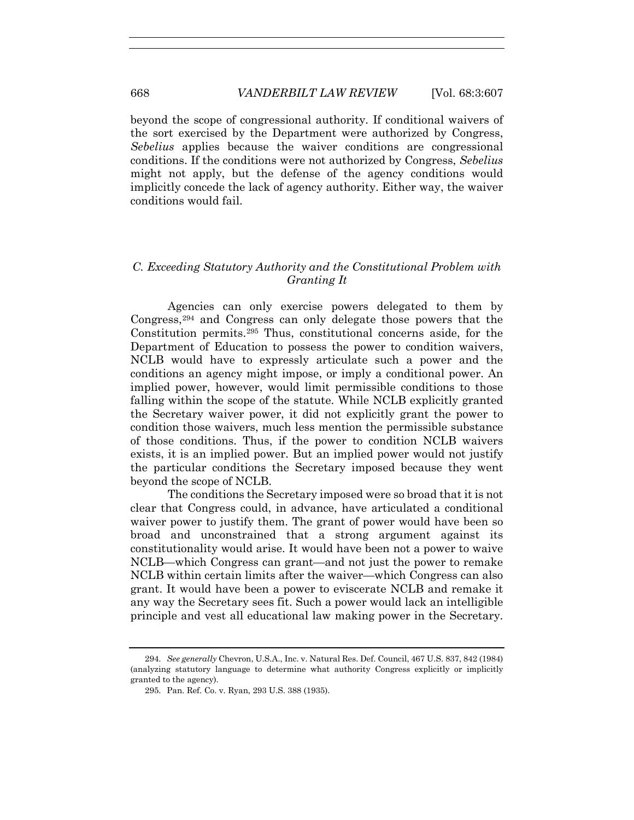beyond the scope of congressional authority. If conditional waivers of the sort exercised by the Department were authorized by Congress, *Sebelius* applies because the waiver conditions are congressional conditions. If the conditions were not authorized by Congress, *Sebelius* might not apply, but the defense of the agency conditions would implicitly concede the lack of agency authority. Either way, the waiver conditions would fail.

# *C. Exceeding Statutory Authority and the Constitutional Problem with Granting It*

Agencies can only exercise powers delegated to them by Congress,294 and Congress can only delegate those powers that the Constitution permits.295 Thus, constitutional concerns aside, for the Department of Education to possess the power to condition waivers, NCLB would have to expressly articulate such a power and the conditions an agency might impose, or imply a conditional power. An implied power, however, would limit permissible conditions to those falling within the scope of the statute. While NCLB explicitly granted the Secretary waiver power, it did not explicitly grant the power to condition those waivers, much less mention the permissible substance of those conditions. Thus, if the power to condition NCLB waivers exists, it is an implied power. But an implied power would not justify the particular conditions the Secretary imposed because they went beyond the scope of NCLB.

The conditions the Secretary imposed were so broad that it is not clear that Congress could, in advance, have articulated a conditional waiver power to justify them. The grant of power would have been so broad and unconstrained that a strong argument against its constitutionality would arise. It would have been not a power to waive NCLB—which Congress can grant—and not just the power to remake NCLB within certain limits after the waiver—which Congress can also grant. It would have been a power to eviscerate NCLB and remake it any way the Secretary sees fit. Such a power would lack an intelligible principle and vest all educational law making power in the Secretary.

<sup>294.</sup> *See generally* Chevron, U.S.A., Inc. v. Natural Res. Def. Council, 467 U.S. 837, 842 (1984) (analyzing statutory language to determine what authority Congress explicitly or implicitly granted to the agency).

<sup>295.</sup> Pan. Ref. Co. v. Ryan, 293 U.S. 388 (1935).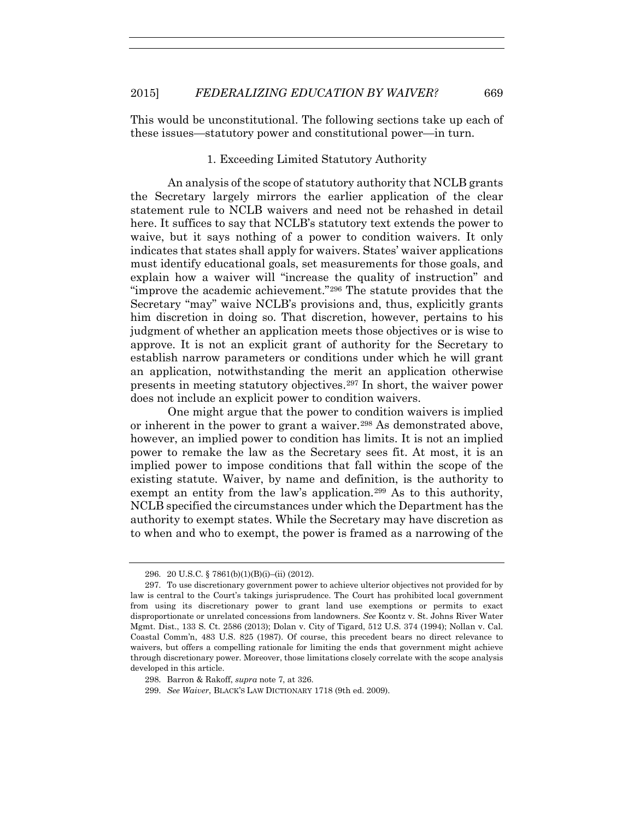This would be unconstitutional. The following sections take up each of these issues—statutory power and constitutional power—in turn.

### 1. Exceeding Limited Statutory Authority

An analysis of the scope of statutory authority that NCLB grants the Secretary largely mirrors the earlier application of the clear statement rule to NCLB waivers and need not be rehashed in detail here. It suffices to say that NCLB's statutory text extends the power to waive, but it says nothing of a power to condition waivers. It only indicates that states shall apply for waivers. States' waiver applications must identify educational goals, set measurements for those goals, and explain how a waiver will "increase the quality of instruction" and "improve the academic achievement."296 The statute provides that the Secretary "may" waive NCLB's provisions and, thus, explicitly grants him discretion in doing so. That discretion, however, pertains to his judgment of whether an application meets those objectives or is wise to approve. It is not an explicit grant of authority for the Secretary to establish narrow parameters or conditions under which he will grant an application, notwithstanding the merit an application otherwise presents in meeting statutory objectives.297 In short, the waiver power does not include an explicit power to condition waivers.

One might argue that the power to condition waivers is implied or inherent in the power to grant a waiver.<sup>298</sup> As demonstrated above, however, an implied power to condition has limits. It is not an implied power to remake the law as the Secretary sees fit. At most, it is an implied power to impose conditions that fall within the scope of the existing statute. Waiver, by name and definition, is the authority to exempt an entity from the law's application.<sup>299</sup> As to this authority, NCLB specified the circumstances under which the Department has the authority to exempt states. While the Secretary may have discretion as to when and who to exempt, the power is framed as a narrowing of the

<sup>296. 20</sup> U.S.C. § 7861(b)(1)(B)(i)–(ii) (2012).

<sup>297.</sup> To use discretionary government power to achieve ulterior objectives not provided for by law is central to the Court's takings jurisprudence. The Court has prohibited local government from using its discretionary power to grant land use exemptions or permits to exact disproportionate or unrelated concessions from landowners. *See* Koontz v. St. Johns River Water Mgmt. Dist., 133 S. Ct. 2586 (2013); Dolan v. City of Tigard, 512 U.S. 374 (1994); Nollan v. Cal. Coastal Comm'n, 483 U.S. 825 (1987). Of course, this precedent bears no direct relevance to waivers, but offers a compelling rationale for limiting the ends that government might achieve through discretionary power. Moreover, those limitations closely correlate with the scope analysis developed in this article.

<sup>298.</sup> Barron & Rakoff, *supra* note 7, at 326.

<sup>299.</sup> *See Waiver*, BLACK'S LAW DICTIONARY 1718 (9th ed. 2009).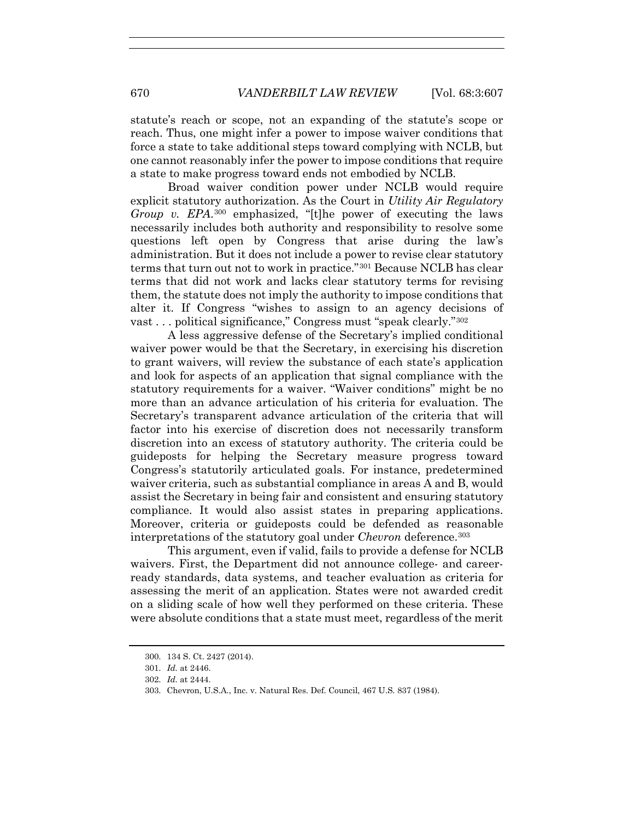statute's reach or scope, not an expanding of the statute's scope or reach. Thus, one might infer a power to impose waiver conditions that force a state to take additional steps toward complying with NCLB, but one cannot reasonably infer the power to impose conditions that require a state to make progress toward ends not embodied by NCLB.

Broad waiver condition power under NCLB would require explicit statutory authorization. As the Court in *Utility Air Regulatory Group v. EPA*.300 emphasized, "[t]he power of executing the laws necessarily includes both authority and responsibility to resolve some questions left open by Congress that arise during the law's administration. But it does not include a power to revise clear statutory terms that turn out not to work in practice."301 Because NCLB has clear terms that did not work and lacks clear statutory terms for revising them, the statute does not imply the authority to impose conditions that alter it. If Congress "wishes to assign to an agency decisions of vast . . . political significance," Congress must "speak clearly."302

A less aggressive defense of the Secretary's implied conditional waiver power would be that the Secretary, in exercising his discretion to grant waivers, will review the substance of each state's application and look for aspects of an application that signal compliance with the statutory requirements for a waiver. "Waiver conditions" might be no more than an advance articulation of his criteria for evaluation. The Secretary's transparent advance articulation of the criteria that will factor into his exercise of discretion does not necessarily transform discretion into an excess of statutory authority. The criteria could be guideposts for helping the Secretary measure progress toward Congress's statutorily articulated goals. For instance, predetermined waiver criteria, such as substantial compliance in areas A and B, would assist the Secretary in being fair and consistent and ensuring statutory compliance. It would also assist states in preparing applications. Moreover, criteria or guideposts could be defended as reasonable interpretations of the statutory goal under *Chevron* deference.303

This argument, even if valid, fails to provide a defense for NCLB waivers. First, the Department did not announce college- and careerready standards, data systems, and teacher evaluation as criteria for assessing the merit of an application. States were not awarded credit on a sliding scale of how well they performed on these criteria. These were absolute conditions that a state must meet, regardless of the merit

<sup>300. 134</sup> S. Ct. 2427 (2014).

<sup>301.</sup> *Id.* at 2446.

<sup>302.</sup> *Id.* at 2444.

<sup>303.</sup> Chevron, U.S.A., Inc. v. Natural Res. Def. Council, 467 U.S. 837 (1984).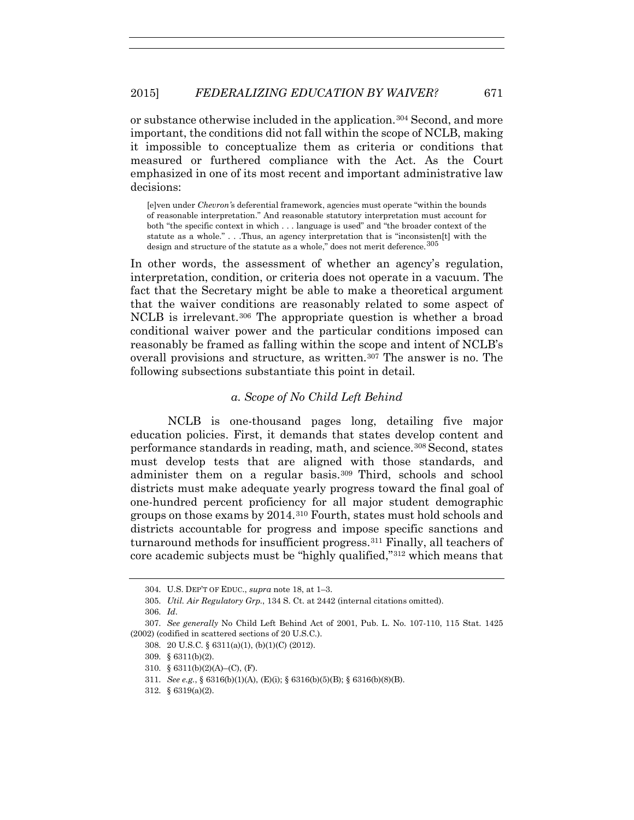# 2015] *FEDERALIZING EDUCATION BY WAIVER?* 671

or substance otherwise included in the application.304 Second, and more important, the conditions did not fall within the scope of NCLB, making it impossible to conceptualize them as criteria or conditions that measured or furthered compliance with the Act. As the Court emphasized in one of its most recent and important administrative law decisions:

[e]ven under *Chevron'*s deferential framework, agencies must operate "within the bounds of reasonable interpretation." And reasonable statutory interpretation must account for both "the specific context in which . . . language is used" and "the broader context of the statute as a whole." . . .Thus, an agency interpretation that is "inconsisten[t] with the design and structure of the statute as a whole," does not merit deference.<sup>305</sup>

In other words, the assessment of whether an agency's regulation, interpretation, condition, or criteria does not operate in a vacuum. The fact that the Secretary might be able to make a theoretical argument that the waiver conditions are reasonably related to some aspect of NCLB is irrelevant.306 The appropriate question is whether a broad conditional waiver power and the particular conditions imposed can reasonably be framed as falling within the scope and intent of NCLB's overall provisions and structure, as written.<sup>307</sup> The answer is no. The following subsections substantiate this point in detail.

## *a. Scope of No Child Left Behind*

NCLB is one-thousand pages long, detailing five major education policies. First, it demands that states develop content and performance standards in reading, math, and science.308 Second, states must develop tests that are aligned with those standards, and administer them on a regular basis.309 Third, schools and school districts must make adequate yearly progress toward the final goal of one-hundred percent proficiency for all major student demographic groups on those exams by 2014.310 Fourth, states must hold schools and districts accountable for progress and impose specific sanctions and turnaround methods for insufficient progress.311 Finally, all teachers of core academic subjects must be "highly qualified,"312 which means that

310. § 6311(b)(2)(A)–(C), (F).

<sup>304.</sup> U.S. DEP'T OF EDUC., *supra* note 18, at 1–3.

<sup>305.</sup> *Util. Air Regulatory Grp.*, 134 S. Ct. at 2442 (internal citations omitted).

<sup>306.</sup> *Id*.

<sup>307.</sup> *See generally* No Child Left Behind Act of 2001, Pub. L. No. 107-110, 115 Stat. 1425 (2002) (codified in scattered sections of 20 U.S.C.).

<sup>308. 20</sup> U.S.C. § 6311(a)(1), (b)(1)(C) (2012).

<sup>309. § 6311(</sup>b)(2).

<sup>311.</sup> *See e.g.*, § 6316(b)(1)(A), (E)(i); § 6316(b)(5)(B); § 6316(b)(8)(B).

<sup>312. § 6319(</sup>a)(2).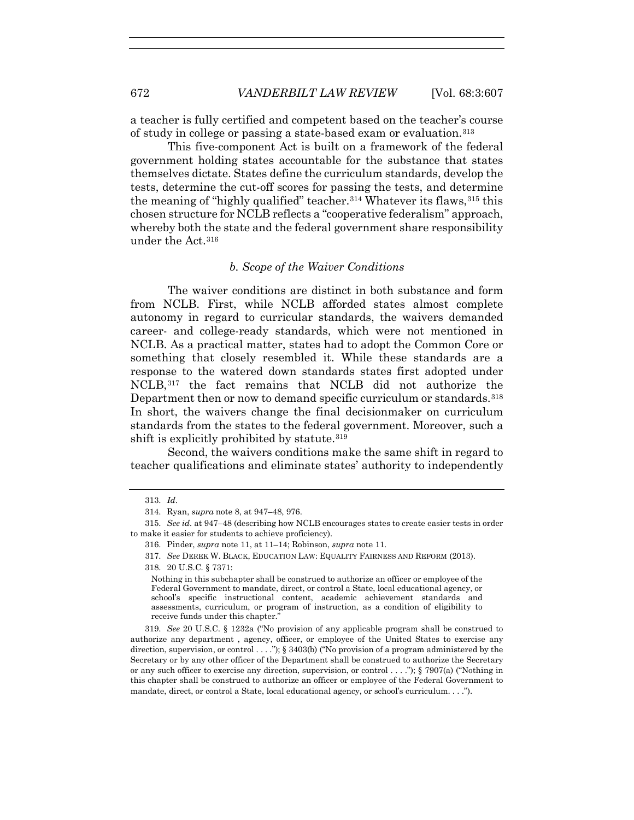a teacher is fully certified and competent based on the teacher's course of study in college or passing a state-based exam or evaluation.313

This five-component Act is built on a framework of the federal government holding states accountable for the substance that states themselves dictate. States define the curriculum standards, develop the tests, determine the cut-off scores for passing the tests, and determine the meaning of "highly qualified" teacher.<sup>314</sup> Whatever its flaws,  $315$  this chosen structure for NCLB reflects a "cooperative federalism" approach, whereby both the state and the federal government share responsibility under the Act.316

#### *b. Scope of the Waiver Conditions*

The waiver conditions are distinct in both substance and form from NCLB. First, while NCLB afforded states almost complete autonomy in regard to curricular standards, the waivers demanded career- and college-ready standards, which were not mentioned in NCLB. As a practical matter, states had to adopt the Common Core or something that closely resembled it. While these standards are a response to the watered down standards states first adopted under NCLB,317 the fact remains that NCLB did not authorize the Department then or now to demand specific curriculum or standards.318 In short, the waivers change the final decisionmaker on curriculum standards from the states to the federal government. Moreover, such a shift is explicitly prohibited by statute.<sup>319</sup>

Second, the waivers conditions make the same shift in regard to teacher qualifications and eliminate states' authority to independently

<sup>313.</sup> *Id*.

<sup>314.</sup> Ryan, *supra* note 8, at 947–48, 976.

<sup>315.</sup> *See id.* at 947–48 (describing how NCLB encourages states to create easier tests in order to make it easier for students to achieve proficiency).

<sup>316.</sup> Pinder, *supra* note 11, at 11–14; Robinson, *supra* note 11.

<sup>317.</sup> *See* DEREK W. BLACK, EDUCATION LAW: EQUALITY FAIRNESS AND REFORM (2013).

<sup>318. 20</sup> U.S.C. § 7371:

Nothing in this subchapter shall be construed to authorize an officer or employee of the Federal Government to mandate, direct, or control a State, local educational agency, or school's specific instructional content, academic achievement standards and assessments, curriculum, or program of instruction, as a condition of eligibility to receive funds under this chapter.'

<sup>319.</sup> *See* 20 U.S.C. § 1232a ("No provision of any applicable program shall be construed to authorize any department , agency, officer, or employee of the United States to exercise any direction, supervision, or control . . . ."); § 3403(b) ("No provision of a program administered by the Secretary or by any other officer of the Department shall be construed to authorize the Secretary or any such officer to exercise any direction, supervision, or control . . . ."); § 7907(a) ("Nothing in this chapter shall be construed to authorize an officer or employee of the Federal Government to mandate, direct, or control a State, local educational agency, or school's curriculum. . . .").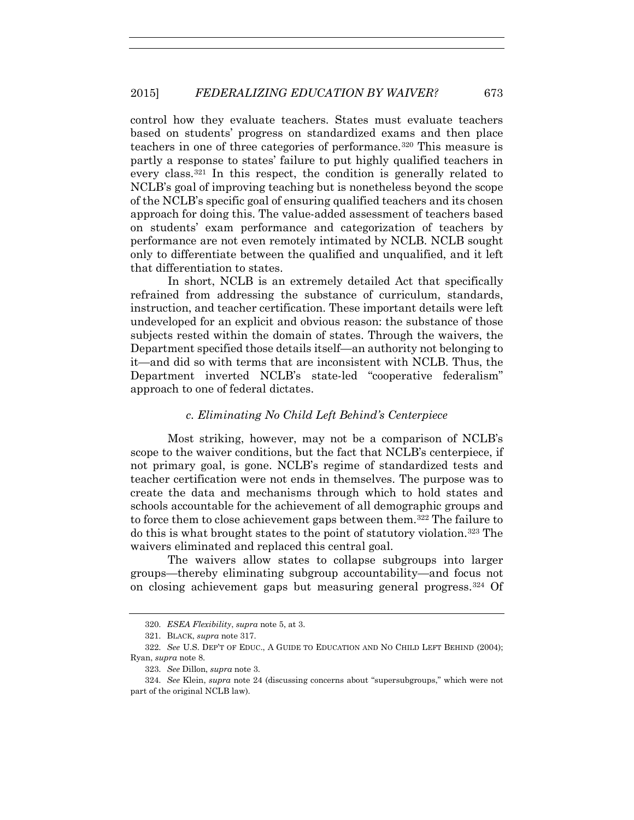control how they evaluate teachers. States must evaluate teachers based on students' progress on standardized exams and then place teachers in one of three categories of performance.320 This measure is partly a response to states' failure to put highly qualified teachers in every class.321 In this respect, the condition is generally related to NCLB's goal of improving teaching but is nonetheless beyond the scope of the NCLB's specific goal of ensuring qualified teachers and its chosen approach for doing this. The value-added assessment of teachers based on students' exam performance and categorization of teachers by performance are not even remotely intimated by NCLB. NCLB sought only to differentiate between the qualified and unqualified, and it left that differentiation to states.

In short, NCLB is an extremely detailed Act that specifically refrained from addressing the substance of curriculum, standards, instruction, and teacher certification. These important details were left undeveloped for an explicit and obvious reason: the substance of those subjects rested within the domain of states. Through the waivers, the Department specified those details itself—an authority not belonging to it—and did so with terms that are inconsistent with NCLB. Thus, the Department inverted NCLB's state-led "cooperative federalism" approach to one of federal dictates.

#### *c. Eliminating No Child Left Behind's Centerpiece*

Most striking, however, may not be a comparison of NCLB's scope to the waiver conditions, but the fact that NCLB's centerpiece, if not primary goal, is gone. NCLB's regime of standardized tests and teacher certification were not ends in themselves. The purpose was to create the data and mechanisms through which to hold states and schools accountable for the achievement of all demographic groups and to force them to close achievement gaps between them.322 The failure to do this is what brought states to the point of statutory violation.323 The waivers eliminated and replaced this central goal.

The waivers allow states to collapse subgroups into larger groups—thereby eliminating subgroup accountability—and focus not on closing achievement gaps but measuring general progress.324 Of

<sup>320.</sup> *ESEA Flexibility*, *supra* note 5, at 3.

<sup>321.</sup> BLACK, *supra* note 317.

<sup>322.</sup> *See* U.S. DEP'T OF EDUC., A GUIDE TO EDUCATION AND NO CHILD LEFT BEHIND (2004); Ryan, *supra* note 8.

<sup>323.</sup> *See* Dillon, *supra* note 3.

<sup>324.</sup> *See* Klein, *supra* note 24 (discussing concerns about "supersubgroups," which were not part of the original NCLB law).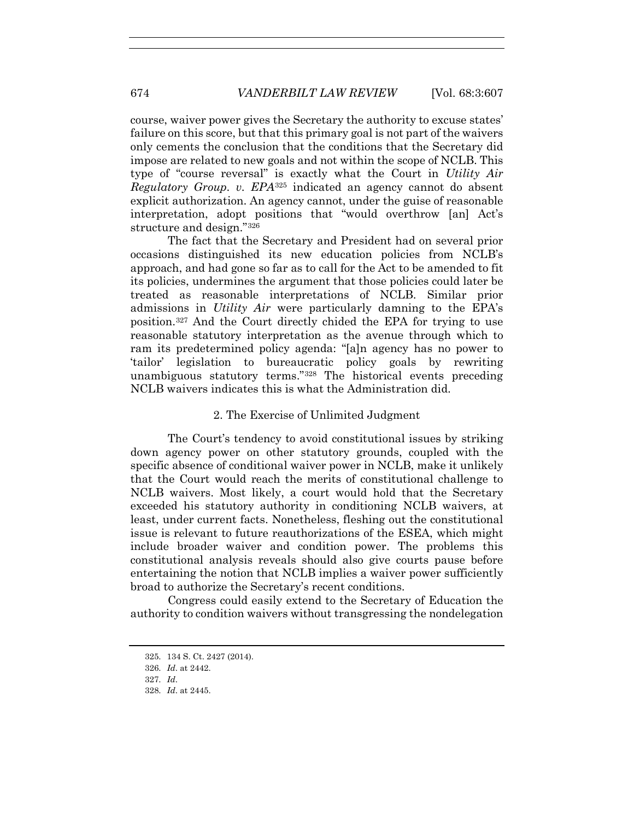course, waiver power gives the Secretary the authority to excuse states' failure on this score, but that this primary goal is not part of the waivers only cements the conclusion that the conditions that the Secretary did impose are related to new goals and not within the scope of NCLB. This type of "course reversal" is exactly what the Court in *Utility Air Regulatory Group. v. EPA*<sup>325</sup> indicated an agency cannot do absent explicit authorization. An agency cannot, under the guise of reasonable interpretation, adopt positions that "would overthrow [an] Act's structure and design."326

The fact that the Secretary and President had on several prior occasions distinguished its new education policies from NCLB's approach, and had gone so far as to call for the Act to be amended to fit its policies, undermines the argument that those policies could later be treated as reasonable interpretations of NCLB. Similar prior admissions in *Utility Air* were particularly damning to the EPA's position.327 And the Court directly chided the EPA for trying to use reasonable statutory interpretation as the avenue through which to ram its predetermined policy agenda: "[a]n agency has no power to 'tailor' legislation to bureaucratic policy goals by rewriting unambiguous statutory terms."328 The historical events preceding NCLB waivers indicates this is what the Administration did.

### 2. The Exercise of Unlimited Judgment

The Court's tendency to avoid constitutional issues by striking down agency power on other statutory grounds, coupled with the specific absence of conditional waiver power in NCLB, make it unlikely that the Court would reach the merits of constitutional challenge to NCLB waivers. Most likely, a court would hold that the Secretary exceeded his statutory authority in conditioning NCLB waivers, at least, under current facts. Nonetheless, fleshing out the constitutional issue is relevant to future reauthorizations of the ESEA, which might include broader waiver and condition power. The problems this constitutional analysis reveals should also give courts pause before entertaining the notion that NCLB implies a waiver power sufficiently broad to authorize the Secretary's recent conditions.

Congress could easily extend to the Secretary of Education the authority to condition waivers without transgressing the nondelegation

<sup>325. 134</sup> S. Ct. 2427 (2014).

<sup>326.</sup> *Id*. at 2442.

<sup>327.</sup> *Id*.

<sup>328.</sup> *Id*. at 2445.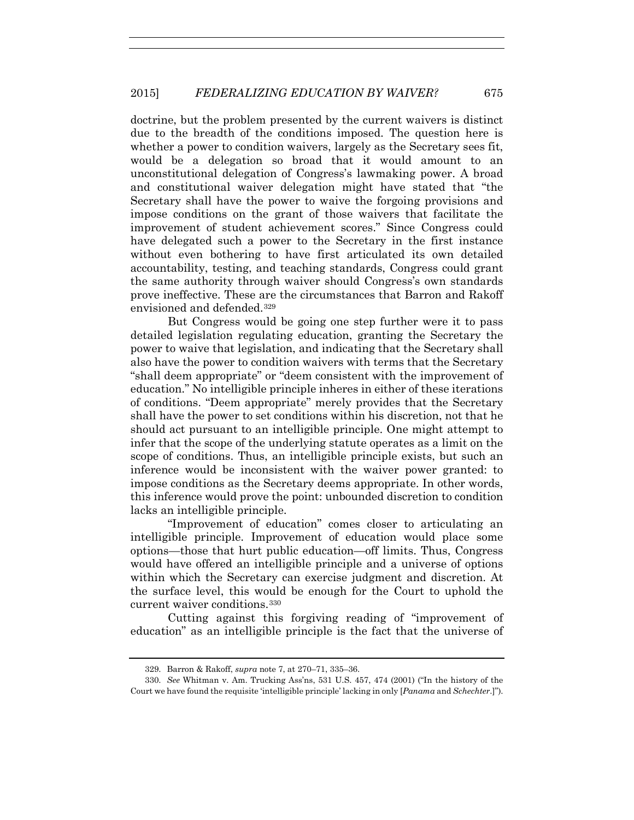doctrine, but the problem presented by the current waivers is distinct due to the breadth of the conditions imposed. The question here is whether a power to condition waivers, largely as the Secretary sees fit, would be a delegation so broad that it would amount to an unconstitutional delegation of Congress's lawmaking power. A broad and constitutional waiver delegation might have stated that "the Secretary shall have the power to waive the forgoing provisions and impose conditions on the grant of those waivers that facilitate the improvement of student achievement scores." Since Congress could have delegated such a power to the Secretary in the first instance without even bothering to have first articulated its own detailed accountability, testing, and teaching standards, Congress could grant the same authority through waiver should Congress's own standards prove ineffective. These are the circumstances that Barron and Rakoff envisioned and defended.329

But Congress would be going one step further were it to pass detailed legislation regulating education, granting the Secretary the power to waive that legislation, and indicating that the Secretary shall also have the power to condition waivers with terms that the Secretary "shall deem appropriate" or "deem consistent with the improvement of education." No intelligible principle inheres in either of these iterations of conditions. "Deem appropriate" merely provides that the Secretary shall have the power to set conditions within his discretion, not that he should act pursuant to an intelligible principle. One might attempt to infer that the scope of the underlying statute operates as a limit on the scope of conditions. Thus, an intelligible principle exists, but such an inference would be inconsistent with the waiver power granted: to impose conditions as the Secretary deems appropriate. In other words, this inference would prove the point: unbounded discretion to condition lacks an intelligible principle.

"Improvement of education" comes closer to articulating an intelligible principle. Improvement of education would place some options—those that hurt public education—off limits. Thus, Congress would have offered an intelligible principle and a universe of options within which the Secretary can exercise judgment and discretion. At the surface level, this would be enough for the Court to uphold the current waiver conditions.330

Cutting against this forgiving reading of "improvement of education" as an intelligible principle is the fact that the universe of

<sup>329.</sup> Barron & Rakoff, *supra* note 7, at 270–71, 335–36.

<sup>330.</sup> *See* Whitman v. Am. Trucking Ass'ns, 531 U.S. 457, 474 (2001) ("In the history of the Court we have found the requisite 'intelligible principle' lacking in only [*Panama* and *Schechter*.]").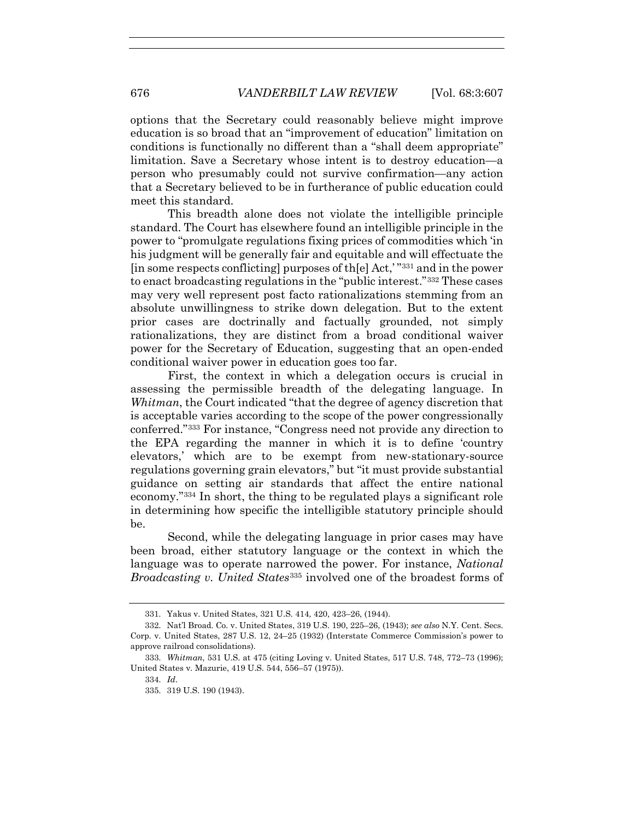options that the Secretary could reasonably believe might improve education is so broad that an "improvement of education" limitation on conditions is functionally no different than a "shall deem appropriate" limitation. Save a Secretary whose intent is to destroy education—a person who presumably could not survive confirmation—any action that a Secretary believed to be in furtherance of public education could meet this standard.

This breadth alone does not violate the intelligible principle standard. The Court has elsewhere found an intelligible principle in the power to "promulgate regulations fixing prices of commodities which 'in his judgment will be generally fair and equitable and will effectuate the [in some respects conflicting] purposes of th[e] Act,' "331 and in the power to enact broadcasting regulations in the "public interest."332 These cases may very well represent post facto rationalizations stemming from an absolute unwillingness to strike down delegation. But to the extent prior cases are doctrinally and factually grounded, not simply rationalizations, they are distinct from a broad conditional waiver power for the Secretary of Education, suggesting that an open-ended conditional waiver power in education goes too far.

First, the context in which a delegation occurs is crucial in assessing the permissible breadth of the delegating language. In *Whitman*, the Court indicated "that the degree of agency discretion that is acceptable varies according to the scope of the power congressionally conferred."333 For instance, "Congress need not provide any direction to the EPA regarding the manner in which it is to define 'country elevators,' which are to be exempt from new-stationary-source regulations governing grain elevators," but "it must provide substantial guidance on setting air standards that affect the entire national economy."334 In short, the thing to be regulated plays a significant role in determining how specific the intelligible statutory principle should be.

Second, while the delegating language in prior cases may have been broad, either statutory language or the context in which the language was to operate narrowed the power. For instance, *National Broadcasting v. United States*<sup>335</sup> involved one of the broadest forms of

<sup>331.</sup> Yakus v. United States, 321 U.S. 414, 420, 423–26, (1944).

<sup>332.</sup> Nat'l Broad. Co. v. United States, 319 U.S. 190, 225–26, (1943); *see also* N.Y. Cent. Secs. Corp. v. United States, 287 U.S. 12, 24–25 (1932) (Interstate Commerce Commission's power to approve railroad consolidations).

<sup>333.</sup> *Whitman*, 531 U.S. at 475 (citing Loving v. United States, 517 U.S. 748, 772–73 (1996); United States v. Mazurie, 419 U.S. 544, 556–57 (1975)).

<sup>334.</sup> *Id*.

<sup>335. 319</sup> U.S. 190 (1943).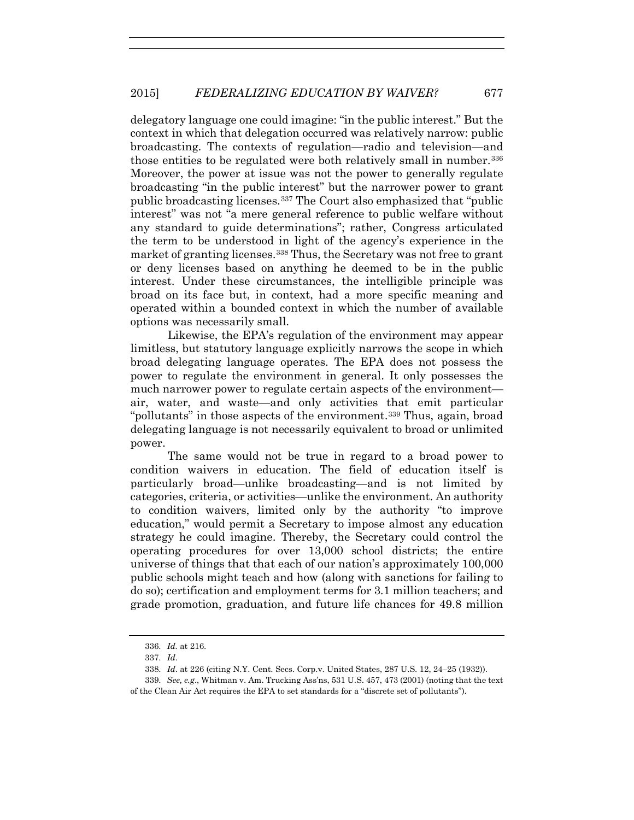delegatory language one could imagine: "in the public interest." But the context in which that delegation occurred was relatively narrow: public broadcasting. The contexts of regulation—radio and television—and those entities to be regulated were both relatively small in number.336 Moreover, the power at issue was not the power to generally regulate broadcasting "in the public interest" but the narrower power to grant public broadcasting licenses.337 The Court also emphasized that "public interest" was not "a mere general reference to public welfare without any standard to guide determinations"; rather, Congress articulated the term to be understood in light of the agency's experience in the market of granting licenses.338 Thus, the Secretary was not free to grant or deny licenses based on anything he deemed to be in the public interest. Under these circumstances, the intelligible principle was broad on its face but, in context, had a more specific meaning and operated within a bounded context in which the number of available options was necessarily small.

Likewise, the EPA's regulation of the environment may appear limitless, but statutory language explicitly narrows the scope in which broad delegating language operates. The EPA does not possess the power to regulate the environment in general. It only possesses the much narrower power to regulate certain aspects of the environment air, water, and waste—and only activities that emit particular "pollutants" in those aspects of the environment.339 Thus, again, broad delegating language is not necessarily equivalent to broad or unlimited power.

The same would not be true in regard to a broad power to condition waivers in education. The field of education itself is particularly broad—unlike broadcasting—and is not limited by categories, criteria, or activities—unlike the environment. An authority to condition waivers, limited only by the authority "to improve education," would permit a Secretary to impose almost any education strategy he could imagine. Thereby, the Secretary could control the operating procedures for over 13,000 school districts; the entire universe of things that that each of our nation's approximately 100,000 public schools might teach and how (along with sanctions for failing to do so); certification and employment terms for 3.1 million teachers; and grade promotion, graduation, and future life chances for 49.8 million

<sup>336.</sup> *Id.* at 216.

<sup>337.</sup> *Id*.

<sup>338.</sup> *Id*. at 226 (citing N.Y. Cent. Secs. Corp.v. United States, 287 U.S. 12, 24–25 (1932)).

<sup>339.</sup> *See, e.g*., Whitman v. Am. Trucking Ass'ns, 531 U.S. 457, 473 (2001) (noting that the text of the Clean Air Act requires the EPA to set standards for a "discrete set of pollutants").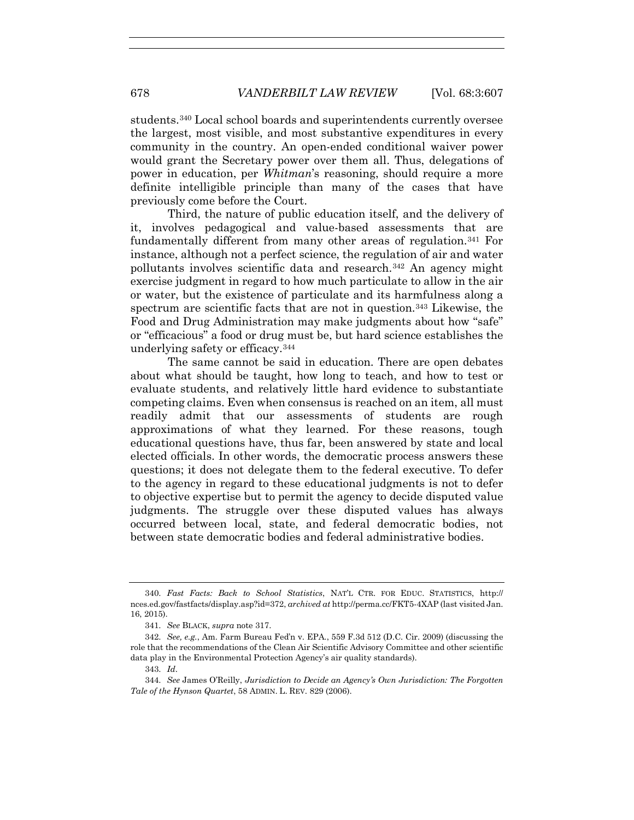students.340 Local school boards and superintendents currently oversee the largest, most visible, and most substantive expenditures in every community in the country. An open-ended conditional waiver power would grant the Secretary power over them all. Thus, delegations of power in education, per *Whitman*'s reasoning, should require a more definite intelligible principle than many of the cases that have previously come before the Court.

Third, the nature of public education itself, and the delivery of it, involves pedagogical and value-based assessments that are fundamentally different from many other areas of regulation.341 For instance, although not a perfect science, the regulation of air and water pollutants involves scientific data and research.342 An agency might exercise judgment in regard to how much particulate to allow in the air or water, but the existence of particulate and its harmfulness along a spectrum are scientific facts that are not in question.<sup>343</sup> Likewise, the Food and Drug Administration may make judgments about how "safe" or "efficacious" a food or drug must be, but hard science establishes the underlying safety or efficacy.344

The same cannot be said in education. There are open debates about what should be taught, how long to teach, and how to test or evaluate students, and relatively little hard evidence to substantiate competing claims. Even when consensus is reached on an item, all must readily admit that our assessments of students are rough approximations of what they learned. For these reasons, tough educational questions have, thus far, been answered by state and local elected officials. In other words, the democratic process answers these questions; it does not delegate them to the federal executive. To defer to the agency in regard to these educational judgments is not to defer to objective expertise but to permit the agency to decide disputed value judgments. The struggle over these disputed values has always occurred between local, state, and federal democratic bodies, not between state democratic bodies and federal administrative bodies.

<sup>340.</sup> *Fast Facts: Back to School Statistics*, NAT'L CTR. FOR EDUC. STATISTICS, http:// nces.ed.gov/fastfacts/display.asp?id=372, *archived at* http://perma.cc/FKT5-4XAP (last visited Jan. 16, 2015).

<sup>341.</sup> *See* BLACK, *supra* note 317.

<sup>342.</sup> *See, e.g.*, Am. Farm Bureau Fed'n v. EPA., 559 F.3d 512 (D.C. Cir. 2009) (discussing the role that the recommendations of the Clean Air Scientific Advisory Committee and other scientific data play in the Environmental Protection Agency's air quality standards).

<sup>343.</sup> *Id*.

<sup>344.</sup> *See* James O'Reilly, *Jurisdiction to Decide an Agency's Own Jurisdiction: The Forgotten Tale of the Hynson Quartet*, 58 ADMIN. L. REV. 829 (2006).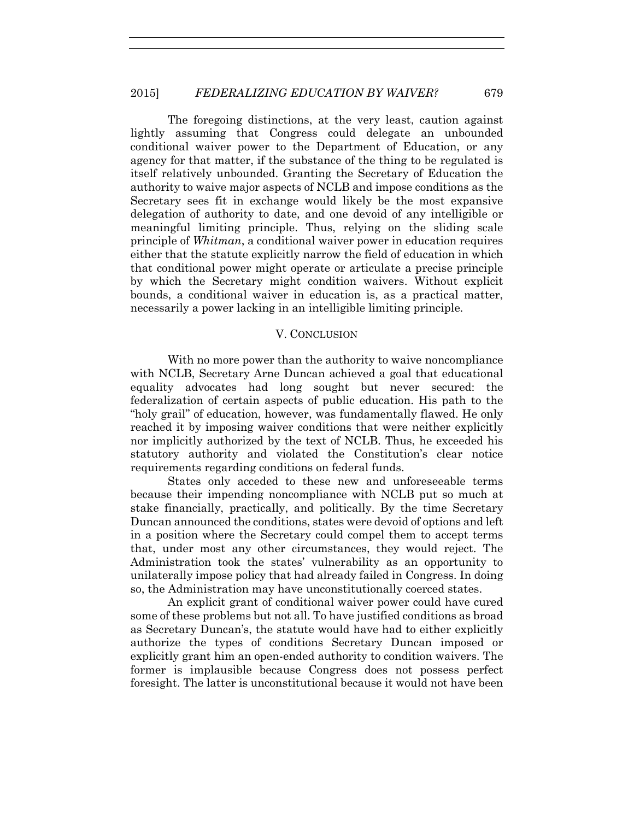The foregoing distinctions, at the very least, caution against lightly assuming that Congress could delegate an unbounded conditional waiver power to the Department of Education, or any agency for that matter, if the substance of the thing to be regulated is itself relatively unbounded. Granting the Secretary of Education the authority to waive major aspects of NCLB and impose conditions as the Secretary sees fit in exchange would likely be the most expansive delegation of authority to date, and one devoid of any intelligible or meaningful limiting principle. Thus, relying on the sliding scale principle of *Whitman*, a conditional waiver power in education requires either that the statute explicitly narrow the field of education in which that conditional power might operate or articulate a precise principle by which the Secretary might condition waivers. Without explicit bounds, a conditional waiver in education is, as a practical matter, necessarily a power lacking in an intelligible limiting principle.

## V. CONCLUSION

With no more power than the authority to waive noncompliance with NCLB, Secretary Arne Duncan achieved a goal that educational equality advocates had long sought but never secured: the federalization of certain aspects of public education. His path to the "holy grail" of education, however, was fundamentally flawed. He only reached it by imposing waiver conditions that were neither explicitly nor implicitly authorized by the text of NCLB. Thus, he exceeded his statutory authority and violated the Constitution's clear notice requirements regarding conditions on federal funds.

States only acceded to these new and unforeseeable terms because their impending noncompliance with NCLB put so much at stake financially, practically, and politically. By the time Secretary Duncan announced the conditions, states were devoid of options and left in a position where the Secretary could compel them to accept terms that, under most any other circumstances, they would reject. The Administration took the states' vulnerability as an opportunity to unilaterally impose policy that had already failed in Congress. In doing so, the Administration may have unconstitutionally coerced states.

An explicit grant of conditional waiver power could have cured some of these problems but not all. To have justified conditions as broad as Secretary Duncan's, the statute would have had to either explicitly authorize the types of conditions Secretary Duncan imposed or explicitly grant him an open-ended authority to condition waivers. The former is implausible because Congress does not possess perfect foresight. The latter is unconstitutional because it would not have been